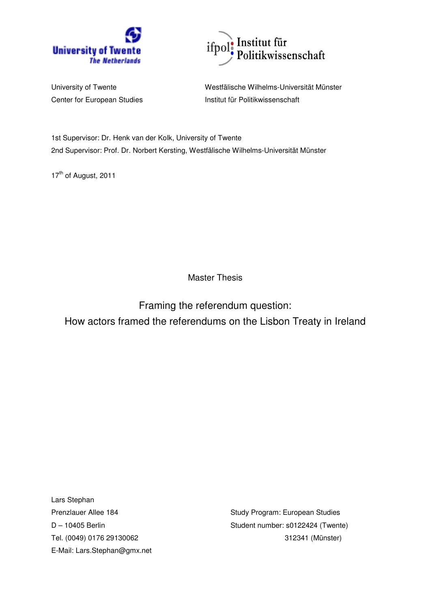



University of Twente Westfälische Wilhelms-Universität Münster Center for European Studies **Institut für Politikwissenschaft** 

1st Supervisor: Dr. Henk van der Kolk, University of Twente 2nd Supervisor: Prof. Dr. Norbert Kersting, Westfälische Wilhelms-Universität Münster

17<sup>th</sup> of August, 2011

Master Thesis

Framing the referendum question: How actors framed the referendums on the Lisbon Treaty in Ireland

Lars Stephan E-Mail: Lars.Stephan@gmx.net

Prenzlauer Allee 184 Study Program: European Studies D – 10405 Berlin Student number: s0122424 (Twente) Tel. (0049) 0176 29130062 312341 (Münster)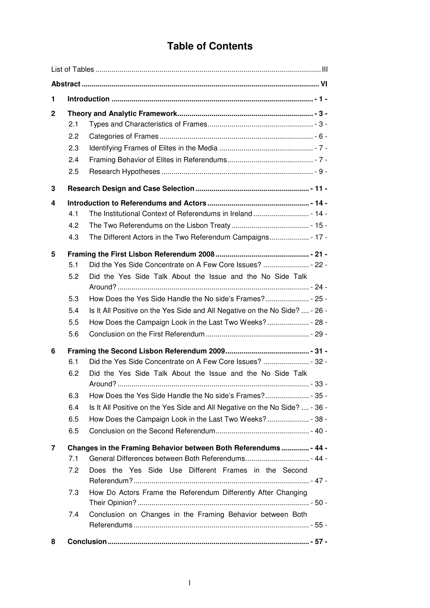# **Table of Contents**

| 1            |                                        |                                                                                                                                                                                                                                                        |
|--------------|----------------------------------------|--------------------------------------------------------------------------------------------------------------------------------------------------------------------------------------------------------------------------------------------------------|
| $\mathbf{2}$ | 2.1<br>2.2<br>2.3<br>2.4<br>2.5        |                                                                                                                                                                                                                                                        |
| 3            |                                        |                                                                                                                                                                                                                                                        |
| 4            | 4.1<br>4.2<br>4.3                      |                                                                                                                                                                                                                                                        |
| 5            | 5.1<br>5.2<br>5.3<br>5.4<br>5.5<br>5.6 | Did the Yes Side Talk About the Issue and the No Side Talk<br>Is It All Positive on the Yes Side and All Negative on the No Side?  - 26 -                                                                                                              |
| 6            | 6.1<br>6.2<br>6.3<br>6.4<br>6.5<br>6.5 | Did the Yes Side Talk About the Issue and the No Side Talk<br>Is It All Positive on the Yes Side and All Negative on the No Side?  - 36 -                                                                                                              |
| 7            | 7.1<br>7.2<br>7.3<br>7.4               | Changes in the Framing Behavior between Both Referendums - 44 -<br>Does the Yes Side Use Different Frames in the Second<br>How Do Actors Frame the Referendum Differently After Changing<br>Conclusion on Changes in the Framing Behavior between Both |
| 8            |                                        |                                                                                                                                                                                                                                                        |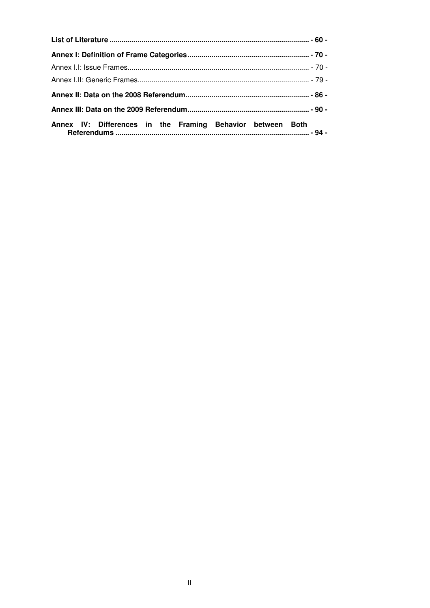| Annex IV: Differences in the Framing Behavior between Both |  |
|------------------------------------------------------------|--|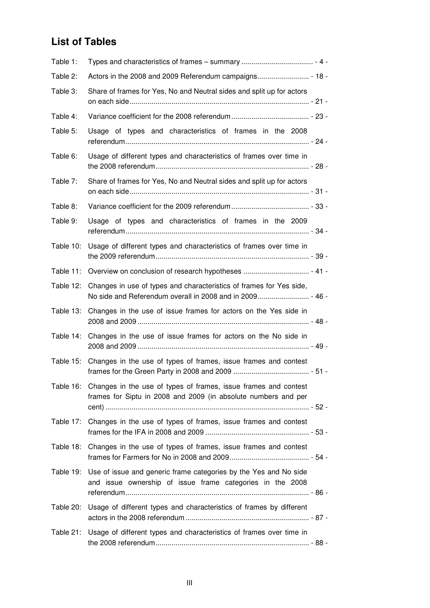# **List of Tables**

| Table 1:  |                                                                                                                                             |
|-----------|---------------------------------------------------------------------------------------------------------------------------------------------|
| Table 2:  |                                                                                                                                             |
| Table 3:  | Share of frames for Yes, No and Neutral sides and split up for actors                                                                       |
| Table 4:  |                                                                                                                                             |
| Table 5:  | Usage of types and characteristics of frames in the 2008                                                                                    |
| Table 6:  | Usage of different types and characteristics of frames over time in                                                                         |
| Table 7:  | Share of frames for Yes, No and Neutral sides and split up for actors                                                                       |
| Table 8:  |                                                                                                                                             |
| Table 9:  | Usage of types and characteristics of frames in the 2009                                                                                    |
| Table 10: | Usage of different types and characteristics of frames over time in                                                                         |
| Table 11: |                                                                                                                                             |
| Table 12: | Changes in use of types and characteristics of frames for Yes side,                                                                         |
| Table 13: | Changes in the use of issue frames for actors on the Yes side in                                                                            |
| Table 14: | Changes in the use of issue frames for actors on the No side in                                                                             |
|           | Table 15: Changes in the use of types of frames, issue frames and contest                                                                   |
|           | Table 16: Changes in the use of types of frames, issue frames and contest<br>frames for Siptu in 2008 and 2009 (in absolute numbers and per |
| Table 17: | Changes in the use of types of frames, issue frames and contest                                                                             |
| Table 18: | Changes in the use of types of frames, issue frames and contest                                                                             |
| Table 19: | Use of issue and generic frame categories by the Yes and No side<br>and issue ownership of issue frame categories in the 2008               |
| Table 20: | Usage of different types and characteristics of frames by different                                                                         |
| Table 21: | Usage of different types and characteristics of frames over time in                                                                         |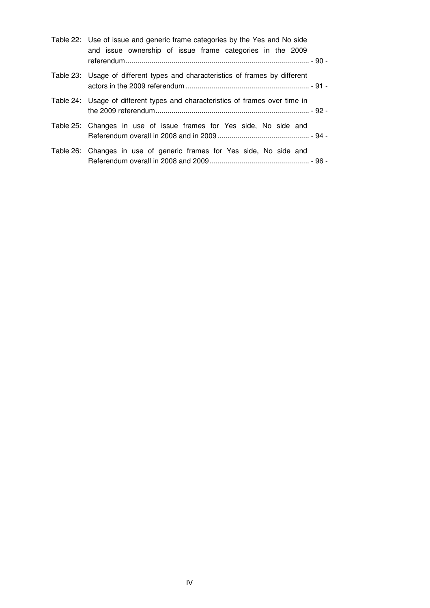| Table 22: Use of issue and generic frame categories by the Yes and No side<br>and issue ownership of issue frame categories in the 2009 |
|-----------------------------------------------------------------------------------------------------------------------------------------|
| Table 23: Usage of different types and characteristics of frames by different                                                           |
| Table 24: Usage of different types and characteristics of frames over time in                                                           |
| Table 25: Changes in use of issue frames for Yes side, No side and                                                                      |
| Table 26: Changes in use of generic frames for Yes side, No side and                                                                    |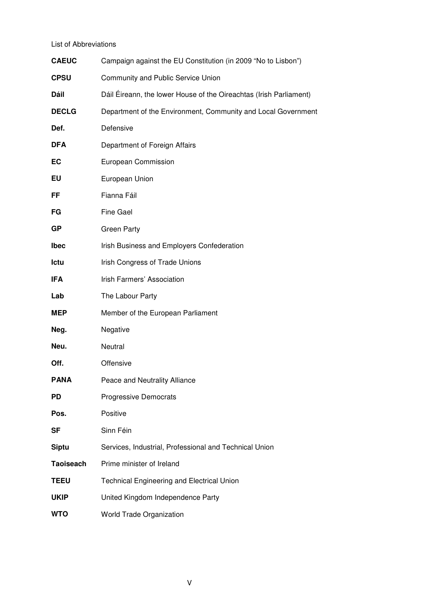List of Abbreviations

| <b>CAEUC</b>     | Campaign against the EU Constitution (in 2009 "No to Lisbon")      |
|------------------|--------------------------------------------------------------------|
| <b>CPSU</b>      | Community and Public Service Union                                 |
| Dáil             | Dáil Éireann, the lower House of the Oireachtas (Irish Parliament) |
| <b>DECLG</b>     | Department of the Environment, Community and Local Government      |
| Def.             | Defensive                                                          |
| <b>DFA</b>       | Department of Foreign Affairs                                      |
| EC               | European Commission                                                |
| EU               | European Union                                                     |
| FF               | Fianna Fáil                                                        |
| FG               | <b>Fine Gael</b>                                                   |
| <b>GP</b>        | <b>Green Party</b>                                                 |
| <b>Ibec</b>      | Irish Business and Employers Confederation                         |
| Ictu             | Irish Congress of Trade Unions                                     |
| <b>IFA</b>       | Irish Farmers' Association                                         |
| Lab              | The Labour Party                                                   |
| MEP              | Member of the European Parliament                                  |
| Neg.             | Negative                                                           |
| Neu.             | Neutral                                                            |
| Off.             | Offensive                                                          |
| <b>PANA</b>      | Peace and Neutrality Alliance                                      |
| <b>PD</b>        | <b>Progressive Democrats</b>                                       |
| Pos.             | Positive                                                           |
| <b>SF</b>        | Sinn Féin                                                          |
| <b>Siptu</b>     | Services, Industrial, Professional and Technical Union             |
| <b>Taoiseach</b> | Prime minister of Ireland                                          |
| <b>TEEU</b>      | <b>Technical Engineering and Electrical Union</b>                  |
| <b>UKIP</b>      | United Kingdom Independence Party                                  |
| <b>WTO</b>       | <b>World Trade Organization</b>                                    |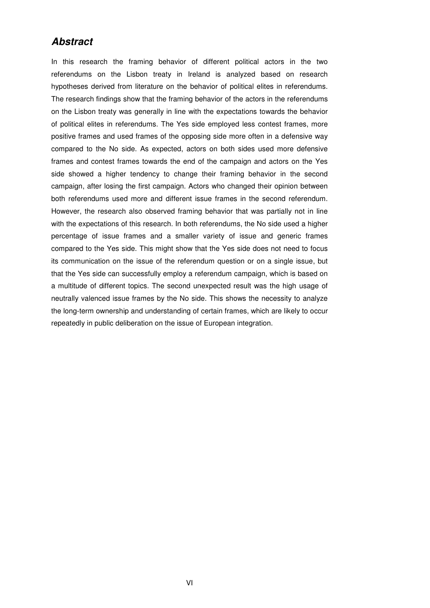## **Abstract**

In this research the framing behavior of different political actors in the two referendums on the Lisbon treaty in Ireland is analyzed based on research hypotheses derived from literature on the behavior of political elites in referendums. The research findings show that the framing behavior of the actors in the referendums on the Lisbon treaty was generally in line with the expectations towards the behavior of political elites in referendums. The Yes side employed less contest frames, more positive frames and used frames of the opposing side more often in a defensive way compared to the No side. As expected, actors on both sides used more defensive frames and contest frames towards the end of the campaign and actors on the Yes side showed a higher tendency to change their framing behavior in the second campaign, after losing the first campaign. Actors who changed their opinion between both referendums used more and different issue frames in the second referendum. However, the research also observed framing behavior that was partially not in line with the expectations of this research. In both referendums, the No side used a higher percentage of issue frames and a smaller variety of issue and generic frames compared to the Yes side. This might show that the Yes side does not need to focus its communication on the issue of the referendum question or on a single issue, but that the Yes side can successfully employ a referendum campaign, which is based on a multitude of different topics. The second unexpected result was the high usage of neutrally valenced issue frames by the No side. This shows the necessity to analyze the long-term ownership and understanding of certain frames, which are likely to occur repeatedly in public deliberation on the issue of European integration.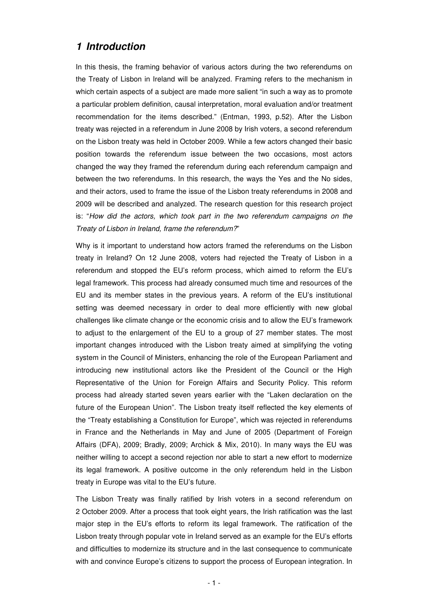## **1 Introduction**

In this thesis, the framing behavior of various actors during the two referendums on the Treaty of Lisbon in Ireland will be analyzed. Framing refers to the mechanism in which certain aspects of a subject are made more salient "in such a way as to promote a particular problem definition, causal interpretation, moral evaluation and/or treatment recommendation for the items described." (Entman, 1993, p.52). After the Lisbon treaty was rejected in a referendum in June 2008 by Irish voters, a second referendum on the Lisbon treaty was held in October 2009. While a few actors changed their basic position towards the referendum issue between the two occasions, most actors changed the way they framed the referendum during each referendum campaign and between the two referendums. In this research, the ways the Yes and the No sides, and their actors, used to frame the issue of the Lisbon treaty referendums in 2008 and 2009 will be described and analyzed. The research question for this research project is: "How did the actors, which took part in the two referendum campaigns on the Treaty of Lisbon in Ireland, frame the referendum?"

Why is it important to understand how actors framed the referendums on the Lisbon treaty in Ireland? On 12 June 2008, voters had rejected the Treaty of Lisbon in a referendum and stopped the EU's reform process, which aimed to reform the EU's legal framework. This process had already consumed much time and resources of the EU and its member states in the previous years. A reform of the EU's institutional setting was deemed necessary in order to deal more efficiently with new global challenges like climate change or the economic crisis and to allow the EU's framework to adjust to the enlargement of the EU to a group of 27 member states. The most important changes introduced with the Lisbon treaty aimed at simplifying the voting system in the Council of Ministers, enhancing the role of the European Parliament and introducing new institutional actors like the President of the Council or the High Representative of the Union for Foreign Affairs and Security Policy. This reform process had already started seven years earlier with the "Laken declaration on the future of the European Union". The Lisbon treaty itself reflected the key elements of the "Treaty establishing a Constitution for Europe", which was rejected in referendums in France and the Netherlands in May and June of 2005 (Department of Foreign Affairs (DFA), 2009; Bradly, 2009; Archick & Mix, 2010). In many ways the EU was neither willing to accept a second rejection nor able to start a new effort to modernize its legal framework. A positive outcome in the only referendum held in the Lisbon treaty in Europe was vital to the EU's future.

The Lisbon Treaty was finally ratified by Irish voters in a second referendum on 2 October 2009. After a process that took eight years, the Irish ratification was the last major step in the EU's efforts to reform its legal framework. The ratification of the Lisbon treaty through popular vote in Ireland served as an example for the EU's efforts and difficulties to modernize its structure and in the last consequence to communicate with and convince Europe's citizens to support the process of European integration. In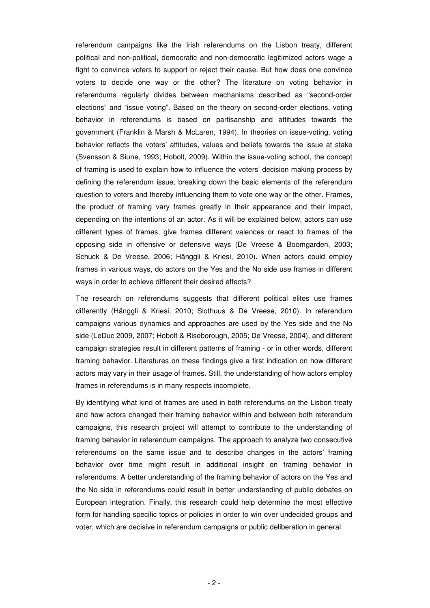referendum campaigns like the Irish referendums on the Lisbon treaty, different political and non-political, democratic and non-democratic legitimized actors wage a fight to convince voters to support or reject their cause. But how does one convince voters to decide one way or the other? The literature on voting behavior in referendums regularly divides between mechanisms described as "second-order elections" and "issue voting". Based on the theory on second-order elections, voting behavior in referendums is based on partisanship and attitudes towards the government (Franklin & Marsh & McLaren, 1994). In theories on issue-voting, voting behavior reflects the voters' attitudes, values and beliefs towards the issue at stake (Svensson & Siune, 1993; Hobolt, 2009). Within the issue-voting school, the concept of framing is used to explain how to influence the voters' decision making process by defining the referendum issue, breaking down the basic elements of the referendum question to voters and thereby influencing them to vote one way or the other. Frames, the product of framing vary frames greatly in their appearance and their impact, depending on the intentions of an actor. As it will be explained below, actors can use different types of frames, give frames different valences or react to frames of the opposing side in offensive or defensive ways (De Vreese & Boomgarden, 2003; Schuck & De Vreese, 2006; Hänggli & Kriesi, 2010). When actors could employ frames in various ways, do actors on the Yes and the No side use frames in different ways in order to achieve different their desired effects?

The research on referendums suggests that different political elites use frames differently (Hänggli & Kriesi, 2010; Slothuus & De Vreese, 2010). In referendum campaigns various dynamics and approaches are used by the Yes side and the No side (LeDuc 2009, 2007; Hobolt & Riseborough, 2005; De Vreese, 2004), and different campaign strategies result in different patterns of framing - or in other words, different framing behavior. Literatures on these findings give a first indication on how different actors may vary in their usage of frames. Still, the understanding of how actors employ frames in referendums is in many respects incomplete.

By identifying what kind of frames are used in both referendums on the Lisbon treaty and how actors changed their framing behavior within and between both referendum campaigns, this research project will attempt to contribute to the understanding of framing behavior in referendum campaigns. The approach to analyze two consecutive referendums on the same issue and to describe changes in the actors' framing behavior over time might result in additional insight on framing behavior in referendums. A better understanding of the framing behavior of actors on the Yes and the No side in referendums could result in better understanding of public debates on European integration. Finally, this research could help determine the most effective form for handling specific topics or policies in order to win over undecided groups and voter, which are decisive in referendum campaigns or public deliberation in general.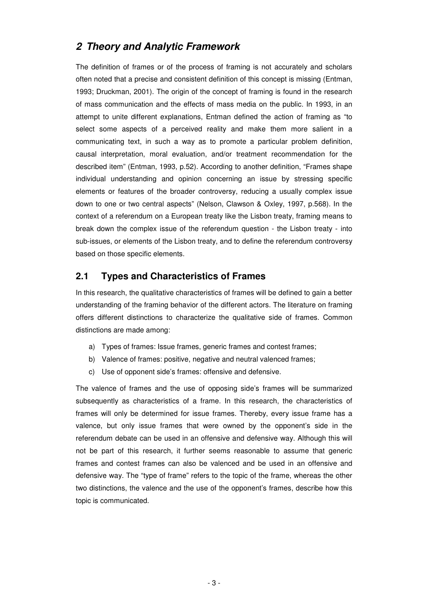## **2 Theory and Analytic Framework**

The definition of frames or of the process of framing is not accurately and scholars often noted that a precise and consistent definition of this concept is missing (Entman, 1993; Druckman, 2001). The origin of the concept of framing is found in the research of mass communication and the effects of mass media on the public. In 1993, in an attempt to unite different explanations, Entman defined the action of framing as "to select some aspects of a perceived reality and make them more salient in a communicating text, in such a way as to promote a particular problem definition, causal interpretation, moral evaluation, and/or treatment recommendation for the described item" (Entman, 1993, p.52). According to another definition, "Frames shape individual understanding and opinion concerning an issue by stressing specific elements or features of the broader controversy, reducing a usually complex issue down to one or two central aspects" (Nelson, Clawson & Oxley, 1997, p.568). In the context of a referendum on a European treaty like the Lisbon treaty, framing means to break down the complex issue of the referendum question - the Lisbon treaty - into sub-issues, or elements of the Lisbon treaty, and to define the referendum controversy based on those specific elements.

## **2.1 Types and Characteristics of Frames**

In this research, the qualitative characteristics of frames will be defined to gain a better understanding of the framing behavior of the different actors. The literature on framing offers different distinctions to characterize the qualitative side of frames. Common distinctions are made among:

- a) Types of frames: Issue frames, generic frames and contest frames;
- b) Valence of frames: positive, negative and neutral valenced frames;
- c) Use of opponent side's frames: offensive and defensive.

The valence of frames and the use of opposing side's frames will be summarized subsequently as characteristics of a frame. In this research, the characteristics of frames will only be determined for issue frames. Thereby, every issue frame has a valence, but only issue frames that were owned by the opponent's side in the referendum debate can be used in an offensive and defensive way. Although this will not be part of this research, it further seems reasonable to assume that generic frames and contest frames can also be valenced and be used in an offensive and defensive way. The "type of frame" refers to the topic of the frame, whereas the other two distinctions, the valence and the use of the opponent's frames, describe how this topic is communicated.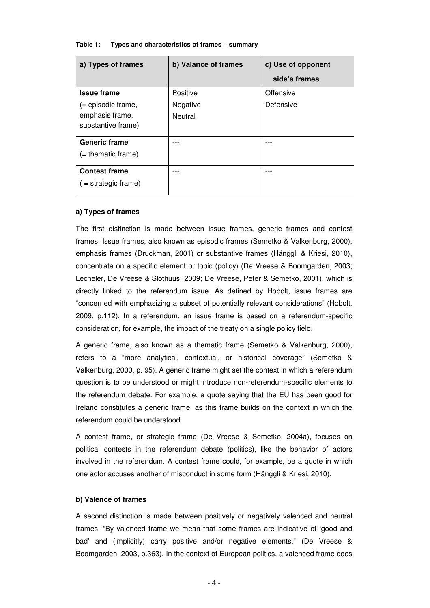| a) Types of frames     | b) Valance of frames | c) Use of opponent |  |  |
|------------------------|----------------------|--------------------|--|--|
|                        |                      | side's frames      |  |  |
| <b>Issue frame</b>     | Positive             | Offensive          |  |  |
| $($ = episodic frame,  | Negative             | Defensive          |  |  |
| emphasis frame,        | Neutral              |                    |  |  |
| substantive frame)     |                      |                    |  |  |
| <b>Generic frame</b>   |                      |                    |  |  |
| $($ = thematic frame)  |                      |                    |  |  |
| <b>Contest frame</b>   |                      |                    |  |  |
| $($ = strategic frame) |                      |                    |  |  |
|                        |                      |                    |  |  |

#### **Table 1: Types and characteristics of frames – summary**

#### **a) Types of frames**

The first distinction is made between issue frames, generic frames and contest frames. Issue frames, also known as episodic frames (Semetko & Valkenburg, 2000), emphasis frames (Druckman, 2001) or substantive frames (Hänggli & Kriesi, 2010), concentrate on a specific element or topic (policy) (De Vreese & Boomgarden, 2003; Lecheler, De Vreese & Slothuus, 2009; De Vreese, Peter & Semetko, 2001), which is directly linked to the referendum issue. As defined by Hobolt, issue frames are "concerned with emphasizing a subset of potentially relevant considerations" (Hobolt, 2009, p.112). In a referendum, an issue frame is based on a referendum-specific consideration, for example, the impact of the treaty on a single policy field.

A generic frame, also known as a thematic frame (Semetko & Valkenburg, 2000), refers to a "more analytical, contextual, or historical coverage" (Semetko & Valkenburg, 2000, p. 95). A generic frame might set the context in which a referendum question is to be understood or might introduce non-referendum-specific elements to the referendum debate. For example, a quote saying that the EU has been good for Ireland constitutes a generic frame, as this frame builds on the context in which the referendum could be understood.

A contest frame, or strategic frame (De Vreese & Semetko, 2004a), focuses on political contests in the referendum debate (politics), like the behavior of actors involved in the referendum. A contest frame could, for example, be a quote in which one actor accuses another of misconduct in some form (Hänggli & Kriesi, 2010).

#### **b) Valence of frames**

A second distinction is made between positively or negatively valenced and neutral frames. "By valenced frame we mean that some frames are indicative of 'good and bad' and (implicitly) carry positive and/or negative elements." (De Vreese & Boomgarden, 2003, p.363). In the context of European politics, a valenced frame does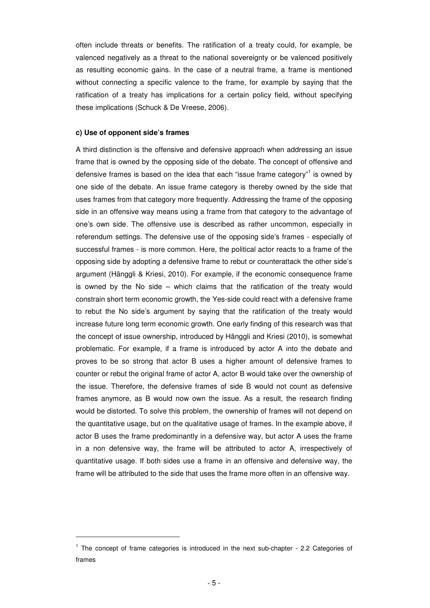often include threats or benefits. The ratification of a treaty could, for example, be valenced negatively as a threat to the national sovereignty or be valenced positively as resulting economic gains. In the case of a neutral frame, a frame is mentioned without connecting a specific valence to the frame, for example by saying that the ratification of a treaty has implications for a certain policy field, without specifying these implications (Schuck & De Vreese, 2006).

#### **c) Use of opponent side's frames**

 $\overline{a}$ 

A third distinction is the offensive and defensive approach when addressing an issue frame that is owned by the opposing side of the debate. The concept of offensive and defensive frames is based on the idea that each "issue frame category"<sup>1</sup> is owned by one side of the debate. An issue frame category is thereby owned by the side that uses frames from that category more frequently. Addressing the frame of the opposing side in an offensive way means using a frame from that category to the advantage of one's own side. The offensive use is described as rather uncommon, especially in referendum settings. The defensive use of the opposing side's frames - especially of successful frames - is more common. Here, the political actor reacts to a frame of the opposing side by adopting a defensive frame to rebut or counterattack the other side's argument (Hänggli & Kriesi, 2010). For example, if the economic consequence frame is owned by the No side – which claims that the ratification of the treaty would constrain short term economic growth, the Yes-side could react with a defensive frame to rebut the No side's argument by saying that the ratification of the treaty would increase future long term economic growth. One early finding of this research was that the concept of issue ownership, introduced by Hänggli and Kriesi (2010), is somewhat problematic. For example, if a frame is introduced by actor A into the debate and proves to be so strong that actor B uses a higher amount of defensive frames to counter or rebut the original frame of actor A, actor B would take over the ownership of the issue. Therefore, the defensive frames of side B would not count as defensive frames anymore, as B would now own the issue. As a result, the research finding would be distorted. To solve this problem, the ownership of frames will not depend on the quantitative usage, but on the qualitative usage of frames. In the example above, if actor B uses the frame predominantly in a defensive way, but actor A uses the frame in a non defensive way, the frame will be attributed to actor A, irrespectively of quantitative usage. If both sides use a frame in an offensive and defensive way, the frame will be attributed to the side that uses the frame more often in an offensive way.

<sup>&</sup>lt;sup>1</sup> The concept of frame categories is introduced in the next sub-chapter - 2.2 Categories of frames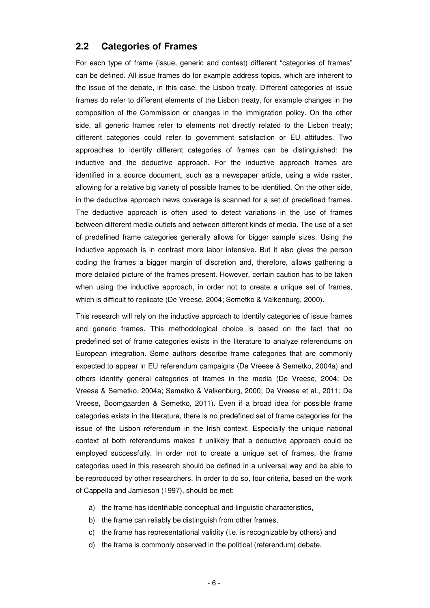### **2.2 Categories of Frames**

For each type of frame (issue, generic and contest) different "categories of frames" can be defined. All issue frames do for example address topics, which are inherent to the issue of the debate, in this case, the Lisbon treaty. Different categories of issue frames do refer to different elements of the Lisbon treaty, for example changes in the composition of the Commission or changes in the immigration policy. On the other side, all generic frames refer to elements not directly related to the Lisbon treaty; different categories could refer to government satisfaction or EU attitudes. Two approaches to identify different categories of frames can be distinguished: the inductive and the deductive approach. For the inductive approach frames are identified in a source document, such as a newspaper article, using a wide raster, allowing for a relative big variety of possible frames to be identified. On the other side, in the deductive approach news coverage is scanned for a set of predefined frames. The deductive approach is often used to detect variations in the use of frames between different media outlets and between different kinds of media. The use of a set of predefined frame categories generally allows for bigger sample sizes. Using the inductive approach is in contrast more labor intensive. But it also gives the person coding the frames a bigger margin of discretion and, therefore, allows gathering a more detailed picture of the frames present. However, certain caution has to be taken when using the inductive approach, in order not to create a unique set of frames, which is difficult to replicate (De Vreese, 2004; Semetko & Valkenburg, 2000).

This research will rely on the inductive approach to identify categories of issue frames and generic frames. This methodological choice is based on the fact that no predefined set of frame categories exists in the literature to analyze referendums on European integration. Some authors describe frame categories that are commonly expected to appear in EU referendum campaigns (De Vreese & Semetko, 2004a) and others identify general categories of frames in the media (De Vreese, 2004; De Vreese & Semetko, 2004a; Semetko & Valkenburg, 2000; De Vreese et al., 2011; De Vreese, Boomgaarden & Semetko, 2011). Even if a broad idea for possible frame categories exists in the literature, there is no predefined set of frame categories for the issue of the Lisbon referendum in the Irish context. Especially the unique national context of both referendums makes it unlikely that a deductive approach could be employed successfully. In order not to create a unique set of frames, the frame categories used in this research should be defined in a universal way and be able to be reproduced by other researchers. In order to do so, four criteria, based on the work of Cappella and Jamieson (1997), should be met:

- a) the frame has identifiable conceptual and linguistic characteristics,
- b) the frame can reliably be distinguish from other frames,
- c) the frame has representational validity (i.e. is recognizable by others) and
- d) the frame is commonly observed in the political (referendum) debate.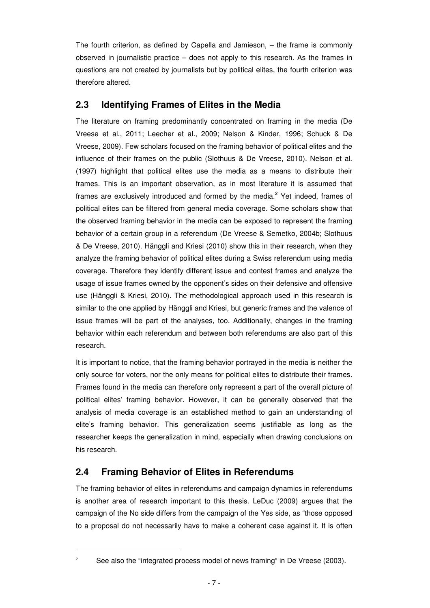The fourth criterion, as defined by Capella and Jamieson, – the frame is commonly observed in journalistic practice  $-$  does not apply to this research. As the frames in questions are not created by journalists but by political elites, the fourth criterion was therefore altered.

## **2.3 Identifying Frames of Elites in the Media**

The literature on framing predominantly concentrated on framing in the media (De Vreese et al., 2011; Leecher et al., 2009; Nelson & Kinder, 1996; Schuck & De Vreese, 2009). Few scholars focused on the framing behavior of political elites and the influence of their frames on the public (Slothuus & De Vreese, 2010). Nelson et al. (1997) highlight that political elites use the media as a means to distribute their frames. This is an important observation, as in most literature it is assumed that frames are exclusively introduced and formed by the media.<sup>2</sup> Yet indeed, frames of political elites can be filtered from general media coverage. Some scholars show that the observed framing behavior in the media can be exposed to represent the framing behavior of a certain group in a referendum (De Vreese & Semetko, 2004b; Slothuus & De Vreese, 2010). Hänggli and Kriesi (2010) show this in their research, when they analyze the framing behavior of political elites during a Swiss referendum using media coverage. Therefore they identify different issue and contest frames and analyze the usage of issue frames owned by the opponent's sides on their defensive and offensive use (Hänggli & Kriesi, 2010). The methodological approach used in this research is similar to the one applied by Hänggli and Kriesi, but generic frames and the valence of issue frames will be part of the analyses, too. Additionally, changes in the framing behavior within each referendum and between both referendums are also part of this research.

It is important to notice, that the framing behavior portrayed in the media is neither the only source for voters, nor the only means for political elites to distribute their frames. Frames found in the media can therefore only represent a part of the overall picture of political elites' framing behavior. However, it can be generally observed that the analysis of media coverage is an established method to gain an understanding of elite's framing behavior. This generalization seems justifiable as long as the researcher keeps the generalization in mind, especially when drawing conclusions on his research.

## **2.4 Framing Behavior of Elites in Referendums**

l

The framing behavior of elites in referendums and campaign dynamics in referendums is another area of research important to this thesis. LeDuc (2009) argues that the campaign of the No side differs from the campaign of the Yes side, as "those opposed to a proposal do not necessarily have to make a coherent case against it. It is often

2 See also the "integrated process model of news framing" in De Vreese (2003).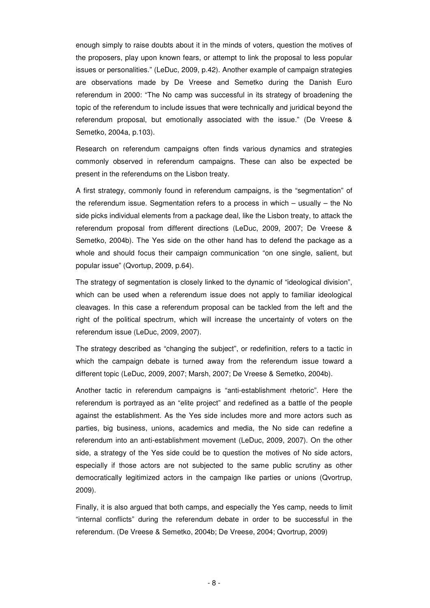enough simply to raise doubts about it in the minds of voters, question the motives of the proposers, play upon known fears, or attempt to link the proposal to less popular issues or personalities." (LeDuc, 2009, p.42). Another example of campaign strategies are observations made by De Vreese and Semetko during the Danish Euro referendum in 2000: "The No camp was successful in its strategy of broadening the topic of the referendum to include issues that were technically and juridical beyond the referendum proposal, but emotionally associated with the issue." (De Vreese & Semetko, 2004a, p.103).

Research on referendum campaigns often finds various dynamics and strategies commonly observed in referendum campaigns. These can also be expected be present in the referendums on the Lisbon treaty.

A first strategy, commonly found in referendum campaigns, is the "segmentation" of the referendum issue. Segmentation refers to a process in which – usually – the No side picks individual elements from a package deal, like the Lisbon treaty, to attack the referendum proposal from different directions (LeDuc, 2009, 2007; De Vreese & Semetko, 2004b). The Yes side on the other hand has to defend the package as a whole and should focus their campaign communication "on one single, salient, but popular issue" (Qvortup, 2009, p.64).

The strategy of segmentation is closely linked to the dynamic of "ideological division", which can be used when a referendum issue does not apply to familiar ideological cleavages. In this case a referendum proposal can be tackled from the left and the right of the political spectrum, which will increase the uncertainty of voters on the referendum issue (LeDuc, 2009, 2007).

The strategy described as "changing the subject", or redefinition, refers to a tactic in which the campaign debate is turned away from the referendum issue toward a different topic (LeDuc, 2009, 2007; Marsh, 2007; De Vreese & Semetko, 2004b).

Another tactic in referendum campaigns is "anti-establishment rhetoric". Here the referendum is portrayed as an "elite project" and redefined as a battle of the people against the establishment. As the Yes side includes more and more actors such as parties, big business, unions, academics and media, the No side can redefine a referendum into an anti-establishment movement (LeDuc, 2009, 2007). On the other side, a strategy of the Yes side could be to question the motives of No side actors, especially if those actors are not subjected to the same public scrutiny as other democratically legitimized actors in the campaign like parties or unions (Qvortrup, 2009).

Finally, it is also argued that both camps, and especially the Yes camp, needs to limit "internal conflicts" during the referendum debate in order to be successful in the referendum. (De Vreese & Semetko, 2004b; De Vreese, 2004; Qvortrup, 2009)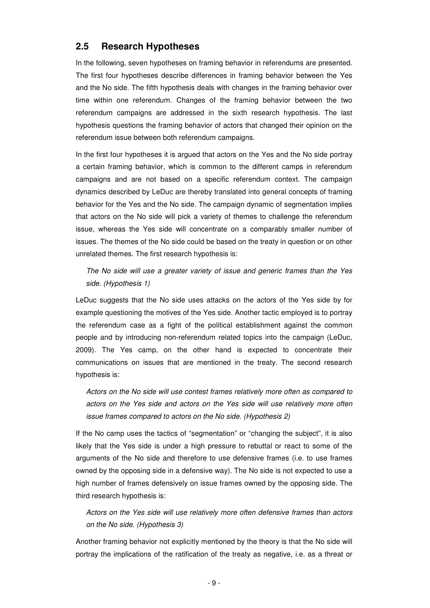### **2.5 Research Hypotheses**

In the following, seven hypotheses on framing behavior in referendums are presented. The first four hypotheses describe differences in framing behavior between the Yes and the No side. The fifth hypothesis deals with changes in the framing behavior over time within one referendum. Changes of the framing behavior between the two referendum campaigns are addressed in the sixth research hypothesis. The last hypothesis questions the framing behavior of actors that changed their opinion on the referendum issue between both referendum campaigns.

In the first four hypotheses it is argued that actors on the Yes and the No side portray a certain framing behavior, which is common to the different camps in referendum campaigns and are not based on a specific referendum context. The campaign dynamics described by LeDuc are thereby translated into general concepts of framing behavior for the Yes and the No side. The campaign dynamic of segmentation implies that actors on the No side will pick a variety of themes to challenge the referendum issue, whereas the Yes side will concentrate on a comparably smaller number of issues. The themes of the No side could be based on the treaty in question or on other unrelated themes. The first research hypothesis is:

The No side will use a greater variety of issue and generic frames than the Yes side. (Hypothesis 1)

LeDuc suggests that the No side uses attacks on the actors of the Yes side by for example questioning the motives of the Yes side. Another tactic employed is to portray the referendum case as a fight of the political establishment against the common people and by introducing non-referendum related topics into the campaign (LeDuc, 2009). The Yes camp, on the other hand is expected to concentrate their communications on issues that are mentioned in the treaty. The second research hypothesis is:

Actors on the No side will use contest frames relatively more often as compared to actors on the Yes side and actors on the Yes side will use relatively more often issue frames compared to actors on the No side. (Hypothesis 2)

If the No camp uses the tactics of "segmentation" or "changing the subject", it is also likely that the Yes side is under a high pressure to rebuttal or react to some of the arguments of the No side and therefore to use defensive frames (i.e. to use frames owned by the opposing side in a defensive way). The No side is not expected to use a high number of frames defensively on issue frames owned by the opposing side. The third research hypothesis is:

Actors on the Yes side will use relatively more often defensive frames than actors on the No side. (Hypothesis 3)

Another framing behavior not explicitly mentioned by the theory is that the No side will portray the implications of the ratification of the treaty as negative, i.e. as a threat or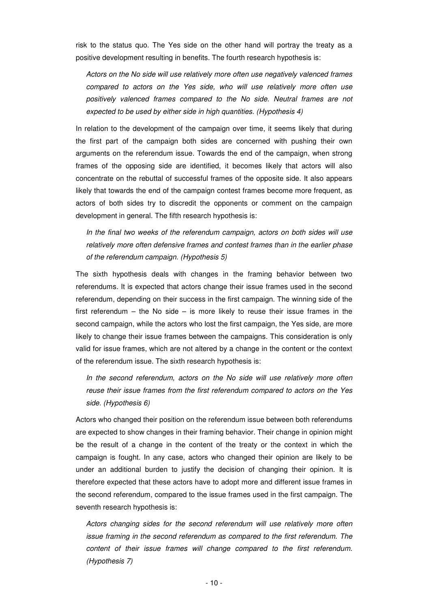risk to the status quo. The Yes side on the other hand will portray the treaty as a positive development resulting in benefits. The fourth research hypothesis is:

Actors on the No side will use relatively more often use negatively valenced frames compared to actors on the Yes side, who will use relatively more often use positively valenced frames compared to the No side. Neutral frames are not expected to be used by either side in high quantities. (Hypothesis 4)

In relation to the development of the campaign over time, it seems likely that during the first part of the campaign both sides are concerned with pushing their own arguments on the referendum issue. Towards the end of the campaign, when strong frames of the opposing side are identified, it becomes likely that actors will also concentrate on the rebuttal of successful frames of the opposite side. It also appears likely that towards the end of the campaign contest frames become more frequent, as actors of both sides try to discredit the opponents or comment on the campaign development in general. The fifth research hypothesis is:

In the final two weeks of the referendum campaign, actors on both sides will use relatively more often defensive frames and contest frames than in the earlier phase of the referendum campaign. (Hypothesis 5)

The sixth hypothesis deals with changes in the framing behavior between two referendums. It is expected that actors change their issue frames used in the second referendum, depending on their success in the first campaign. The winning side of the first referendum – the No side – is more likely to reuse their issue frames in the second campaign, while the actors who lost the first campaign, the Yes side, are more likely to change their issue frames between the campaigns. This consideration is only valid for issue frames, which are not altered by a change in the content or the context of the referendum issue. The sixth research hypothesis is:

In the second referendum, actors on the No side will use relatively more often reuse their issue frames from the first referendum compared to actors on the Yes side. (Hypothesis 6)

Actors who changed their position on the referendum issue between both referendums are expected to show changes in their framing behavior. Their change in opinion might be the result of a change in the content of the treaty or the context in which the campaign is fought. In any case, actors who changed their opinion are likely to be under an additional burden to justify the decision of changing their opinion. It is therefore expected that these actors have to adopt more and different issue frames in the second referendum, compared to the issue frames used in the first campaign. The seventh research hypothesis is:

Actors changing sides for the second referendum will use relatively more often issue framing in the second referendum as compared to the first referendum. The content of their issue frames will change compared to the first referendum. (Hypothesis 7)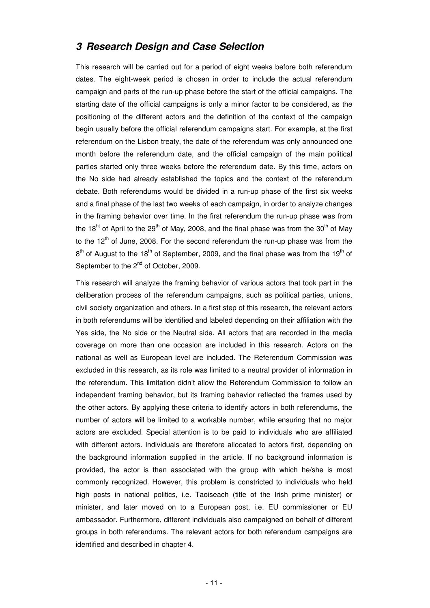## **3 Research Design and Case Selection**

This research will be carried out for a period of eight weeks before both referendum dates. The eight-week period is chosen in order to include the actual referendum campaign and parts of the run-up phase before the start of the official campaigns. The starting date of the official campaigns is only a minor factor to be considered, as the positioning of the different actors and the definition of the context of the campaign begin usually before the official referendum campaigns start. For example, at the first referendum on the Lisbon treaty, the date of the referendum was only announced one month before the referendum date, and the official campaign of the main political parties started only three weeks before the referendum date. By this time, actors on the No side had already established the topics and the context of the referendum debate. Both referendums would be divided in a run-up phase of the first six weeks and a final phase of the last two weeks of each campaign, in order to analyze changes in the framing behavior over time. In the first referendum the run-up phase was from the 18<sup>ht</sup> of April to the 29<sup>th</sup> of May, 2008, and the final phase was from the 30<sup>th</sup> of May to the  $12<sup>th</sup>$  of June, 2008. For the second referendum the run-up phase was from the  $8<sup>th</sup>$  of August to the 18<sup>th</sup> of September, 2009, and the final phase was from the 19<sup>th</sup> of September to the 2<sup>nd</sup> of October, 2009.

This research will analyze the framing behavior of various actors that took part in the deliberation process of the referendum campaigns, such as political parties, unions, civil society organization and others. In a first step of this research, the relevant actors in both referendums will be identified and labeled depending on their affiliation with the Yes side, the No side or the Neutral side. All actors that are recorded in the media coverage on more than one occasion are included in this research. Actors on the national as well as European level are included. The Referendum Commission was excluded in this research, as its role was limited to a neutral provider of information in the referendum. This limitation didn't allow the Referendum Commission to follow an independent framing behavior, but its framing behavior reflected the frames used by the other actors. By applying these criteria to identify actors in both referendums, the number of actors will be limited to a workable number, while ensuring that no major actors are excluded. Special attention is to be paid to individuals who are affiliated with different actors. Individuals are therefore allocated to actors first, depending on the background information supplied in the article. If no background information is provided, the actor is then associated with the group with which he/she is most commonly recognized. However, this problem is constricted to individuals who held high posts in national politics, i.e. Taoiseach (title of the Irish prime minister) or minister, and later moved on to a European post, i.e. EU commissioner or EU ambassador. Furthermore, different individuals also campaigned on behalf of different groups in both referendums. The relevant actors for both referendum campaigns are identified and described in chapter 4.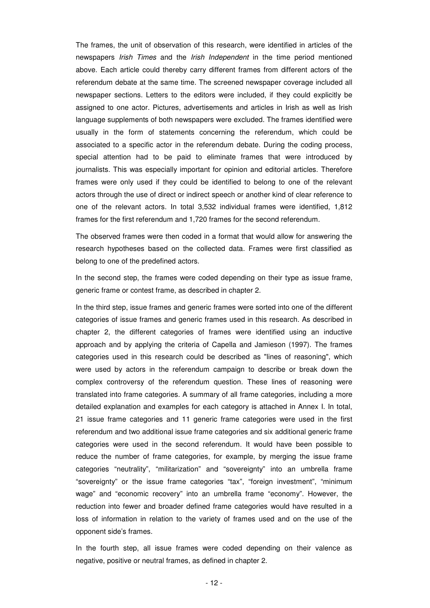The frames, the unit of observation of this research, were identified in articles of the newspapers Irish Times and the Irish Independent in the time period mentioned above. Each article could thereby carry different frames from different actors of the referendum debate at the same time. The screened newspaper coverage included all newspaper sections. Letters to the editors were included, if they could explicitly be assigned to one actor. Pictures, advertisements and articles in Irish as well as Irish language supplements of both newspapers were excluded. The frames identified were usually in the form of statements concerning the referendum, which could be associated to a specific actor in the referendum debate. During the coding process, special attention had to be paid to eliminate frames that were introduced by journalists. This was especially important for opinion and editorial articles. Therefore frames were only used if they could be identified to belong to one of the relevant actors through the use of direct or indirect speech or another kind of clear reference to one of the relevant actors. In total 3,532 individual frames were identified, 1,812 frames for the first referendum and 1,720 frames for the second referendum.

The observed frames were then coded in a format that would allow for answering the research hypotheses based on the collected data. Frames were first classified as belong to one of the predefined actors.

In the second step, the frames were coded depending on their type as issue frame, generic frame or contest frame, as described in chapter 2.

In the third step, issue frames and generic frames were sorted into one of the different categories of issue frames and generic frames used in this research. As described in chapter 2, the different categories of frames were identified using an inductive approach and by applying the criteria of Capella and Jamieson (1997). The frames categories used in this research could be described as "lines of reasoning", which were used by actors in the referendum campaign to describe or break down the complex controversy of the referendum question. These lines of reasoning were translated into frame categories. A summary of all frame categories, including a more detailed explanation and examples for each category is attached in Annex I. In total, 21 issue frame categories and 11 generic frame categories were used in the first referendum and two additional issue frame categories and six additional generic frame categories were used in the second referendum. It would have been possible to reduce the number of frame categories, for example, by merging the issue frame categories "neutrality", "militarization" and "sovereignty" into an umbrella frame "sovereignty" or the issue frame categories "tax", "foreign investment", "minimum wage" and "economic recovery" into an umbrella frame "economy". However, the reduction into fewer and broader defined frame categories would have resulted in a loss of information in relation to the variety of frames used and on the use of the opponent side's frames.

In the fourth step, all issue frames were coded depending on their valence as negative, positive or neutral frames, as defined in chapter 2.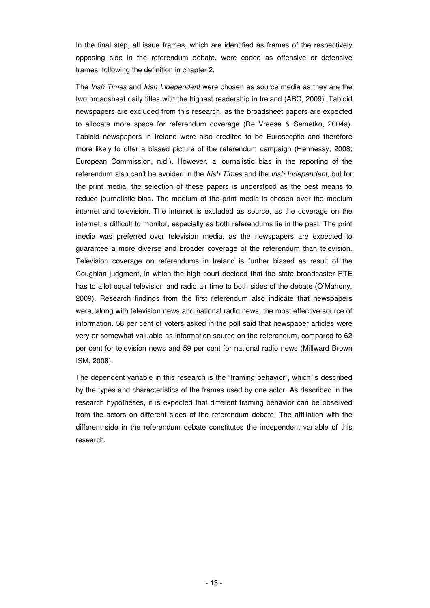In the final step, all issue frames, which are identified as frames of the respectively opposing side in the referendum debate, were coded as offensive or defensive frames, following the definition in chapter 2.

The Irish Times and Irish Independent were chosen as source media as they are the two broadsheet daily titles with the highest readership in Ireland (ABC, 2009). Tabloid newspapers are excluded from this research, as the broadsheet papers are expected to allocate more space for referendum coverage (De Vreese & Semetko, 2004a). Tabloid newspapers in Ireland were also credited to be Eurosceptic and therefore more likely to offer a biased picture of the referendum campaign (Hennessy, 2008; European Commission, n.d.). However, a journalistic bias in the reporting of the referendum also can't be avoided in the *Irish Times* and the *Irish Independent*, but for the print media, the selection of these papers is understood as the best means to reduce journalistic bias. The medium of the print media is chosen over the medium internet and television. The internet is excluded as source, as the coverage on the internet is difficult to monitor, especially as both referendums lie in the past. The print media was preferred over television media, as the newspapers are expected to guarantee a more diverse and broader coverage of the referendum than television. Television coverage on referendums in Ireland is further biased as result of the Coughlan judgment, in which the high court decided that the state broadcaster RTE has to allot equal television and radio air time to both sides of the debate (O'Mahony, 2009). Research findings from the first referendum also indicate that newspapers were, along with television news and national radio news, the most effective source of information. 58 per cent of voters asked in the poll said that newspaper articles were very or somewhat valuable as information source on the referendum, compared to 62 per cent for television news and 59 per cent for national radio news (Millward Brown ISM, 2008).

The dependent variable in this research is the "framing behavior", which is described by the types and characteristics of the frames used by one actor. As described in the research hypotheses, it is expected that different framing behavior can be observed from the actors on different sides of the referendum debate. The affiliation with the different side in the referendum debate constitutes the independent variable of this research.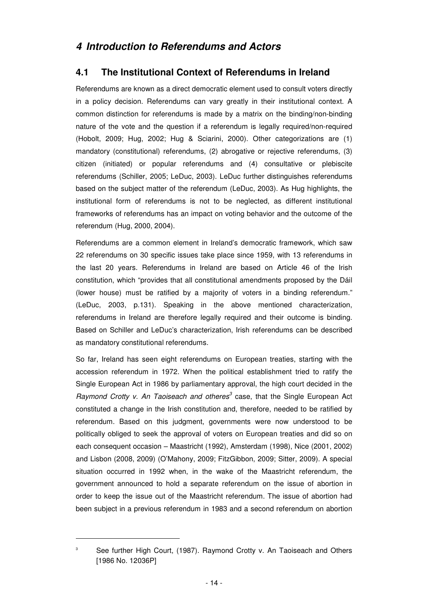## **4.1 The Institutional Context of Referendums in Ireland**

Referendums are known as a direct democratic element used to consult voters directly in a policy decision. Referendums can vary greatly in their institutional context. A common distinction for referendums is made by a matrix on the binding/non-binding nature of the vote and the question if a referendum is legally required/non-required (Hobolt, 2009; Hug, 2002; Hug & Sciarini, 2000). Other categorizations are (1) mandatory (constitutional) referendums, (2) abrogative or rejective referendums, (3) citizen (initiated) or popular referendums and (4) consultative or plebiscite referendums (Schiller, 2005; LeDuc, 2003). LeDuc further distinguishes referendums based on the subject matter of the referendum (LeDuc, 2003). As Hug highlights, the institutional form of referendums is not to be neglected, as different institutional frameworks of referendums has an impact on voting behavior and the outcome of the referendum (Hug, 2000, 2004).

Referendums are a common element in Ireland's democratic framework, which saw 22 referendums on 30 specific issues take place since 1959, with 13 referendums in the last 20 years. Referendums in Ireland are based on Article 46 of the Irish constitution, which "provides that all constitutional amendments proposed by the Dáil (lower house) must be ratified by a majority of voters in a binding referendum." (LeDuc, 2003, p.131). Speaking in the above mentioned characterization, referendums in Ireland are therefore legally required and their outcome is binding. Based on Schiller and LeDuc's characterization, Irish referendums can be described as mandatory constitutional referendums.

So far, Ireland has seen eight referendums on European treaties, starting with the accession referendum in 1972. When the political establishment tried to ratify the Single European Act in 1986 by parliamentary approval, the high court decided in the Raymond Crotty v. An Taoiseach and otheres $^3$  case, that the Single European Act constituted a change in the Irish constitution and, therefore, needed to be ratified by referendum. Based on this judgment, governments were now understood to be politically obliged to seek the approval of voters on European treaties and did so on each consequent occasion – Maastricht (1992), Amsterdam (1998), Nice (2001, 2002) and Lisbon (2008, 2009) (O'Mahony, 2009; FitzGibbon, 2009; Sitter, 2009). A special situation occurred in 1992 when, in the wake of the Maastricht referendum, the government announced to hold a separate referendum on the issue of abortion in order to keep the issue out of the Maastricht referendum. The issue of abortion had been subject in a previous referendum in 1983 and a second referendum on abortion

 $\overline{a}$ 3

See further High Court, (1987). Raymond Crotty v. An Taoiseach and Others [1986 No. 12036P]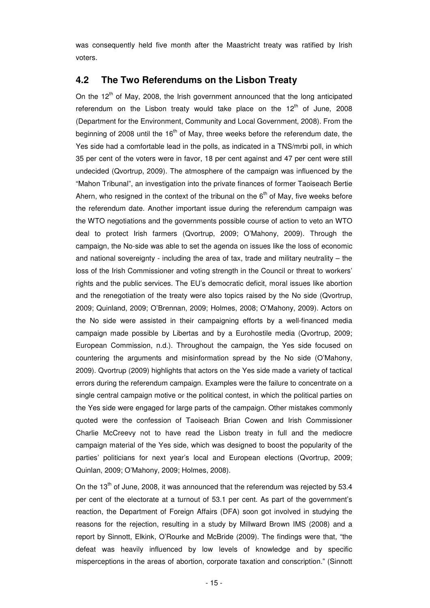was consequently held five month after the Maastricht treaty was ratified by Irish voters.

### **4.2 The Two Referendums on the Lisbon Treaty**

On the  $12<sup>th</sup>$  of May, 2008, the Irish government announced that the long anticipated referendum on the Lisbon treaty would take place on the  $12<sup>th</sup>$  of June, 2008 (Department for the Environment, Community and Local Government, 2008). From the beginning of 2008 until the  $16<sup>th</sup>$  of May, three weeks before the referendum date, the Yes side had a comfortable lead in the polls, as indicated in a TNS/mrbi poll, in which 35 per cent of the voters were in favor, 18 per cent against and 47 per cent were still undecided (Qvortrup, 2009). The atmosphere of the campaign was influenced by the "Mahon Tribunal", an investigation into the private finances of former Taoiseach Bertie Ahern, who resigned in the context of the tribunal on the  $6<sup>th</sup>$  of May, five weeks before the referendum date. Another important issue during the referendum campaign was the WTO negotiations and the governments possible course of action to veto an WTO deal to protect Irish farmers (Qvortrup, 2009; O'Mahony, 2009). Through the campaign, the No-side was able to set the agenda on issues like the loss of economic and national sovereignty - including the area of tax, trade and military neutrality – the loss of the Irish Commissioner and voting strength in the Council or threat to workers' rights and the public services. The EU's democratic deficit, moral issues like abortion and the renegotiation of the treaty were also topics raised by the No side (Qvortrup, 2009; Quinland, 2009; O'Brennan, 2009; Holmes, 2008; O'Mahony, 2009). Actors on the No side were assisted in their campaigning efforts by a well-financed media campaign made possible by Libertas and by a Eurohostile media (Qvortrup, 2009; European Commission, n.d.). Throughout the campaign, the Yes side focused on countering the arguments and misinformation spread by the No side (O'Mahony, 2009). Qvortrup (2009) highlights that actors on the Yes side made a variety of tactical errors during the referendum campaign. Examples were the failure to concentrate on a single central campaign motive or the political contest, in which the political parties on the Yes side were engaged for large parts of the campaign. Other mistakes commonly quoted were the confession of Taoiseach Brian Cowen and Irish Commissioner Charlie McCreevy not to have read the Lisbon treaty in full and the mediocre campaign material of the Yes side, which was designed to boost the popularity of the parties' politicians for next year's local and European elections (Qvortrup, 2009; Quinlan, 2009; O'Mahony, 2009; Holmes, 2008).

On the  $13<sup>th</sup>$  of June, 2008, it was announced that the referendum was rejected by 53.4 per cent of the electorate at a turnout of 53.1 per cent. As part of the government's reaction, the Department of Foreign Affairs (DFA) soon got involved in studying the reasons for the rejection, resulting in a study by Millward Brown IMS (2008) and a report by Sinnott, Elkink, O'Rourke and McBride (2009). The findings were that, "the defeat was heavily influenced by low levels of knowledge and by specific misperceptions in the areas of abortion, corporate taxation and conscription." (Sinnott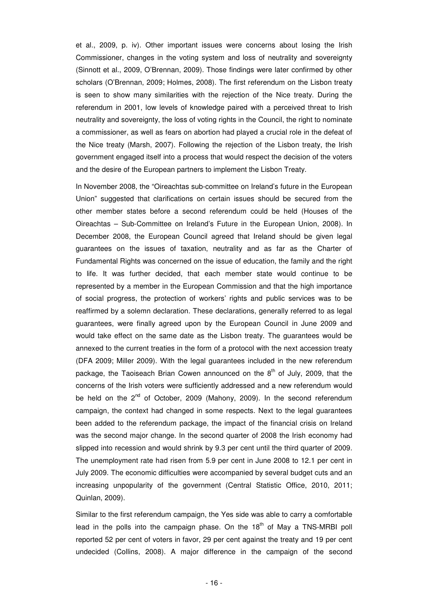et al., 2009, p. iv). Other important issues were concerns about losing the Irish Commissioner, changes in the voting system and loss of neutrality and sovereignty (Sinnott et al., 2009, O'Brennan, 2009). Those findings were later confirmed by other scholars (O'Brennan, 2009; Holmes, 2008). The first referendum on the Lisbon treaty is seen to show many similarities with the rejection of the Nice treaty. During the referendum in 2001, low levels of knowledge paired with a perceived threat to Irish neutrality and sovereignty, the loss of voting rights in the Council, the right to nominate a commissioner, as well as fears on abortion had played a crucial role in the defeat of the Nice treaty (Marsh, 2007). Following the rejection of the Lisbon treaty, the Irish government engaged itself into a process that would respect the decision of the voters and the desire of the European partners to implement the Lisbon Treaty.

In November 2008, the "Oireachtas sub-committee on Ireland's future in the European Union" suggested that clarifications on certain issues should be secured from the other member states before a second referendum could be held (Houses of the Oireachtas – Sub-Committee on Ireland's Future in the European Union, 2008). In December 2008, the European Council agreed that Ireland should be given legal guarantees on the issues of taxation, neutrality and as far as the Charter of Fundamental Rights was concerned on the issue of education, the family and the right to life. It was further decided, that each member state would continue to be represented by a member in the European Commission and that the high importance of social progress, the protection of workers' rights and public services was to be reaffirmed by a solemn declaration. These declarations, generally referred to as legal guarantees, were finally agreed upon by the European Council in June 2009 and would take effect on the same date as the Lisbon treaty. The guarantees would be annexed to the current treaties in the form of a protocol with the next accession treaty (DFA 2009; Miller 2009). With the legal guarantees included in the new referendum package, the Taoiseach Brian Cowen announced on the  $8<sup>th</sup>$  of July, 2009, that the concerns of the Irish voters were sufficiently addressed and a new referendum would be held on the 2<sup>nd</sup> of October, 2009 (Mahony, 2009). In the second referendum campaign, the context had changed in some respects. Next to the legal guarantees been added to the referendum package, the impact of the financial crisis on Ireland was the second major change. In the second quarter of 2008 the Irish economy had slipped into recession and would shrink by 9.3 per cent until the third quarter of 2009. The unemployment rate had risen from 5.9 per cent in June 2008 to 12.1 per cent in July 2009. The economic difficulties were accompanied by several budget cuts and an increasing unpopularity of the government (Central Statistic Office, 2010, 2011; Quinlan, 2009).

Similar to the first referendum campaign, the Yes side was able to carry a comfortable lead in the polls into the campaign phase. On the  $18<sup>th</sup>$  of May a TNS-MRBI poll reported 52 per cent of voters in favor, 29 per cent against the treaty and 19 per cent undecided (Collins, 2008). A major difference in the campaign of the second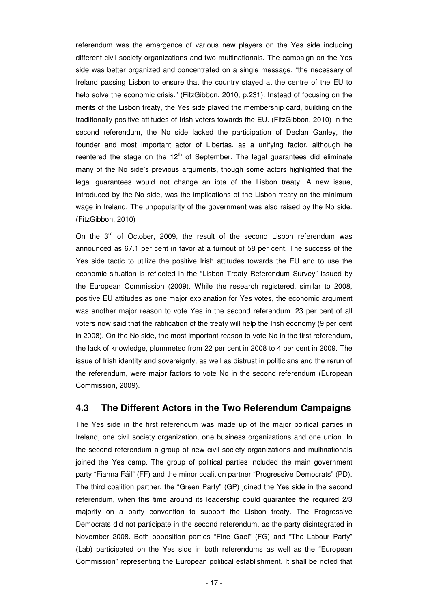referendum was the emergence of various new players on the Yes side including different civil society organizations and two multinationals. The campaign on the Yes side was better organized and concentrated on a single message, "the necessary of Ireland passing Lisbon to ensure that the country stayed at the centre of the EU to help solve the economic crisis." (FitzGibbon, 2010, p.231). Instead of focusing on the merits of the Lisbon treaty, the Yes side played the membership card, building on the traditionally positive attitudes of Irish voters towards the EU. (FitzGibbon, 2010) In the second referendum, the No side lacked the participation of Declan Ganley, the founder and most important actor of Libertas, as a unifying factor, although he reentered the stage on the  $12<sup>th</sup>$  of September. The legal guarantees did eliminate many of the No side's previous arguments, though some actors highlighted that the legal guarantees would not change an iota of the Lisbon treaty. A new issue, introduced by the No side, was the implications of the Lisbon treaty on the minimum wage in Ireland. The unpopularity of the government was also raised by the No side. (FitzGibbon, 2010)

On the  $3^{rd}$  of October, 2009, the result of the second Lisbon referendum was announced as 67.1 per cent in favor at a turnout of 58 per cent. The success of the Yes side tactic to utilize the positive Irish attitudes towards the EU and to use the economic situation is reflected in the "Lisbon Treaty Referendum Survey" issued by the European Commission (2009). While the research registered, similar to 2008, positive EU attitudes as one major explanation for Yes votes, the economic argument was another major reason to vote Yes in the second referendum. 23 per cent of all voters now said that the ratification of the treaty will help the Irish economy (9 per cent in 2008). On the No side, the most important reason to vote No in the first referendum, the lack of knowledge, plummeted from 22 per cent in 2008 to 4 per cent in 2009. The issue of Irish identity and sovereignty, as well as distrust in politicians and the rerun of the referendum, were major factors to vote No in the second referendum (European Commission, 2009).

### **4.3 The Different Actors in the Two Referendum Campaigns**

The Yes side in the first referendum was made up of the major political parties in Ireland, one civil society organization, one business organizations and one union. In the second referendum a group of new civil society organizations and multinationals joined the Yes camp. The group of political parties included the main government party "Fianna Fáil" (FF) and the minor coalition partner "Progressive Democrats" (PD). The third coalition partner, the "Green Party" (GP) joined the Yes side in the second referendum, when this time around its leadership could guarantee the required 2/3 majority on a party convention to support the Lisbon treaty. The Progressive Democrats did not participate in the second referendum, as the party disintegrated in November 2008. Both opposition parties "Fine Gael" (FG) and "The Labour Party" (Lab) participated on the Yes side in both referendums as well as the "European Commission" representing the European political establishment. It shall be noted that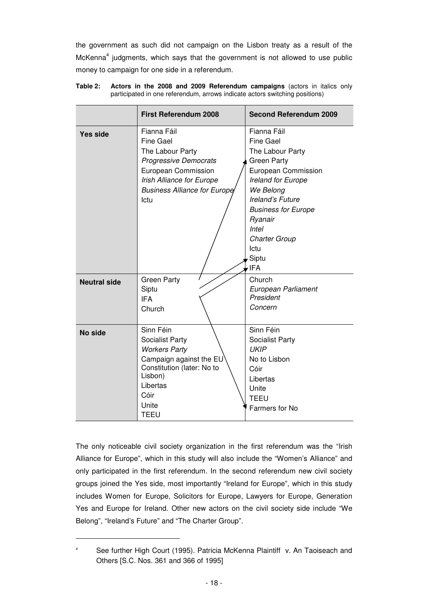the government as such did not campaign on the Lisbon treaty as a result of the McKenna<sup>4</sup> judgments, which says that the government is not allowed to use public money to campaign for one side in a referendum.

|                     | <b>First Referendum 2008</b>                                                                                                                                                           | <b>Second Referendum 2009</b>                                                                                                                                                                                                                             |
|---------------------|----------------------------------------------------------------------------------------------------------------------------------------------------------------------------------------|-----------------------------------------------------------------------------------------------------------------------------------------------------------------------------------------------------------------------------------------------------------|
| Yes side            | Fianna Fáil<br><b>Fine Gael</b><br>The Labour Party<br><b>Progressive Democrats</b><br>European Commission<br>Irish Alliance for Europe<br><b>Business Alliance for Europe</b><br>Ictu | Fianna Fáil<br>Fine Gael<br>The Labour Party<br><b>Green Party</b><br>European Commission<br>Ireland for Europe<br>We Belong<br>Ireland's Future<br><b>Business for Europe</b><br>Ryanair<br><b>Intel</b><br><b>Charter Group</b><br>Ictu<br>Siptu<br>IFA |
| <b>Neutral side</b> | <b>Green Party</b><br>Siptu<br><b>IFA</b><br>Church                                                                                                                                    | Church<br>European Parliament<br>President<br>Concern                                                                                                                                                                                                     |
| <b>No side</b>      | Sinn Féin<br>Socialist Party<br><b>Workers Party</b><br>Campaign against the EU<br>Constitution (later: No to<br>Lisbon)<br>Libertas<br>Cóir<br>Unite<br><b>TEEU</b>                   | Sinn Féin<br>Socialist Party<br><b>UKIP</b><br>No to Lisbon<br>Cóir<br>Libertas<br>Unite<br><b>TEEU</b><br>Farmers for No                                                                                                                                 |

**Table 2: Actors in the 2008 and 2009 Referendum campaigns** (actors in italics only participated in one referendum, arrows indicate actors switching positions)

The only noticeable civil society organization in the first referendum was the "Irish Alliance for Europe", which in this study will also include the "Women's Alliance" and only participated in the first referendum. In the second referendum new civil society groups joined the Yes side, most importantly "Ireland for Europe", which in this study includes Women for Europe, Solicitors for Europe, Lawyers for Europe, Generation Yes and Europe for Ireland. Other new actors on the civil society side include "We Belong", "Ireland's Future" and "The Charter Group".

 $\overline{a}$ 

<sup>4</sup> See further High Court (1995). Patricia McKenna Plaintiff v. An Taoiseach and Others [S.C. Nos. 361 and 366 of 1995]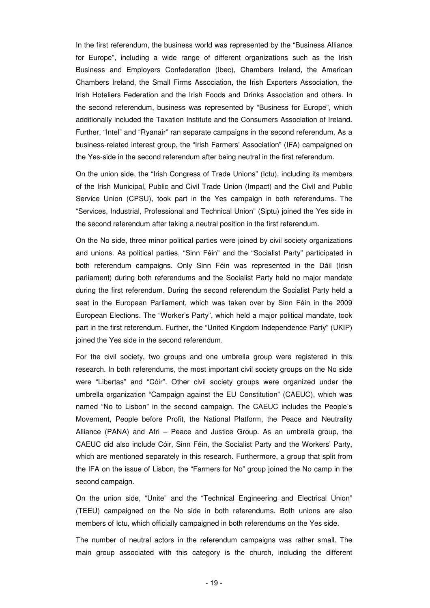In the first referendum, the business world was represented by the "Business Alliance for Europe", including a wide range of different organizations such as the Irish Business and Employers Confederation (Ibec), Chambers Ireland, the American Chambers Ireland, the Small Firms Association, the Irish Exporters Association, the Irish Hoteliers Federation and the Irish Foods and Drinks Association and others. In the second referendum, business was represented by "Business for Europe", which additionally included the Taxation Institute and the Consumers Association of Ireland. Further, "Intel" and "Ryanair" ran separate campaigns in the second referendum. As a business-related interest group, the "Irish Farmers' Association" (IFA) campaigned on the Yes-side in the second referendum after being neutral in the first referendum.

On the union side, the "Irish Congress of Trade Unions" (Ictu), including its members of the Irish Municipal, Public and Civil Trade Union (Impact) and the Civil and Public Service Union (CPSU), took part in the Yes campaign in both referendums. The "Services, Industrial, Professional and Technical Union" (Siptu) joined the Yes side in the second referendum after taking a neutral position in the first referendum.

On the No side, three minor political parties were joined by civil society organizations and unions. As political parties, "Sinn Féin" and the "Socialist Party" participated in both referendum campaigns. Only Sinn Féin was represented in the Dáil (Irish parliament) during both referendums and the Socialist Party held no major mandate during the first referendum. During the second referendum the Socialist Party held a seat in the European Parliament, which was taken over by Sinn Féin in the 2009 European Elections. The "Worker's Party", which held a major political mandate, took part in the first referendum. Further, the "United Kingdom Independence Party" (UKIP) joined the Yes side in the second referendum.

For the civil society, two groups and one umbrella group were registered in this research. In both referendums, the most important civil society groups on the No side were "Libertas" and "Cóir". Other civil society groups were organized under the umbrella organization "Campaign against the EU Constitution" (CAEUC), which was named "No to Lisbon" in the second campaign. The CAEUC includes the People's Movement, People before Profit, the National Platform, the Peace and Neutrality Alliance (PANA) and Afri – Peace and Justice Group. As an umbrella group, the CAEUC did also include Cóir, Sinn Féin, the Socialist Party and the Workers' Party, which are mentioned separately in this research. Furthermore, a group that split from the IFA on the issue of Lisbon, the "Farmers for No" group joined the No camp in the second campaign.

On the union side, "Unite" and the "Technical Engineering and Electrical Union" (TEEU) campaigned on the No side in both referendums. Both unions are also members of Ictu, which officially campaigned in both referendums on the Yes side.

The number of neutral actors in the referendum campaigns was rather small. The main group associated with this category is the church, including the different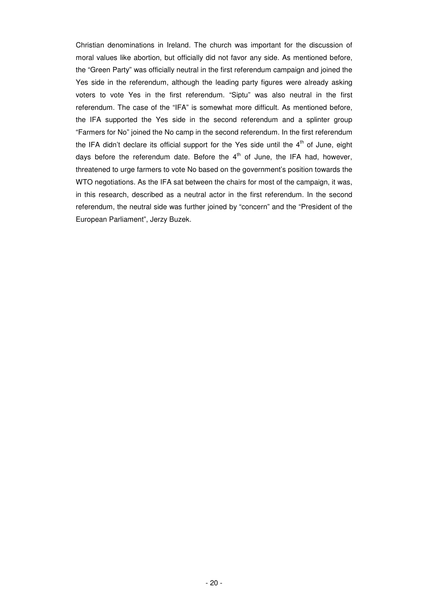Christian denominations in Ireland. The church was important for the discussion of moral values like abortion, but officially did not favor any side. As mentioned before, the "Green Party" was officially neutral in the first referendum campaign and joined the Yes side in the referendum, although the leading party figures were already asking voters to vote Yes in the first referendum. "Siptu" was also neutral in the first referendum. The case of the "IFA" is somewhat more difficult. As mentioned before, the IFA supported the Yes side in the second referendum and a splinter group "Farmers for No" joined the No camp in the second referendum. In the first referendum the IFA didn't declare its official support for the Yes side until the  $4<sup>th</sup>$  of June, eight days before the referendum date. Before the  $4<sup>th</sup>$  of June, the IFA had, however, threatened to urge farmers to vote No based on the government's position towards the WTO negotiations. As the IFA sat between the chairs for most of the campaign, it was, in this research, described as a neutral actor in the first referendum. In the second referendum, the neutral side was further joined by "concern" and the "President of the European Parliament", Jerzy Buzek.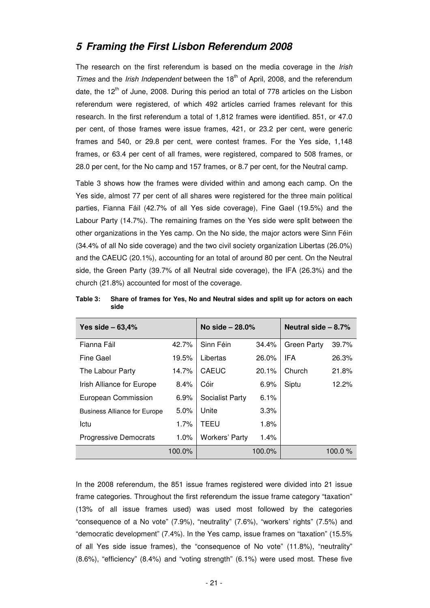## **5 Framing the First Lisbon Referendum 2008**

The research on the first referendum is based on the media coverage in the Irish Times and the *Irish Independent* between the 18<sup>th</sup> of April, 2008, and the referendum date, the  $12<sup>th</sup>$  of June, 2008. During this period an total of 778 articles on the Lisbon referendum were registered, of which 492 articles carried frames relevant for this research. In the first referendum a total of 1,812 frames were identified. 851, or 47.0 per cent, of those frames were issue frames, 421, or 23.2 per cent, were generic frames and 540, or 29.8 per cent, were contest frames. For the Yes side, 1,148 frames, or 63.4 per cent of all frames, were registered, compared to 508 frames, or 28.0 per cent, for the No camp and 157 frames, or 8.7 per cent, for the Neutral camp.

Table 3 shows how the frames were divided within and among each camp. On the Yes side, almost 77 per cent of all shares were registered for the three main political parties, Fianna Fáil (42.7% of all Yes side coverage), Fine Gael (19.5%) and the Labour Party (14.7%). The remaining frames on the Yes side were split between the other organizations in the Yes camp. On the No side, the major actors were Sinn Féin (34.4% of all No side coverage) and the two civil society organization Libertas (26.0%) and the CAEUC (20.1%), accounting for an total of around 80 per cent. On the Neutral side, the Green Party (39.7% of all Neutral side coverage), the IFA (26.3%) and the church (21.8%) accounted for most of the coverage.

| Yes side $-63,4%$                   |         | No side $-28.0%$      |         | Neutral side $-8.7%$ |           |  |
|-------------------------------------|---------|-----------------------|---------|----------------------|-----------|--|
| Fianna Fáil                         | 42.7%   | Sinn Féin             | 34.4%   | <b>Green Party</b>   | 39.7%     |  |
| Fine Gael                           | 19.5%   | Libertas              | 26.0%   | <b>IFA</b>           | 26.3%     |  |
| The Labour Party                    | 14.7%   | <b>CAEUC</b>          | 20.1%   | Church               | 21.8%     |  |
| Irish Alliance for Europe           | 8.4%    | Cóir                  | 6.9%    | Siptu                | 12.2%     |  |
| European Commission                 | 6.9%    | Socialist Party       | 6.1%    |                      |           |  |
| <b>Business Alliance for Europe</b> | $5.0\%$ | Unite                 | $3.3\%$ |                      |           |  |
| Ictu                                | 1.7%    | TEEU                  | 1.8%    |                      |           |  |
| <b>Progressive Democrats</b>        | $1.0\%$ | <b>Workers' Party</b> | 1.4%    |                      |           |  |
|                                     | 100.0%  |                       | 100.0%  |                      | 100.0 $%$ |  |

**Table 3: Share of frames for Yes, No and Neutral sides and split up for actors on each side** 

In the 2008 referendum, the 851 issue frames registered were divided into 21 issue frame categories. Throughout the first referendum the issue frame category "taxation" (13% of all issue frames used) was used most followed by the categories "consequence of a No vote" (7.9%), "neutrality" (7.6%), "workers' rights" (7.5%) and "democratic development" (7.4%). In the Yes camp, issue frames on "taxation" (15.5% of all Yes side issue frames), the "consequence of No vote" (11.8%), "neutrality" (8.6%), "efficiency" (8.4%) and "voting strength" (6.1%) were used most. These five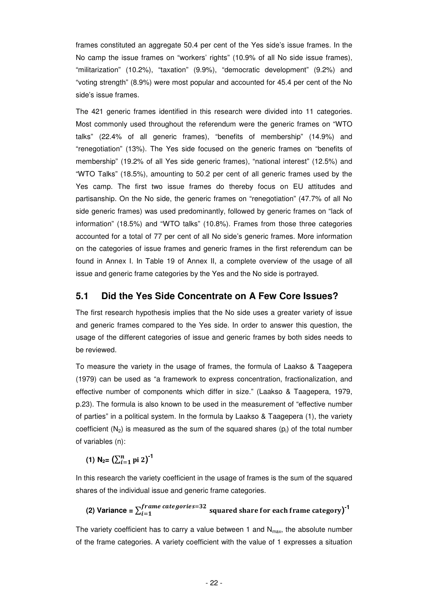frames constituted an aggregate 50.4 per cent of the Yes side's issue frames. In the No camp the issue frames on "workers' rights" (10.9% of all No side issue frames), "militarization" (10.2%), "taxation" (9.9%), "democratic development" (9.2%) and "voting strength" (8.9%) were most popular and accounted for 45.4 per cent of the No side's issue frames.

The 421 generic frames identified in this research were divided into 11 categories. Most commonly used throughout the referendum were the generic frames on "WTO talks" (22.4% of all generic frames), "benefits of membership" (14.9%) and "renegotiation" (13%). The Yes side focused on the generic frames on "benefits of membership" (19.2% of all Yes side generic frames), "national interest" (12.5%) and "WTO Talks" (18.5%), amounting to 50.2 per cent of all generic frames used by the Yes camp. The first two issue frames do thereby focus on EU attitudes and partisanship. On the No side, the generic frames on "renegotiation" (47.7% of all No side generic frames) was used predominantly, followed by generic frames on "lack of information" (18.5%) and "WTO talks" (10.8%). Frames from those three categories accounted for a total of 77 per cent of all No side's generic frames. More information on the categories of issue frames and generic frames in the first referendum can be found in Annex I. In Table 19 of Annex II, a complete overview of the usage of all issue and generic frame categories by the Yes and the No side is portrayed.

#### **5.1 Did the Yes Side Concentrate on A Few Core Issues?**

The first research hypothesis implies that the No side uses a greater variety of issue and generic frames compared to the Yes side. In order to answer this question, the usage of the different categories of issue and generic frames by both sides needs to be reviewed.

To measure the variety in the usage of frames, the formula of Laakso & Taagepera (1979) can be used as "a framework to express concentration, fractionalization, and effective number of components which differ in size." (Laakso & Taagepera, 1979, p.23). The formula is also known to be used in the measurement of "effective number of parties" in a political system. In the formula by Laakso & Taagepera (1), the variety coefficient  $(N_2)$  is measured as the sum of the squared shares  $(p_i)$  of the total number of variables (n):

**(1)**  $N_{2} = (\sum_{i=1}^{n} p i 2)^{-1}$ 

In this research the variety coefficient in the usage of frames is the sum of the squared shares of the individual issue and generic frame categories.

(2) Variance = 
$$
\sum_{i=1}^{frame\ categories=32}
$$
 squared share for each frame category)<sup>-1</sup>

The variety coefficient has to carry a value between 1 and  $N_{\text{max}}$ , the absolute number of the frame categories. A variety coefficient with the value of 1 expresses a situation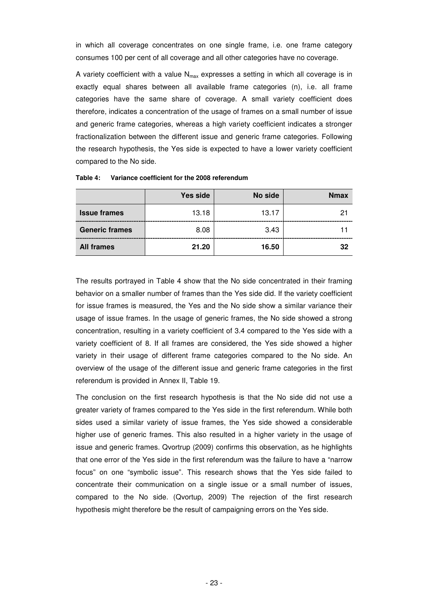in which all coverage concentrates on one single frame, i.e. one frame category consumes 100 per cent of all coverage and all other categories have no coverage.

A variety coefficient with a value  $N_{max}$  expresses a setting in which all coverage is in exactly equal shares between all available frame categories (n), i.e. all frame categories have the same share of coverage. A small variety coefficient does therefore, indicates a concentration of the usage of frames on a small number of issue and generic frame categories, whereas a high variety coefficient indicates a stronger fractionalization between the different issue and generic frame categories. Following the research hypothesis, the Yes side is expected to have a lower variety coefficient compared to the No side.

|                       | Yes side | No side | <b>Nmax</b> |
|-----------------------|----------|---------|-------------|
| <b>Issue frames</b>   | 13.18    | 13.17   |             |
| <b>Generic frames</b> | 8.08     | 3.43    |             |
| <b>All frames</b>     | 21.20    | 16.50   | 32          |

**Table 4: Variance coefficient for the 2008 referendum** 

The results portrayed in Table 4 show that the No side concentrated in their framing behavior on a smaller number of frames than the Yes side did. If the variety coefficient for issue frames is measured, the Yes and the No side show a similar variance their usage of issue frames. In the usage of generic frames, the No side showed a strong concentration, resulting in a variety coefficient of 3.4 compared to the Yes side with a variety coefficient of 8. If all frames are considered, the Yes side showed a higher variety in their usage of different frame categories compared to the No side. An overview of the usage of the different issue and generic frame categories in the first referendum is provided in Annex II, Table 19.

The conclusion on the first research hypothesis is that the No side did not use a greater variety of frames compared to the Yes side in the first referendum. While both sides used a similar variety of issue frames, the Yes side showed a considerable higher use of generic frames. This also resulted in a higher variety in the usage of issue and generic frames. Qvortrup (2009) confirms this observation, as he highlights that one error of the Yes side in the first referendum was the failure to have a "narrow focus" on one "symbolic issue". This research shows that the Yes side failed to concentrate their communication on a single issue or a small number of issues, compared to the No side. (Qvortup, 2009) The rejection of the first research hypothesis might therefore be the result of campaigning errors on the Yes side.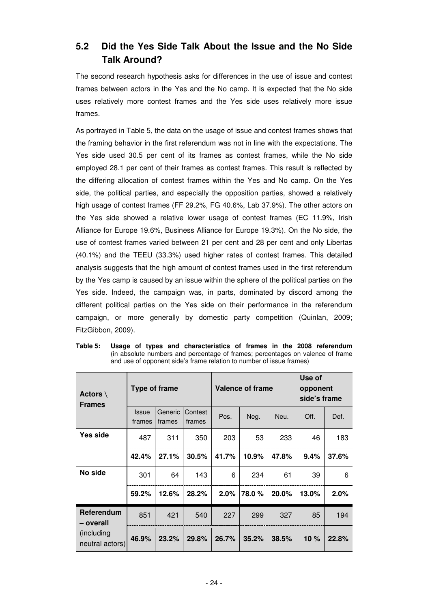## **5.2 Did the Yes Side Talk About the Issue and the No Side Talk Around?**

The second research hypothesis asks for differences in the use of issue and contest frames between actors in the Yes and the No camp. It is expected that the No side uses relatively more contest frames and the Yes side uses relatively more issue frames.

As portrayed in Table 5, the data on the usage of issue and contest frames shows that the framing behavior in the first referendum was not in line with the expectations. The Yes side used 30.5 per cent of its frames as contest frames, while the No side employed 28.1 per cent of their frames as contest frames. This result is reflected by the differing allocation of contest frames within the Yes and No camp. On the Yes side, the political parties, and especially the opposition parties, showed a relatively high usage of contest frames (FF 29.2%, FG 40.6%, Lab 37.9%). The other actors on the Yes side showed a relative lower usage of contest frames (EC 11.9%, Irish Alliance for Europe 19.6%, Business Alliance for Europe 19.3%). On the No side, the use of contest frames varied between 21 per cent and 28 per cent and only Libertas (40.1%) and the TEEU (33.3%) used higher rates of contest frames. This detailed analysis suggests that the high amount of contest frames used in the first referendum by the Yes camp is caused by an issue within the sphere of the political parties on the Yes side. Indeed, the campaign was, in parts, dominated by discord among the different political parties on the Yes side on their performance in the referendum campaign, or more generally by domestic party competition (Quinlan, 2009; FitzGibbon, 2009).

| Actors $\setminus$<br><b>Frames</b> | <b>Type of frame</b>   |                   |                   | <b>Valence of frame</b> |       |       | Use of<br>opponent<br>side's frame |         |
|-------------------------------------|------------------------|-------------------|-------------------|-------------------------|-------|-------|------------------------------------|---------|
|                                     | <b>Issue</b><br>frames | Generic<br>frames | Contest<br>frames | Pos.                    | Neg.  | Neu.  | Off.                               | Def.    |
| Yes side                            | 487                    | 311               | 350               | 203                     | 53    | 233   | 46                                 | 183     |
|                                     | 42.4%                  | 27.1%             | 30.5%             | 41.7%                   | 10.9% | 47.8% | 9.4%                               | 37.6%   |
| No side                             | 301                    | 64                | 143               | 6                       | 234   | 61    | 39                                 | 6       |
|                                     | 59.2%                  | 12.6%             | 28.2%             | $2.0\%$                 | 78.0% | 20.0% | 13.0%                              | $2.0\%$ |
| Referendum<br>– overall             | 851                    | 421               | 540               | 227                     | 299   | 327   | 85                                 | 194     |
| (including<br>neutral actors)       | 46.9%                  | 23.2%             | 29.8%             | 26.7%                   | 35.2% | 38.5% | 10 $%$                             | 22.8%   |

**Table 5: Usage of types and characteristics of frames in the 2008 referendum**  (in absolute numbers and percentage of frames; percentages on valence of frame and use of opponent side's frame relation to number of issue frames)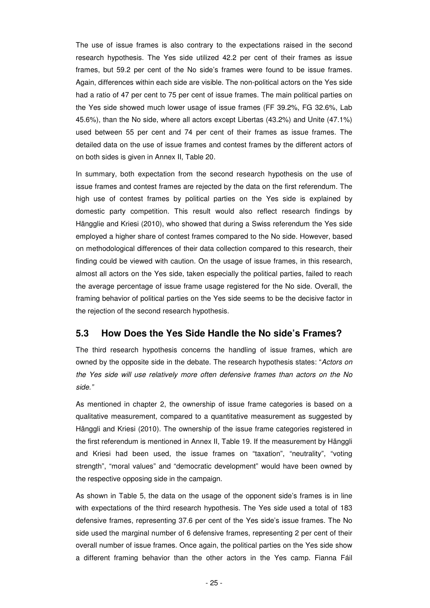The use of issue frames is also contrary to the expectations raised in the second research hypothesis. The Yes side utilized 42.2 per cent of their frames as issue frames, but 59.2 per cent of the No side's frames were found to be issue frames. Again, differences within each side are visible. The non-political actors on the Yes side had a ratio of 47 per cent to 75 per cent of issue frames. The main political parties on the Yes side showed much lower usage of issue frames (FF 39.2%, FG 32.6%, Lab 45.6%), than the No side, where all actors except Libertas (43.2%) and Unite (47.1%) used between 55 per cent and 74 per cent of their frames as issue frames. The detailed data on the use of issue frames and contest frames by the different actors of on both sides is given in Annex II, Table 20.

In summary, both expectation from the second research hypothesis on the use of issue frames and contest frames are rejected by the data on the first referendum. The high use of contest frames by political parties on the Yes side is explained by domestic party competition. This result would also reflect research findings by Hängglie and Kriesi (2010), who showed that during a Swiss referendum the Yes side employed a higher share of contest frames compared to the No side. However, based on methodological differences of their data collection compared to this research, their finding could be viewed with caution. On the usage of issue frames, in this research, almost all actors on the Yes side, taken especially the political parties, failed to reach the average percentage of issue frame usage registered for the No side. Overall, the framing behavior of political parties on the Yes side seems to be the decisive factor in the rejection of the second research hypothesis.

### **5.3 How Does the Yes Side Handle the No side's Frames?**

The third research hypothesis concerns the handling of issue frames, which are owned by the opposite side in the debate. The research hypothesis states: "Actors on the Yes side will use relatively more often defensive frames than actors on the No side."

As mentioned in chapter 2, the ownership of issue frame categories is based on a qualitative measurement, compared to a quantitative measurement as suggested by Hänggli and Kriesi (2010). The ownership of the issue frame categories registered in the first referendum is mentioned in Annex II, Table 19. If the measurement by Hänggli and Kriesi had been used, the issue frames on "taxation", "neutrality", "voting strength", "moral values" and "democratic development" would have been owned by the respective opposing side in the campaign.

As shown in Table 5, the data on the usage of the opponent side's frames is in line with expectations of the third research hypothesis. The Yes side used a total of 183 defensive frames, representing 37.6 per cent of the Yes side's issue frames. The No side used the marginal number of 6 defensive frames, representing 2 per cent of their overall number of issue frames. Once again, the political parties on the Yes side show a different framing behavior than the other actors in the Yes camp. Fianna Fáil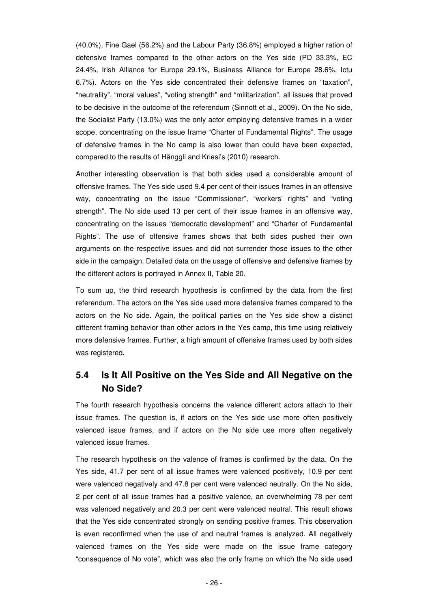(40.0%), Fine Gael (56.2%) and the Labour Party (36.8%) employed a higher ration of defensive frames compared to the other actors on the Yes side (PD 33.3%, EC 24.4%, Irish Alliance for Europe 29.1%, Business Alliance for Europe 28.6%, Ictu 6.7%). Actors on the Yes side concentrated their defensive frames on "taxation", "neutrality", "moral values", "voting strength" and "militarization", all issues that proved to be decisive in the outcome of the referendum (Sinnott et al., 2009). On the No side, the Socialist Party (13.0%) was the only actor employing defensive frames in a wider scope, concentrating on the issue frame "Charter of Fundamental Rights". The usage of defensive frames in the No camp is also lower than could have been expected, compared to the results of Hänggli and Kriesi's (2010) research.

Another interesting observation is that both sides used a considerable amount of offensive frames. The Yes side used 9.4 per cent of their issues frames in an offensive way, concentrating on the issue "Commissioner", "workers' rights" and "voting strength". The No side used 13 per cent of their issue frames in an offensive way, concentrating on the issues "democratic development" and "Charter of Fundamental Rights". The use of offensive frames shows that both sides pushed their own arguments on the respective issues and did not surrender those issues to the other side in the campaign. Detailed data on the usage of offensive and defensive frames by the different actors is portrayed in Annex II, Table 20.

To sum up, the third research hypothesis is confirmed by the data from the first referendum. The actors on the Yes side used more defensive frames compared to the actors on the No side. Again, the political parties on the Yes side show a distinct different framing behavior than other actors in the Yes camp, this time using relatively more defensive frames. Further, a high amount of offensive frames used by both sides was registered.

## **5.4 Is It All Positive on the Yes Side and All Negative on the No Side?**

The fourth research hypothesis concerns the valence different actors attach to their issue frames. The question is, if actors on the Yes side use more often positively valenced issue frames, and if actors on the No side use more often negatively valenced issue frames.

The research hypothesis on the valence of frames is confirmed by the data. On the Yes side, 41.7 per cent of all issue frames were valenced positively, 10.9 per cent were valenced negatively and 47.8 per cent were valenced neutrally. On the No side, 2 per cent of all issue frames had a positive valence, an overwhelming 78 per cent was valenced negatively and 20.3 per cent were valenced neutral. This result shows that the Yes side concentrated strongly on sending positive frames. This observation is even reconfirmed when the use of and neutral frames is analyzed. All negatively valenced frames on the Yes side were made on the issue frame category "consequence of No vote", which was also the only frame on which the No side used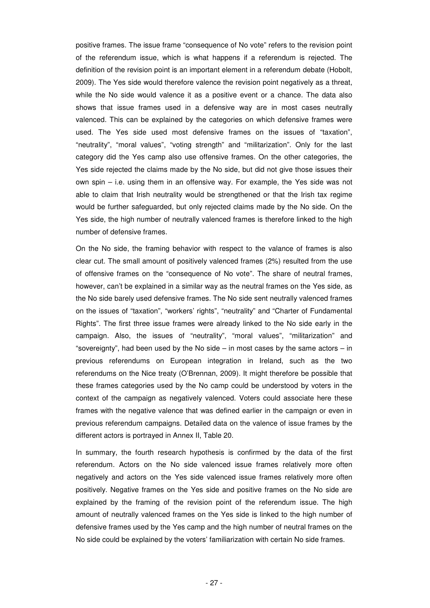positive frames. The issue frame "consequence of No vote" refers to the revision point of the referendum issue, which is what happens if a referendum is rejected. The definition of the revision point is an important element in a referendum debate (Hobolt, 2009). The Yes side would therefore valence the revision point negatively as a threat, while the No side would valence it as a positive event or a chance. The data also shows that issue frames used in a defensive way are in most cases neutrally valenced. This can be explained by the categories on which defensive frames were used. The Yes side used most defensive frames on the issues of "taxation", "neutrality", "moral values", "voting strength" and "militarization". Only for the last category did the Yes camp also use offensive frames. On the other categories, the Yes side rejected the claims made by the No side, but did not give those issues their own spin – i.e. using them in an offensive way. For example, the Yes side was not able to claim that Irish neutrality would be strengthened or that the Irish tax regime would be further safeguarded, but only rejected claims made by the No side. On the Yes side, the high number of neutrally valenced frames is therefore linked to the high number of defensive frames.

On the No side, the framing behavior with respect to the valance of frames is also clear cut. The small amount of positively valenced frames (2%) resulted from the use of offensive frames on the "consequence of No vote". The share of neutral frames, however, can't be explained in a similar way as the neutral frames on the Yes side, as the No side barely used defensive frames. The No side sent neutrally valenced frames on the issues of "taxation", "workers' rights", "neutrality" and "Charter of Fundamental Rights". The first three issue frames were already linked to the No side early in the campaign. Also, the issues of "neutrality", "moral values", "militarization" and "sovereignty", had been used by the No side  $-$  in most cases by the same actors  $-$  in previous referendums on European integration in Ireland, such as the two referendums on the Nice treaty (O'Brennan, 2009). It might therefore be possible that these frames categories used by the No camp could be understood by voters in the context of the campaign as negatively valenced. Voters could associate here these frames with the negative valence that was defined earlier in the campaign or even in previous referendum campaigns. Detailed data on the valence of issue frames by the different actors is portrayed in Annex II, Table 20.

In summary, the fourth research hypothesis is confirmed by the data of the first referendum. Actors on the No side valenced issue frames relatively more often negatively and actors on the Yes side valenced issue frames relatively more often positively. Negative frames on the Yes side and positive frames on the No side are explained by the framing of the revision point of the referendum issue. The high amount of neutrally valenced frames on the Yes side is linked to the high number of defensive frames used by the Yes camp and the high number of neutral frames on the No side could be explained by the voters' familiarization with certain No side frames.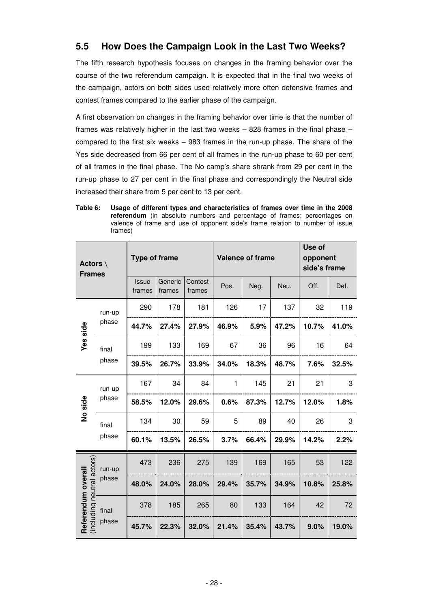## **5.5 How Does the Campaign Look in the Last Two Weeks?**

The fifth research hypothesis focuses on changes in the framing behavior over the course of the two referendum campaign. It is expected that in the final two weeks of the campaign, actors on both sides used relatively more often defensive frames and contest frames compared to the earlier phase of the campaign.

A first observation on changes in the framing behavior over time is that the number of frames was relatively higher in the last two weeks – 828 frames in the final phase – compared to the first six weeks – 983 frames in the run-up phase. The share of the Yes side decreased from 66 per cent of all frames in the run-up phase to 60 per cent of all frames in the final phase. The No camp's share shrank from 29 per cent in the run-up phase to 27 per cent in the final phase and correspondingly the Neutral side increased their share from 5 per cent to 13 per cent.

**Table 6: Usage of different types and characteristics of frames over time in the 2008 referendum** (in absolute numbers and percentage of frames; percentages on valence of frame and use of opponent side's frame relation to number of issue frames)

| Actors $\setminus$<br><b>Frames</b> |                | <b>Type of frame</b> |                   |                   | Valence of frame |       |       | Use of<br>opponent<br>side's frame |       |
|-------------------------------------|----------------|----------------------|-------------------|-------------------|------------------|-------|-------|------------------------------------|-------|
|                                     |                | Issue<br>frames      | Generic<br>frames | Contest<br>frames | Pos.             | Neg.  | Neu.  | Off.                               | Def.  |
|                                     | run-up         | 290                  | 178               | 181               | 126              | 17    | 137   | 32                                 | 119   |
| Yes side                            | phase          | 44.7%                | 27.4%             | 27.9%             | 46.9%            | 5.9%  | 47.2% | 10.7%                              | 41.0% |
|                                     | final          | 199                  | 133               | 169               | 67               | 36    | 96    | 16                                 | 64    |
|                                     | phase          | 39.5%                | 26.7%             | 33.9%             | 34.0%            | 18.3% | 48.7% | 7.6%                               | 32.5% |
|                                     | run-up         | 167                  | 34                | 84                | $\mathbf{1}$     | 145   | 21    | 21                                 | 3     |
| No side                             | phase          | 58.5%                | 12.0%             | 29.6%             | 0.6%             | 87.3% | 12.7% | 12.0%                              | 1.8%  |
|                                     | final<br>phase | 134                  | 30                | 59                | 5                | 89    | 40    | 26                                 | 3     |
|                                     |                | 60.1%                | 13.5%             | 26.5%             | 3.7%             | 66.4% | 29.9% | 14.2%                              | 2.2%  |
|                                     | run-up         | 473                  | 236               | 275               | 139              | 169   | 165   | 53                                 | 122   |
| (including neutral actors)          | phase          | 48.0%                | 24.0%             | 28.0%             | 29.4%            | 35.7% | 34.9% | 10.8%                              | 25.8% |
| Referendum overall                  | final          | 378                  | 185               | 265               | 80               | 133   | 164   | 42                                 | 72    |
|                                     | phase          | 45.7%                | 22.3%             | 32.0%             | 21.4%            | 35.4% | 43.7% | 9.0%                               | 19.0% |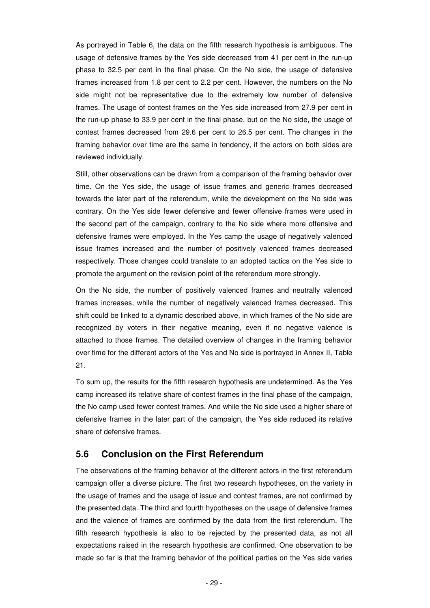As portrayed in Table 6, the data on the fifth research hypothesis is ambiguous. The usage of defensive frames by the Yes side decreased from 41 per cent in the run-up phase to 32.5 per cent in the final phase. On the No side, the usage of defensive frames increased from 1.8 per cent to 2.2 per cent. However, the numbers on the No side might not be representative due to the extremely low number of defensive frames. The usage of contest frames on the Yes side increased from 27.9 per cent in the run-up phase to 33.9 per cent in the final phase, but on the No side, the usage of contest frames decreased from 29.6 per cent to 26.5 per cent. The changes in the framing behavior over time are the same in tendency, if the actors on both sides are reviewed individually.

Still, other observations can be drawn from a comparison of the framing behavior over time. On the Yes side, the usage of issue frames and generic frames decreased towards the later part of the referendum, while the development on the No side was contrary. On the Yes side fewer defensive and fewer offensive frames were used in the second part of the campaign, contrary to the No side where more offensive and defensive frames were employed. In the Yes camp the usage of negatively valenced issue frames increased and the number of positively valenced frames decreased respectively. Those changes could translate to an adopted tactics on the Yes side to promote the argument on the revision point of the referendum more strongly.

On the No side, the number of positively valenced frames and neutrally valenced frames increases, while the number of negatively valenced frames decreased. This shift could be linked to a dynamic described above, in which frames of the No side are recognized by voters in their negative meaning, even if no negative valence is attached to those frames. The detailed overview of changes in the framing behavior over time for the different actors of the Yes and No side is portrayed in Annex II, Table 21.

To sum up, the results for the fifth research hypothesis are undetermined. As the Yes camp increased its relative share of contest frames in the final phase of the campaign, the No camp used fewer contest frames. And while the No side used a higher share of defensive frames in the later part of the campaign, the Yes side reduced its relative share of defensive frames.

#### **5.6 Conclusion on the First Referendum**

The observations of the framing behavior of the different actors in the first referendum campaign offer a diverse picture. The first two research hypotheses, on the variety in the usage of frames and the usage of issue and contest frames, are not confirmed by the presented data. The third and fourth hypotheses on the usage of defensive frames and the valence of frames are confirmed by the data from the first referendum. The fifth research hypothesis is also to be rejected by the presented data, as not all expectations raised in the research hypothesis are confirmed. One observation to be made so far is that the framing behavior of the political parties on the Yes side varies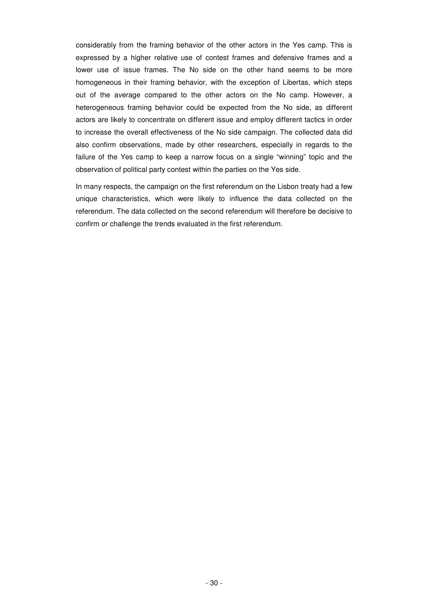considerably from the framing behavior of the other actors in the Yes camp. This is expressed by a higher relative use of contest frames and defensive frames and a lower use of issue frames. The No side on the other hand seems to be more homogeneous in their framing behavior, with the exception of Libertas, which steps out of the average compared to the other actors on the No camp. However, a heterogeneous framing behavior could be expected from the No side, as different actors are likely to concentrate on different issue and employ different tactics in order to increase the overall effectiveness of the No side campaign. The collected data did also confirm observations, made by other researchers, especially in regards to the failure of the Yes camp to keep a narrow focus on a single "winning" topic and the observation of political party contest within the parties on the Yes side.

In many respects, the campaign on the first referendum on the Lisbon treaty had a few unique characteristics, which were likely to influence the data collected on the referendum. The data collected on the second referendum will therefore be decisive to confirm or challenge the trends evaluated in the first referendum.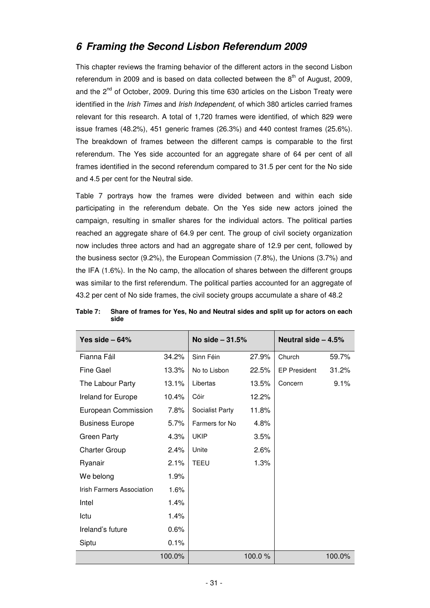# **6 Framing the Second Lisbon Referendum 2009**

This chapter reviews the framing behavior of the different actors in the second Lisbon referendum in 2009 and is based on data collected between the  $8<sup>th</sup>$  of August, 2009, and the 2<sup>nd</sup> of October, 2009. During this time 630 articles on the Lisbon Treaty were identified in the Irish Times and Irish Independent, of which 380 articles carried frames relevant for this research. A total of 1,720 frames were identified, of which 829 were issue frames (48.2%), 451 generic frames (26.3%) and 440 contest frames (25.6%). The breakdown of frames between the different camps is comparable to the first referendum. The Yes side accounted for an aggregate share of 64 per cent of all frames identified in the second referendum compared to 31.5 per cent for the No side and 4.5 per cent for the Neutral side.

Table 7 portrays how the frames were divided between and within each side participating in the referendum debate. On the Yes side new actors joined the campaign, resulting in smaller shares for the individual actors. The political parties reached an aggregate share of 64.9 per cent. The group of civil society organization now includes three actors and had an aggregate share of 12.9 per cent, followed by the business sector (9.2%), the European Commission (7.8%), the Unions (3.7%) and the IFA (1.6%). In the No camp, the allocation of shares between the different groups was similar to the first referendum. The political parties accounted for an aggregate of 43.2 per cent of No side frames, the civil society groups accumulate a share of 48.2

| Yes side $-64%$           |         | No side - 31.5%       |        | Neutral side $-4.5%$ |        |  |  |  |  |
|---------------------------|---------|-----------------------|--------|----------------------|--------|--|--|--|--|
| Fianna Fáil               | 34.2%   | Sinn Féin             | 27.9%  | Church               | 59.7%  |  |  |  |  |
| <b>Fine Gael</b>          | 13.3%   | No to Lisbon<br>22.5% |        | <b>EP President</b>  | 31.2%  |  |  |  |  |
| The Labour Party          | 13.1%   | Libertas              | 13.5%  | Concern              | 9.1%   |  |  |  |  |
| Ireland for Europe        | 10.4%   | Cóir                  | 12.2%  |                      |        |  |  |  |  |
| European Commission       | 7.8%    | Socialist Party       | 11.8%  |                      |        |  |  |  |  |
| <b>Business Europe</b>    | $5.7\%$ | Farmers for No        | 4.8%   |                      |        |  |  |  |  |
| Green Party               | 4.3%    | <b>UKIP</b>           | 3.5%   |                      |        |  |  |  |  |
| <b>Charter Group</b>      | 2.4%    | Unite<br>2.6%         |        |                      |        |  |  |  |  |
| Ryanair                   | 2.1%    | <b>TEEU</b>           | 1.3%   |                      |        |  |  |  |  |
| We belong                 | 1.9%    |                       |        |                      |        |  |  |  |  |
| Irish Farmers Association | 1.6%    |                       |        |                      |        |  |  |  |  |
| Intel                     | 1.4%    |                       |        |                      |        |  |  |  |  |
| Ictu                      | 1.4%    |                       |        |                      |        |  |  |  |  |
| Ireland's future          | 0.6%    |                       |        |                      |        |  |  |  |  |
| Siptu                     | 0.1%    |                       |        |                      |        |  |  |  |  |
|                           | 100.0%  |                       | 100.0% |                      | 100.0% |  |  |  |  |

**Table 7: Share of frames for Yes, No and Neutral sides and split up for actors on each side**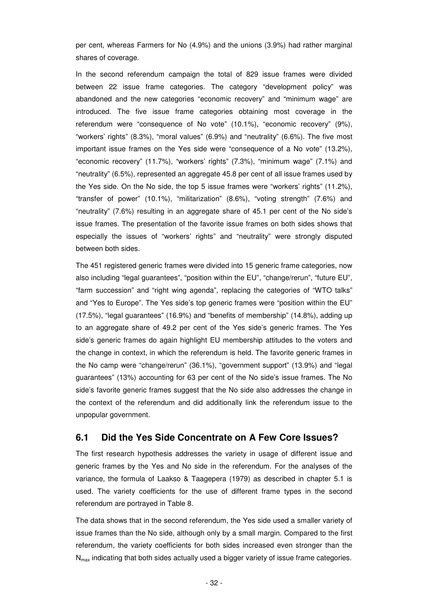per cent, whereas Farmers for No (4.9%) and the unions (3.9%) had rather marginal shares of coverage.

In the second referendum campaign the total of 829 issue frames were divided between 22 issue frame categories. The category "development policy" was abandoned and the new categories "economic recovery" and "minimum wage" are introduced. The five issue frame categories obtaining most coverage in the referendum were "consequence of No vote" (10.1%), "economic recovery" (9%), "workers' rights" (8.3%), "moral values" (6.9%) and "neutrality" (6.6%). The five most important issue frames on the Yes side were "consequence of a No vote" (13.2%), "economic recovery" (11.7%), "workers' rights" (7.3%), "minimum wage" (7.1%) and "neutrality" (6.5%), represented an aggregate 45.8 per cent of all issue frames used by the Yes side. On the No side, the top 5 issue frames were "workers' rights" (11.2%), "transfer of power" (10.1%), "militarization" (8.6%), "voting strength" (7.6%) and "neutrality" (7.6%) resulting in an aggregate share of 45.1 per cent of the No side's issue frames. The presentation of the favorite issue frames on both sides shows that especially the issues of "workers' rights" and "neutrality" were strongly disputed between both sides.

The 451 registered generic frames were divided into 15 generic frame categories, now also including "legal guarantees", "position within the EU", "change/rerun", "future EU", "farm succession" and "right wing agenda", replacing the categories of "WTO talks" and "Yes to Europe". The Yes side's top generic frames were "position within the EU" (17.5%), "legal guarantees" (16.9%) and "benefits of membership" (14.8%), adding up to an aggregate share of 49.2 per cent of the Yes side's generic frames. The Yes side's generic frames do again highlight EU membership attitudes to the voters and the change in context, in which the referendum is held. The favorite generic frames in the No camp were "change/rerun" (36.1%), "government support" (13.9%) and "legal guarantees" (13%) accounting for 63 per cent of the No side's issue frames. The No side's favorite generic frames suggest that the No side also addresses the change in the context of the referendum and did additionally link the referendum issue to the unpopular government.

### **6.1 Did the Yes Side Concentrate on A Few Core Issues?**

The first research hypothesis addresses the variety in usage of different issue and generic frames by the Yes and No side in the referendum. For the analyses of the variance, the formula of Laakso & Taagepera (1979) as described in chapter 5.1 is used. The variety coefficients for the use of different frame types in the second referendum are portrayed in Table 8.

The data shows that in the second referendum, the Yes side used a smaller variety of issue frames than the No side, although only by a small margin. Compared to the first referendum, the variety coefficients for both sides increased even stronger than the  $N_{\text{max}}$  indicating that both sides actually used a bigger variety of issue frame categories.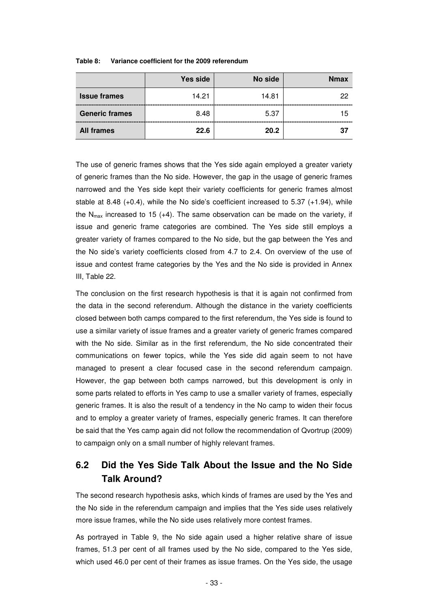|                       | Yes side | No side | <b>Nmax</b> |
|-----------------------|----------|---------|-------------|
| <b>Issue frames</b>   | 14.21    | 14.81   | 22          |
| <b>Generic frames</b> | 8.48     | 5.37    | 15          |
| <b>All frames</b>     | 22.6     | 20.2    | 37          |

**Table 8: Variance coefficient for the 2009 referendum** 

The use of generic frames shows that the Yes side again employed a greater variety of generic frames than the No side. However, the gap in the usage of generic frames narrowed and the Yes side kept their variety coefficients for generic frames almost stable at 8.48  $(+0.4)$ , while the No side's coefficient increased to 5.37  $(+1.94)$ , while the  $N_{max}$  increased to 15 (+4). The same observation can be made on the variety, if issue and generic frame categories are combined. The Yes side still employs a greater variety of frames compared to the No side, but the gap between the Yes and the No side's variety coefficients closed from 4.7 to 2.4. On overview of the use of issue and contest frame categories by the Yes and the No side is provided in Annex III, Table 22.

The conclusion on the first research hypothesis is that it is again not confirmed from the data in the second referendum. Although the distance in the variety coefficients closed between both camps compared to the first referendum, the Yes side is found to use a similar variety of issue frames and a greater variety of generic frames compared with the No side. Similar as in the first referendum, the No side concentrated their communications on fewer topics, while the Yes side did again seem to not have managed to present a clear focused case in the second referendum campaign. However, the gap between both camps narrowed, but this development is only in some parts related to efforts in Yes camp to use a smaller variety of frames, especially generic frames. It is also the result of a tendency in the No camp to widen their focus and to employ a greater variety of frames, especially generic frames. It can therefore be said that the Yes camp again did not follow the recommendation of Qvortrup (2009) to campaign only on a small number of highly relevant frames.

## **6.2 Did the Yes Side Talk About the Issue and the No Side Talk Around?**

The second research hypothesis asks, which kinds of frames are used by the Yes and the No side in the referendum campaign and implies that the Yes side uses relatively more issue frames, while the No side uses relatively more contest frames.

As portrayed in Table 9, the No side again used a higher relative share of issue frames, 51.3 per cent of all frames used by the No side, compared to the Yes side, which used 46.0 per cent of their frames as issue frames. On the Yes side, the usage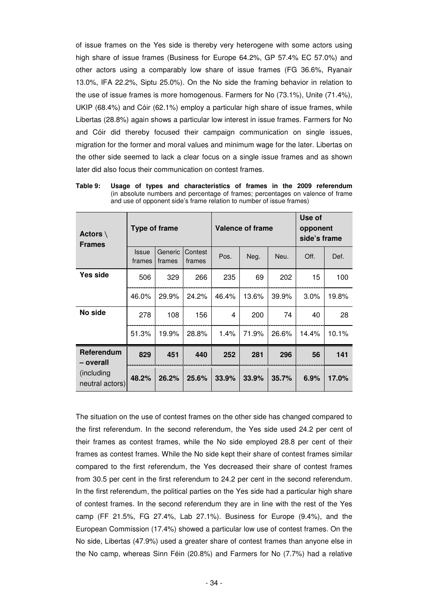of issue frames on the Yes side is thereby very heterogene with some actors using high share of issue frames (Business for Europe 64.2%, GP 57.4% EC 57.0%) and other actors using a comparably low share of issue frames (FG 36.6%, Ryanair 13.0%, IFA 22.2%, Siptu 25.0%). On the No side the framing behavior in relation to the use of issue frames is more homogenous. Farmers for No (73.1%), Unite (71.4%), UKIP (68.4%) and Cóir (62.1%) employ a particular high share of issue frames, while Libertas (28.8%) again shows a particular low interest in issue frames. Farmers for No and Cóir did thereby focused their campaign communication on single issues, migration for the former and moral values and minimum wage for the later. Libertas on the other side seemed to lack a clear focus on a single issue frames and as shown later did also focus their communication on contest frames.

| Actors $\setminus$<br><b>Frames</b> |                        | Type of frame                          |       |       | <b>Valence of frame</b> | Use of<br>opponent<br>side's frame |       |       |  |
|-------------------------------------|------------------------|----------------------------------------|-------|-------|-------------------------|------------------------------------|-------|-------|--|
|                                     | <b>Issue</b><br>frames | Generic<br>Contest<br>frames<br>frames |       | Pos.  | Neg.                    | Neu.                               | Off.  | Def.  |  |
| Yes side                            | 506                    | 329                                    | 266   | 235   | 69                      | 202                                | 15    | 100   |  |
|                                     | 46.0%                  | 29.9%                                  | 24.2% | 46.4% | 13.6%                   | 39.9%                              | 3.0%  | 19.8% |  |
| No side                             | 278                    | 108                                    | 156   | 4     | 200                     | 74                                 | 40    | 28    |  |
|                                     | 51.3%                  | 19.9%                                  | 28.8% | 1.4%  | 71.9%                   | 26.6%                              | 14.4% | 10.1% |  |
| Referendum<br>– overall             | 829                    | 451                                    | 440   | 252   | 281                     | 296                                | 56    | 141   |  |
| (including)<br>neutral actors)      | 48.2%                  | 26.2%                                  | 25.6% | 33.9% | 33.9%                   | 35.7%                              | 6.9%  | 17.0% |  |

**Table 9: Usage of types and characteristics of frames in the 2009 referendum**  (in absolute numbers and percentage of frames; percentages on valence of frame and use of opponent side's frame relation to number of issue frames)

The situation on the use of contest frames on the other side has changed compared to the first referendum. In the second referendum, the Yes side used 24.2 per cent of their frames as contest frames, while the No side employed 28.8 per cent of their frames as contest frames. While the No side kept their share of contest frames similar compared to the first referendum, the Yes decreased their share of contest frames from 30.5 per cent in the first referendum to 24.2 per cent in the second referendum. In the first referendum, the political parties on the Yes side had a particular high share of contest frames. In the second referendum they are in line with the rest of the Yes camp (FF 21.5%, FG 27.4%, Lab 27.1%). Business for Europe (9.4%), and the European Commission (17.4%) showed a particular low use of contest frames. On the No side, Libertas (47.9%) used a greater share of contest frames than anyone else in the No camp, whereas Sinn Féin (20.8%) and Farmers for No (7.7%) had a relative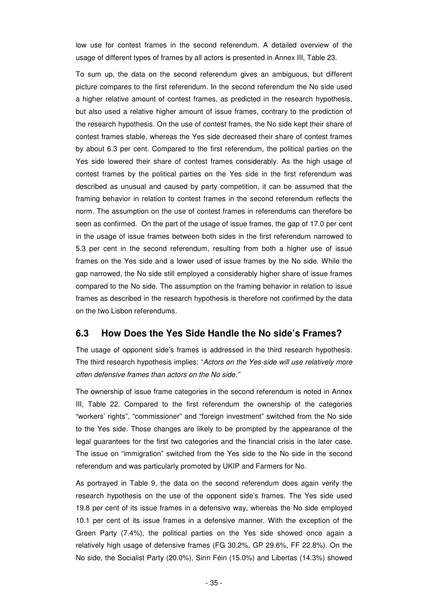low use for contest frames in the second referendum. A detailed overview of the usage of different types of frames by all actors is presented in Annex III, Table 23.

To sum up, the data on the second referendum gives an ambiguous, but different picture compares to the first referendum. In the second referendum the No side used a higher relative amount of contest frames, as predicted in the research hypothesis, but also used a relative higher amount of issue frames, contrary to the prediction of the research hypothesis. On the use of contest frames, the No side kept their share of contest frames stable, whereas the Yes side decreased their share of contest frames by about 6.3 per cent. Compared to the first referendum, the political parties on the Yes side lowered their share of contest frames considerably. As the high usage of contest frames by the political parties on the Yes side in the first referendum was described as unusual and caused by party competition, it can be assumed that the framing behavior in relation to contest frames in the second referendum reflects the norm. The assumption on the use of contest frames in referendums can therefore be seen as confirmed. On the part of the usage of issue frames, the gap of 17.0 per cent in the usage of issue frames between both sides in the first referendum narrowed to 5.3 per cent in the second referendum, resulting from both a higher use of issue frames on the Yes side and a lower used of issue frames by the No side. While the gap narrowed, the No side still employed a considerably higher share of issue frames compared to the No side. The assumption on the framing behavior in relation to issue frames as described in the research hypothesis is therefore not confirmed by the data on the two Lisbon referendums.

### **6.3 How Does the Yes Side Handle the No side's Frames?**

The usage of opponent side's frames is addressed in the third research hypothesis. The third research hypothesis implies: "Actors on the Yes-side will use relatively more often defensive frames than actors on the No side."

The ownership of issue frame categories in the second referendum is noted in Annex III, Table 22. Compared to the first referendum the ownership of the categories "workers' rights", "commissioner" and "foreign investment" switched from the No side to the Yes side. Those changes are likely to be prompted by the appearance of the legal guarantees for the first two categories and the financial crisis in the later case. The issue on "immigration" switched from the Yes side to the No side in the second referendum and was particularly promoted by UKIP and Farmers for No.

As portrayed in Table 9, the data on the second referendum does again verify the research hypothesis on the use of the opponent side's frames. The Yes side used 19.8 per cent of its issue frames in a defensive way, whereas the No side employed 10.1 per cent of its issue frames in a defensive manner. With the exception of the Green Party (7.4%), the political parties on the Yes side showed once again a relatively high usage of defensive frames (FG 30.2%, GP 29.6%, FF 22.8%). On the No side, the Socialist Party (20.0%), Sinn Féin (15.0%) and Libertas (14.3%) showed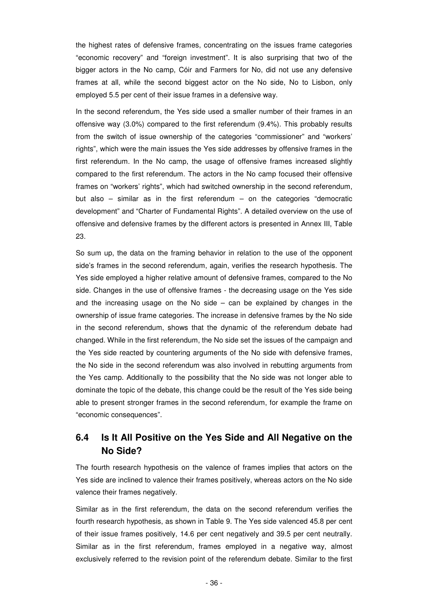the highest rates of defensive frames, concentrating on the issues frame categories "economic recovery" and "foreign investment". It is also surprising that two of the bigger actors in the No camp, Cóir and Farmers for No, did not use any defensive frames at all, while the second biggest actor on the No side, No to Lisbon, only employed 5.5 per cent of their issue frames in a defensive way.

In the second referendum, the Yes side used a smaller number of their frames in an offensive way (3.0%) compared to the first referendum (9.4%). This probably results from the switch of issue ownership of the categories "commissioner" and "workers' rights", which were the main issues the Yes side addresses by offensive frames in the first referendum. In the No camp, the usage of offensive frames increased slightly compared to the first referendum. The actors in the No camp focused their offensive frames on "workers' rights", which had switched ownership in the second referendum, but also – similar as in the first referendum – on the categories "democratic development" and "Charter of Fundamental Rights". A detailed overview on the use of offensive and defensive frames by the different actors is presented in Annex III, Table 23.

So sum up, the data on the framing behavior in relation to the use of the opponent side's frames in the second referendum, again, verifies the research hypothesis. The Yes side employed a higher relative amount of defensive frames, compared to the No side. Changes in the use of offensive frames - the decreasing usage on the Yes side and the increasing usage on the No side – can be explained by changes in the ownership of issue frame categories. The increase in defensive frames by the No side in the second referendum, shows that the dynamic of the referendum debate had changed. While in the first referendum, the No side set the issues of the campaign and the Yes side reacted by countering arguments of the No side with defensive frames, the No side in the second referendum was also involved in rebutting arguments from the Yes camp. Additionally to the possibility that the No side was not longer able to dominate the topic of the debate, this change could be the result of the Yes side being able to present stronger frames in the second referendum, for example the frame on "economic consequences".

## **6.4 Is It All Positive on the Yes Side and All Negative on the No Side?**

The fourth research hypothesis on the valence of frames implies that actors on the Yes side are inclined to valence their frames positively, whereas actors on the No side valence their frames negatively.

Similar as in the first referendum, the data on the second referendum verifies the fourth research hypothesis, as shown in Table 9. The Yes side valenced 45.8 per cent of their issue frames positively, 14.6 per cent negatively and 39.5 per cent neutrally. Similar as in the first referendum, frames employed in a negative way, almost exclusively referred to the revision point of the referendum debate. Similar to the first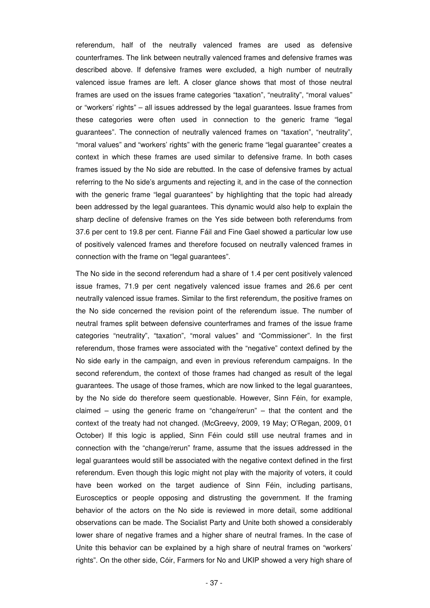referendum, half of the neutrally valenced frames are used as defensive counterframes. The link between neutrally valenced frames and defensive frames was described above. If defensive frames were excluded, a high number of neutrally valenced issue frames are left. A closer glance shows that most of those neutral frames are used on the issues frame categories "taxation", "neutrality", "moral values" or "workers' rights" – all issues addressed by the legal guarantees. Issue frames from these categories were often used in connection to the generic frame "legal guarantees". The connection of neutrally valenced frames on "taxation", "neutrality", "moral values" and "workers' rights" with the generic frame "legal guarantee" creates a context in which these frames are used similar to defensive frame. In both cases frames issued by the No side are rebutted. In the case of defensive frames by actual referring to the No side's arguments and rejecting it, and in the case of the connection with the generic frame "legal guarantees" by highlighting that the topic had already been addressed by the legal guarantees. This dynamic would also help to explain the sharp decline of defensive frames on the Yes side between both referendums from 37.6 per cent to 19.8 per cent. Fianne Fáil and Fine Gael showed a particular low use of positively valenced frames and therefore focused on neutrally valenced frames in connection with the frame on "legal guarantees".

The No side in the second referendum had a share of 1.4 per cent positively valenced issue frames, 71.9 per cent negatively valenced issue frames and 26.6 per cent neutrally valenced issue frames. Similar to the first referendum, the positive frames on the No side concerned the revision point of the referendum issue. The number of neutral frames split between defensive counterframes and frames of the issue frame categories "neutrality", "taxation", "moral values" and "Commissioner". In the first referendum, those frames were associated with the "negative" context defined by the No side early in the campaign, and even in previous referendum campaigns. In the second referendum, the context of those frames had changed as result of the legal guarantees. The usage of those frames, which are now linked to the legal guarantees, by the No side do therefore seem questionable. However, Sinn Féin, for example, claimed – using the generic frame on "change/rerun" – that the content and the context of the treaty had not changed. (McGreevy, 2009, 19 May; O'Regan, 2009, 01 October) If this logic is applied, Sinn Féin could still use neutral frames and in connection with the "change/rerun" frame, assume that the issues addressed in the legal guarantees would still be associated with the negative context defined in the first referendum. Even though this logic might not play with the majority of voters, it could have been worked on the target audience of Sinn Féin, including partisans, Eurosceptics or people opposing and distrusting the government. If the framing behavior of the actors on the No side is reviewed in more detail, some additional observations can be made. The Socialist Party and Unite both showed a considerably lower share of negative frames and a higher share of neutral frames. In the case of Unite this behavior can be explained by a high share of neutral frames on "workers' rights". On the other side, Cóir, Farmers for No and UKIP showed a very high share of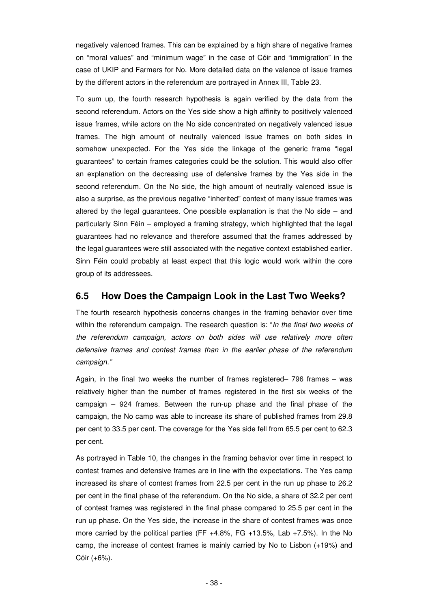negatively valenced frames. This can be explained by a high share of negative frames on "moral values" and "minimum wage" in the case of Cóir and "immigration" in the case of UKIP and Farmers for No. More detailed data on the valence of issue frames by the different actors in the referendum are portrayed in Annex III, Table 23.

To sum up, the fourth research hypothesis is again verified by the data from the second referendum. Actors on the Yes side show a high affinity to positively valenced issue frames, while actors on the No side concentrated on negatively valenced issue frames. The high amount of neutrally valenced issue frames on both sides in somehow unexpected. For the Yes side the linkage of the generic frame "legal guarantees" to certain frames categories could be the solution. This would also offer an explanation on the decreasing use of defensive frames by the Yes side in the second referendum. On the No side, the high amount of neutrally valenced issue is also a surprise, as the previous negative "inherited" context of many issue frames was altered by the legal guarantees. One possible explanation is that the No side  $-$  and particularly Sinn Féin – employed a framing strategy, which highlighted that the legal guarantees had no relevance and therefore assumed that the frames addressed by the legal guarantees were still associated with the negative context established earlier. Sinn Féin could probably at least expect that this logic would work within the core group of its addressees.

### **6.5 How Does the Campaign Look in the Last Two Weeks?**

The fourth research hypothesis concerns changes in the framing behavior over time within the referendum campaign. The research question is: "In the final two weeks of the referendum campaign, actors on both sides will use relatively more often defensive frames and contest frames than in the earlier phase of the referendum campaign."

Again, in the final two weeks the number of frames registered– 796 frames – was relatively higher than the number of frames registered in the first six weeks of the campaign – 924 frames. Between the run-up phase and the final phase of the campaign, the No camp was able to increase its share of published frames from 29.8 per cent to 33.5 per cent. The coverage for the Yes side fell from 65.5 per cent to 62.3 per cent.

As portrayed in Table 10, the changes in the framing behavior over time in respect to contest frames and defensive frames are in line with the expectations. The Yes camp increased its share of contest frames from 22.5 per cent in the run up phase to 26.2 per cent in the final phase of the referendum. On the No side, a share of 32.2 per cent of contest frames was registered in the final phase compared to 25.5 per cent in the run up phase. On the Yes side, the increase in the share of contest frames was once more carried by the political parties (FF +4.8%, FG +13.5%, Lab +7.5%). In the No camp, the increase of contest frames is mainly carried by No to Lisbon (+19%) and Cóir (+6%).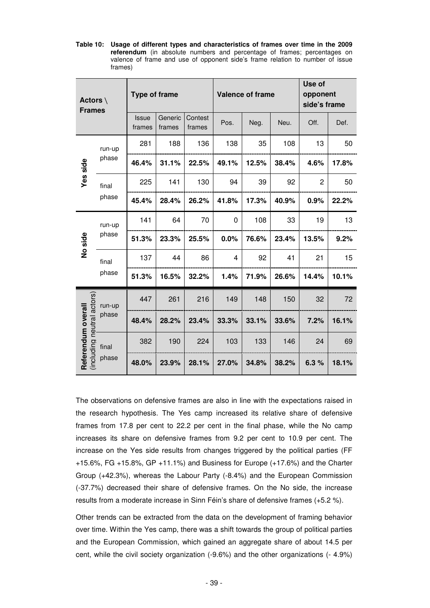**Table 10: Usage of different types and characteristics of frames over time in the 2009 referendum** (in absolute numbers and percentage of frames; percentages on valence of frame and use of opponent side's frame relation to number of issue frames)

| Actors $\setminus$<br><b>Frames</b>       |        | <b>Type of frame</b>   |                                        |       |                | <b>Valence of frame</b> | Use of<br>opponent<br>side's frame |                |       |  |
|-------------------------------------------|--------|------------------------|----------------------------------------|-------|----------------|-------------------------|------------------------------------|----------------|-------|--|
|                                           |        | <b>Issue</b><br>frames | Generic<br>Contest<br>frames<br>frames |       | Pos.           | Neg.                    |                                    | Off.           | Def.  |  |
|                                           | run-up | 281                    | 188                                    | 136   | 138            | 35                      | 108                                | 13             | 50    |  |
| Yes side                                  | phase  | 46.4%                  | 31.1%                                  | 22.5% | 49.1%          | 12.5%<br>38.4%          |                                    | 4.6%           | 17.8% |  |
|                                           | final  | 225                    | 141                                    | 130   | 94             | 39                      | 92                                 | $\overline{2}$ | 50    |  |
|                                           | phase  | 45.4%                  | 28.4%                                  | 26.2% | 41.8%          | 17.3%                   | 40.9%                              | 0.9%           | 22.2% |  |
|                                           | run-up | 141                    | 64                                     | 70    | $\mathbf 0$    | 108                     | 33                                 | 19             | 13    |  |
| No side                                   | phase  | 51.3%                  | 23.3%                                  | 25.5% | 0.0%           | 76.6%                   | 23.4%                              | 13.5%          | 9.2%  |  |
|                                           | final  | 137                    | 44                                     | 86    | $\overline{4}$ | 92                      | 41                                 | 21             | 15    |  |
|                                           | phase  | 51.3%                  | 16.5%                                  | 32.2% | 1.4%           | 71.9%                   | 26.6%                              | 14.4%          | 10.1% |  |
|                                           | run-up | 447                    | 261                                    | 216   | 149            | 148                     | 150                                | 32             | 72    |  |
| neutral actors)                           | phase  | 48.4%                  | 28.2%                                  | 23.4% | 33.3%          | 33.1%                   | 33.6%                              | 7.2%           | 16.1% |  |
|                                           | final  | 382                    | 190                                    | 224   | 103            | 133                     | 146                                | 24             | 69    |  |
| Referendum overall<br>(including<br>phase |        | 48.0%                  | 23.9%                                  | 28.1% | 27.0%          | 34.8%                   | 38.2%                              | 6.3%           | 18.1% |  |

The observations on defensive frames are also in line with the expectations raised in the research hypothesis. The Yes camp increased its relative share of defensive frames from 17.8 per cent to 22.2 per cent in the final phase, while the No camp increases its share on defensive frames from 9.2 per cent to 10.9 per cent. The increase on the Yes side results from changes triggered by the political parties (FF +15.6%, FG +15.8%, GP +11.1%) and Business for Europe (+17.6%) and the Charter Group (+42.3%), whereas the Labour Party (-8.4%) and the European Commission (-37.7%) decreased their share of defensive frames. On the No side, the increase results from a moderate increase in Sinn Féin's share of defensive frames (+5.2 %).

Other trends can be extracted from the data on the development of framing behavior over time. Within the Yes camp, there was a shift towards the group of political parties and the European Commission, which gained an aggregate share of about 14.5 per cent, while the civil society organization (-9.6%) and the other organizations (- 4.9%)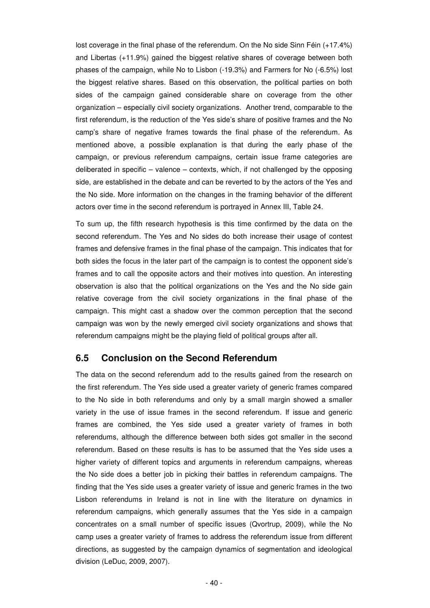lost coverage in the final phase of the referendum. On the No side Sinn Féin (+17.4%) and Libertas (+11.9%) gained the biggest relative shares of coverage between both phases of the campaign, while No to Lisbon (-19.3%) and Farmers for No (-6.5%) lost the biggest relative shares. Based on this observation, the political parties on both sides of the campaign gained considerable share on coverage from the other organization – especially civil society organizations. Another trend, comparable to the first referendum, is the reduction of the Yes side's share of positive frames and the No camp's share of negative frames towards the final phase of the referendum. As mentioned above, a possible explanation is that during the early phase of the campaign, or previous referendum campaigns, certain issue frame categories are deliberated in specific – valence – contexts, which, if not challenged by the opposing side, are established in the debate and can be reverted to by the actors of the Yes and the No side. More information on the changes in the framing behavior of the different actors over time in the second referendum is portrayed in Annex III, Table 24.

To sum up, the fifth research hypothesis is this time confirmed by the data on the second referendum. The Yes and No sides do both increase their usage of contest frames and defensive frames in the final phase of the campaign. This indicates that for both sides the focus in the later part of the campaign is to contest the opponent side's frames and to call the opposite actors and their motives into question. An interesting observation is also that the political organizations on the Yes and the No side gain relative coverage from the civil society organizations in the final phase of the campaign. This might cast a shadow over the common perception that the second campaign was won by the newly emerged civil society organizations and shows that referendum campaigns might be the playing field of political groups after all.

### **6.5 Conclusion on the Second Referendum**

The data on the second referendum add to the results gained from the research on the first referendum. The Yes side used a greater variety of generic frames compared to the No side in both referendums and only by a small margin showed a smaller variety in the use of issue frames in the second referendum. If issue and generic frames are combined, the Yes side used a greater variety of frames in both referendums, although the difference between both sides got smaller in the second referendum. Based on these results is has to be assumed that the Yes side uses a higher variety of different topics and arguments in referendum campaigns, whereas the No side does a better job in picking their battles in referendum campaigns. The finding that the Yes side uses a greater variety of issue and generic frames in the two Lisbon referendums in Ireland is not in line with the literature on dynamics in referendum campaigns, which generally assumes that the Yes side in a campaign concentrates on a small number of specific issues (Qvortrup, 2009), while the No camp uses a greater variety of frames to address the referendum issue from different directions, as suggested by the campaign dynamics of segmentation and ideological division (LeDuc, 2009, 2007).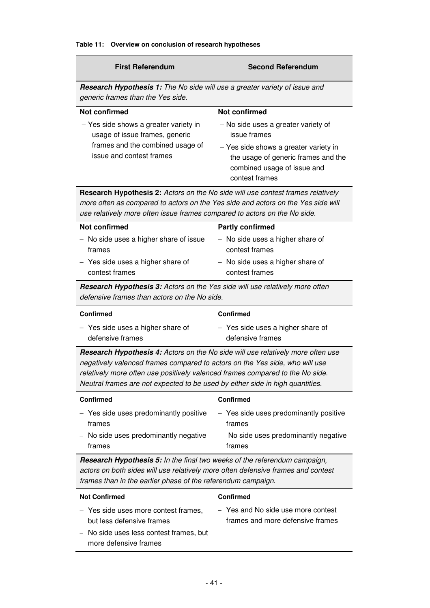#### **Table 11: Overview on conclusion of research hypotheses**

| <b>First Referendum</b>                                                                                                                                                                                                                                 | <b>Second Referendum</b>                                                                                                      |  |  |  |  |  |  |  |  |
|---------------------------------------------------------------------------------------------------------------------------------------------------------------------------------------------------------------------------------------------------------|-------------------------------------------------------------------------------------------------------------------------------|--|--|--|--|--|--|--|--|
| <b>Research Hypothesis 1:</b> The No side will use a greater variety of issue and<br>generic frames than the Yes side.                                                                                                                                  |                                                                                                                               |  |  |  |  |  |  |  |  |
| <b>Not confirmed</b>                                                                                                                                                                                                                                    | <b>Not confirmed</b>                                                                                                          |  |  |  |  |  |  |  |  |
| - Yes side shows a greater variety in<br>usage of issue frames, generic                                                                                                                                                                                 | - No side uses a greater variety of<br>issue frames                                                                           |  |  |  |  |  |  |  |  |
| frames and the combined usage of<br>issue and contest frames                                                                                                                                                                                            | - Yes side shows a greater variety in<br>the usage of generic frames and the<br>combined usage of issue and<br>contest frames |  |  |  |  |  |  |  |  |
| <b>Research Hypothesis 2:</b> Actors on the No side will use contest frames relatively<br>more often as compared to actors on the Yes side and actors on the Yes side will<br>use relatively more often issue frames compared to actors on the No side. |                                                                                                                               |  |  |  |  |  |  |  |  |
| Not confirmed                                                                                                                                                                                                                                           | <b>Partly confirmed</b>                                                                                                       |  |  |  |  |  |  |  |  |
| - No side uses a higher share of issue<br>frames                                                                                                                                                                                                        | - No side uses a higher share of<br>contest frames                                                                            |  |  |  |  |  |  |  |  |
| - Yes side uses a higher share of<br>contest frames                                                                                                                                                                                                     | - No side uses a higher share of<br>contest frames                                                                            |  |  |  |  |  |  |  |  |
| Research Hypothesis 3: Actors on the Yes side will use relatively more often<br>defensive frames than actors on the No side.                                                                                                                            |                                                                                                                               |  |  |  |  |  |  |  |  |

| <b>Confirmed</b>                    | <b>Confirmed</b>                  |
|-------------------------------------|-----------------------------------|
| $-$ Yes side uses a higher share of | - Yes side uses a higher share of |
| defensive frames                    | defensive frames                  |

**Research Hypothesis 4:** Actors on the No side will use relatively more often use negatively valenced frames compared to actors on the Yes side, who will use relatively more often use positively valenced frames compared to the No side. Neutral frames are not expected to be used by either side in high quantities.

| <b>Confirmed</b>                       | <b>Confirmed</b>                       |
|----------------------------------------|----------------------------------------|
| - Yes side uses predominantly positive | - Yes side uses predominantly positive |
| frames                                 | frames                                 |
| - No side uses predominantly negative  | No side uses predominantly negative    |
| frames                                 | frames                                 |

**Research Hypothesis 5:** In the final two weeks of the referendum campaign, actors on both sides will use relatively more often defensive frames and contest frames than in the earlier phase of the referendum campaign.

| <b>Not Confirmed</b>                                              | <b>Confirmed</b>                                                       |
|-------------------------------------------------------------------|------------------------------------------------------------------------|
| - Yes side uses more contest frames,<br>but less defensive frames | - Yes and No side use more contest<br>frames and more defensive frames |
| - No side uses less contest frames, but<br>more defensive frames  |                                                                        |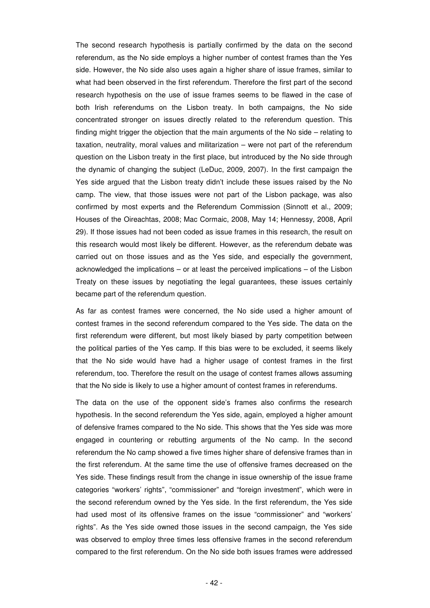The second research hypothesis is partially confirmed by the data on the second referendum, as the No side employs a higher number of contest frames than the Yes side. However, the No side also uses again a higher share of issue frames, similar to what had been observed in the first referendum. Therefore the first part of the second research hypothesis on the use of issue frames seems to be flawed in the case of both Irish referendums on the Lisbon treaty. In both campaigns, the No side concentrated stronger on issues directly related to the referendum question. This finding might trigger the objection that the main arguments of the No side – relating to taxation, neutrality, moral values and militarization – were not part of the referendum question on the Lisbon treaty in the first place, but introduced by the No side through the dynamic of changing the subject (LeDuc, 2009, 2007). In the first campaign the Yes side argued that the Lisbon treaty didn't include these issues raised by the No camp. The view, that those issues were not part of the Lisbon package, was also confirmed by most experts and the Referendum Commission (Sinnott et al., 2009; Houses of the Oireachtas, 2008; Mac Cormaic, 2008, May 14; Hennessy, 2008, April 29). If those issues had not been coded as issue frames in this research, the result on this research would most likely be different. However, as the referendum debate was carried out on those issues and as the Yes side, and especially the government, acknowledged the implications – or at least the perceived implications – of the Lisbon Treaty on these issues by negotiating the legal guarantees, these issues certainly became part of the referendum question.

As far as contest frames were concerned, the No side used a higher amount of contest frames in the second referendum compared to the Yes side. The data on the first referendum were different, but most likely biased by party competition between the political parties of the Yes camp. If this bias were to be excluded, it seems likely that the No side would have had a higher usage of contest frames in the first referendum, too. Therefore the result on the usage of contest frames allows assuming that the No side is likely to use a higher amount of contest frames in referendums.

The data on the use of the opponent side's frames also confirms the research hypothesis. In the second referendum the Yes side, again, employed a higher amount of defensive frames compared to the No side. This shows that the Yes side was more engaged in countering or rebutting arguments of the No camp. In the second referendum the No camp showed a five times higher share of defensive frames than in the first referendum. At the same time the use of offensive frames decreased on the Yes side. These findings result from the change in issue ownership of the issue frame categories "workers' rights", "commissioner" and "foreign investment", which were in the second referendum owned by the Yes side. In the first referendum, the Yes side had used most of its offensive frames on the issue "commissioner" and "workers' rights". As the Yes side owned those issues in the second campaign, the Yes side was observed to employ three times less offensive frames in the second referendum compared to the first referendum. On the No side both issues frames were addressed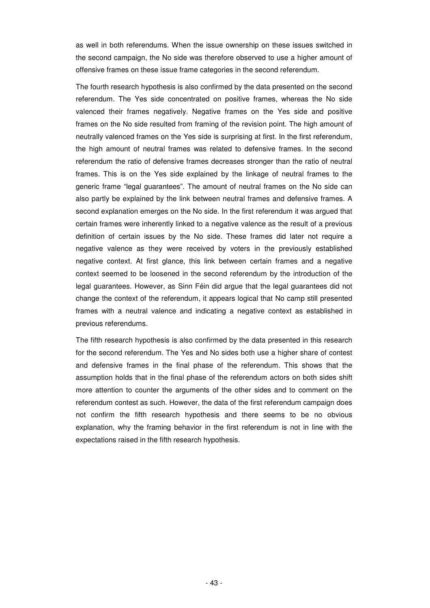as well in both referendums. When the issue ownership on these issues switched in the second campaign, the No side was therefore observed to use a higher amount of offensive frames on these issue frame categories in the second referendum.

The fourth research hypothesis is also confirmed by the data presented on the second referendum. The Yes side concentrated on positive frames, whereas the No side valenced their frames negatively. Negative frames on the Yes side and positive frames on the No side resulted from framing of the revision point. The high amount of neutrally valenced frames on the Yes side is surprising at first. In the first referendum, the high amount of neutral frames was related to defensive frames. In the second referendum the ratio of defensive frames decreases stronger than the ratio of neutral frames. This is on the Yes side explained by the linkage of neutral frames to the generic frame "legal guarantees". The amount of neutral frames on the No side can also partly be explained by the link between neutral frames and defensive frames. A second explanation emerges on the No side. In the first referendum it was argued that certain frames were inherently linked to a negative valence as the result of a previous definition of certain issues by the No side. These frames did later not require a negative valence as they were received by voters in the previously established negative context. At first glance, this link between certain frames and a negative context seemed to be loosened in the second referendum by the introduction of the legal guarantees. However, as Sinn Féin did argue that the legal guarantees did not change the context of the referendum, it appears logical that No camp still presented frames with a neutral valence and indicating a negative context as established in previous referendums.

The fifth research hypothesis is also confirmed by the data presented in this research for the second referendum. The Yes and No sides both use a higher share of contest and defensive frames in the final phase of the referendum. This shows that the assumption holds that in the final phase of the referendum actors on both sides shift more attention to counter the arguments of the other sides and to comment on the referendum contest as such. However, the data of the first referendum campaign does not confirm the fifth research hypothesis and there seems to be no obvious explanation, why the framing behavior in the first referendum is not in line with the expectations raised in the fifth research hypothesis.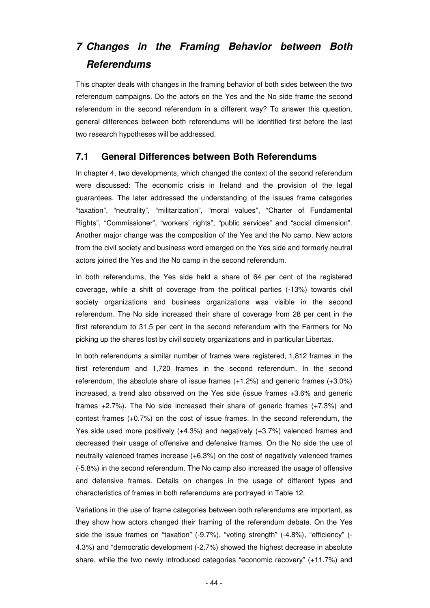# **7 Changes in the Framing Behavior between Both Referendums**

This chapter deals with changes in the framing behavior of both sides between the two referendum campaigns. Do the actors on the Yes and the No side frame the second referendum in the second referendum in a different way? To answer this question, general differences between both referendums will be identified first before the last two research hypotheses will be addressed.

### **7.1 General Differences between Both Referendums**

In chapter 4, two developments, which changed the context of the second referendum were discussed: The economic crisis in Ireland and the provision of the legal guarantees. The later addressed the understanding of the issues frame categories "taxation", "neutrality", "militarization", "moral values", "Charter of Fundamental Rights", "Commissioner", "workers' rights", "public services" and "social dimension". Another major change was the composition of the Yes and the No camp. New actors from the civil society and business word emerged on the Yes side and formerly neutral actors joined the Yes and the No camp in the second referendum.

In both referendums, the Yes side held a share of 64 per cent of the registered coverage, while a shift of coverage from the political parties (-13%) towards civil society organizations and business organizations was visible in the second referendum. The No side increased their share of coverage from 28 per cent in the first referendum to 31.5 per cent in the second referendum with the Farmers for No picking up the shares lost by civil society organizations and in particular Libertas.

In both referendums a similar number of frames were registered, 1,812 frames in the first referendum and 1,720 frames in the second referendum. In the second referendum, the absolute share of issue frames (+1.2%) and generic frames (+3.0%) increased, a trend also observed on the Yes side (issue frames +3.6% and generic frames +2.7%). The No side increased their share of generic frames (+7.3%) and contest frames (+0.7%) on the cost of issue frames. In the second referendum, the Yes side used more positively (+4.3%) and negatively (+3.7%) valenced frames and decreased their usage of offensive and defensive frames. On the No side the use of neutrally valenced frames increase (+6.3%) on the cost of negatively valenced frames (-5.8%) in the second referendum. The No camp also increased the usage of offensive and defensive frames. Details on changes in the usage of different types and characteristics of frames in both referendums are portrayed in Table 12.

Variations in the use of frame categories between both referendums are important, as they show how actors changed their framing of the referendum debate. On the Yes side the issue frames on "taxation" (-9.7%), "voting strength" (-4.8%), "efficiency" (- 4.3%) and "democratic development (-2.7%) showed the highest decrease in absolute share, while the two newly introduced categories "economic recovery" (+11.7%) and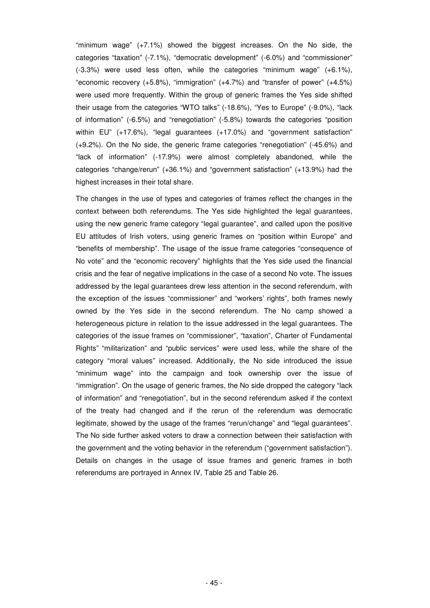"minimum wage" (+7.1%) showed the biggest increases. On the No side, the categories "taxation" (-7.1%), "democratic development" (-6.0%) and "commissioner" (-3.3%) were used less often, while the categories "minimum wage" (+6.1%), "economic recovery (+5.8%), "immigration" (+4.7%) and "transfer of power" (+4.5%) were used more frequently. Within the group of generic frames the Yes side shifted their usage from the categories "WTO talks" (-18.6%), "Yes to Europe" (-9.0%), "lack of information" (-6.5%) and "renegotiation" (-5.8%) towards the categories "position within EU" (+17.6%), "legal guarantees (+17.0%) and "government satisfaction" (+9.2%). On the No side, the generic frame categories "renegotiation" (-45.6%) and "lack of information" (-17.9%) were almost completely abandoned, while the categories "change/rerun" (+36.1%) and "government satisfaction" (+13.9%) had the highest increases in their total share.

The changes in the use of types and categories of frames reflect the changes in the context between both referendums. The Yes side highlighted the legal guarantees, using the new generic frame category "legal guarantee", and called upon the positive EU attitudes of Irish voters, using generic frames on "position within Europe" and "benefits of membership". The usage of the issue frame categories "consequence of No vote" and the "economic recovery" highlights that the Yes side used the financial crisis and the fear of negative implications in the case of a second No vote. The issues addressed by the legal guarantees drew less attention in the second referendum, with the exception of the issues "commissioner" and "workers' rights", both frames newly owned by the Yes side in the second referendum. The No camp showed a heterogeneous picture in relation to the issue addressed in the legal guarantees. The categories of the issue frames on "commissioner", "taxation", Charter of Fundamental Rights" "militarization" and "public services" were used less, while the share of the category "moral values" increased. Additionally, the No side introduced the issue "minimum wage" into the campaign and took ownership over the issue of "immigration". On the usage of generic frames, the No side dropped the category "lack of information" and "renegotiation", but in the second referendum asked if the context of the treaty had changed and if the rerun of the referendum was democratic legitimate, showed by the usage of the frames "rerun/change" and "legal guarantees". The No side further asked voters to draw a connection between their satisfaction with the government and the voting behavior in the referendum ("government satisfaction"). Details on changes in the usage of issue frames and generic frames in both referendums are portrayed in Annex IV, Table 25 and Table 26.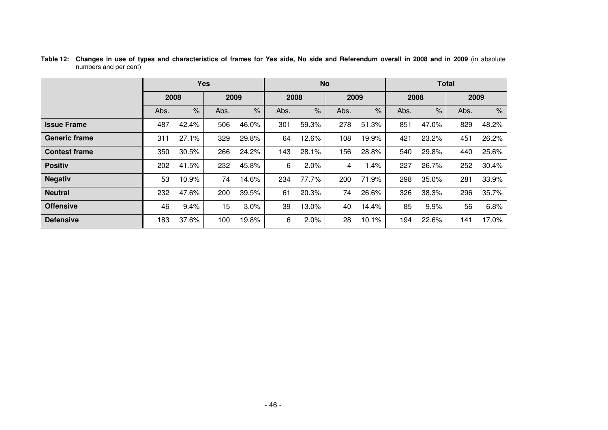|                      |      |       | <b>Yes</b> |       |      |       | <b>No</b> |                      | <b>Total</b> |       |      |       |  |  |
|----------------------|------|-------|------------|-------|------|-------|-----------|----------------------|--------------|-------|------|-------|--|--|
|                      | 2008 |       | 2009       |       | 2008 |       | 2009      |                      | 2008         |       | 2009 |       |  |  |
|                      | Abs. | $\%$  | Abs.       | $\%$  | Abs. | $\%$  | Abs.      | $\frac{1}{\sqrt{2}}$ | Abs.         | $\%$  | Abs. | $\%$  |  |  |
| <b>Issue Frame</b>   | 487  | 42.4% | 506        | 46.0% | 301  | 59.3% | 278       | 51.3%                | 851          | 47.0% | 829  | 48.2% |  |  |
| <b>Generic frame</b> | 311  | 27.1% | 329        | 29.8% | 64   | 12.6% | 108       | 19.9%                | 421          | 23.2% | 451  | 26.2% |  |  |
| <b>Contest frame</b> | 350  | 30.5% | 266        | 24.2% | 143  | 28.1% | 156       | 28.8%                | 540          | 29.8% | 440  | 25.6% |  |  |
| <b>Positiv</b>       | 202  | 41.5% | 232        | 45.8% | 6    | 2.0%  | 4         | 1.4%                 | 227          | 26.7% | 252  | 30.4% |  |  |
| <b>Negativ</b>       | 53   | 10.9% | 74         | 14.6% | 234  | 77.7% | 200       | 71.9%                | 298          | 35.0% | 281  | 33.9% |  |  |
| <b>Neutral</b>       | 232  | 47.6% | 200        | 39.5% | 61   | 20.3% | 74        | 26.6%                | 326          | 38.3% | 296  | 35.7% |  |  |
| <b>Offensive</b>     | 46   | 9.4%  | 15         | 3.0%  | 39   | 13.0% | 40        | 14.4%                | 85           | 9.9%  | 56   | 6.8%  |  |  |
| <b>Defensive</b>     | 183  | 37.6% | 100        | 19.8% | 6    | 2.0%  | 28        | 10.1%                | 194          | 22.6% | 141  | 17.0% |  |  |

**Table 12: Changes in use of types and characteristics of frames for Yes side, No side and Referendum overall in 2008 and in 2009** (in absolute numbers and per cent)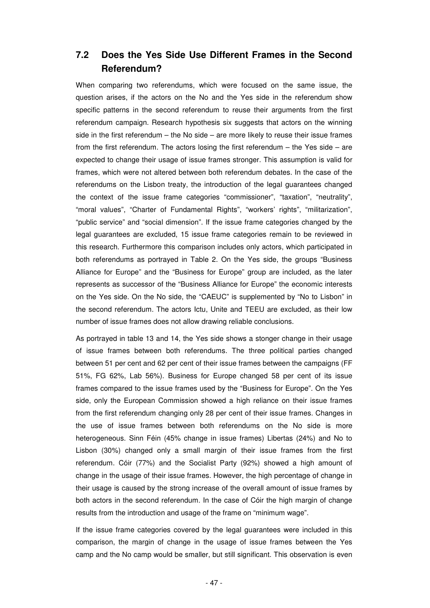## **7.2 Does the Yes Side Use Different Frames in the Second Referendum?**

When comparing two referendums, which were focused on the same issue, the question arises, if the actors on the No and the Yes side in the referendum show specific patterns in the second referendum to reuse their arguments from the first referendum campaign. Research hypothesis six suggests that actors on the winning side in the first referendum – the No side – are more likely to reuse their issue frames from the first referendum. The actors losing the first referendum – the Yes side – are expected to change their usage of issue frames stronger. This assumption is valid for frames, which were not altered between both referendum debates. In the case of the referendums on the Lisbon treaty, the introduction of the legal guarantees changed the context of the issue frame categories "commissioner", "taxation", "neutrality", "moral values", "Charter of Fundamental Rights", "workers' rights", "militarization", "public service" and "social dimension". If the issue frame categories changed by the legal guarantees are excluded, 15 issue frame categories remain to be reviewed in this research. Furthermore this comparison includes only actors, which participated in both referendums as portrayed in Table 2. On the Yes side, the groups "Business Alliance for Europe" and the "Business for Europe" group are included, as the later represents as successor of the "Business Alliance for Europe" the economic interests on the Yes side. On the No side, the "CAEUC" is supplemented by "No to Lisbon" in the second referendum. The actors Ictu, Unite and TEEU are excluded, as their low number of issue frames does not allow drawing reliable conclusions.

As portrayed in table 13 and 14, the Yes side shows a stonger change in their usage of issue frames between both referendums. The three political parties changed between 51 per cent and 62 per cent of their issue frames between the campaigns (FF 51%, FG 62%, Lab 56%). Business for Europe changed 58 per cent of its issue frames compared to the issue frames used by the "Business for Europe". On the Yes side, only the European Commission showed a high reliance on their issue frames from the first referendum changing only 28 per cent of their issue frames. Changes in the use of issue frames between both referendums on the No side is more heterogeneous. Sinn Féin (45% change in issue frames) Libertas (24%) and No to Lisbon (30%) changed only a small margin of their issue frames from the first referendum. Cóir (77%) and the Socialist Party (92%) showed a high amount of change in the usage of their issue frames. However, the high percentage of change in their usage is caused by the strong increase of the overall amount of issue frames by both actors in the second referendum. In the case of Cóir the high margin of change results from the introduction and usage of the frame on "minimum wage".

If the issue frame categories covered by the legal guarantees were included in this comparison, the margin of change in the usage of issue frames between the Yes camp and the No camp would be smaller, but still significant. This observation is even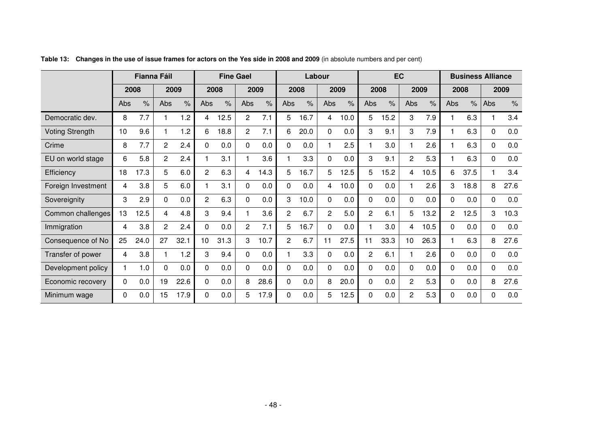|                        | <b>Fianna Fáil</b> |               |                | <b>Fine Gael</b>     |                |                      | Labour         |                      |                |      | <b>EC</b>      |               |                |                      | <b>Business Alliance</b> |                      |     |                      |             |               |
|------------------------|--------------------|---------------|----------------|----------------------|----------------|----------------------|----------------|----------------------|----------------|------|----------------|---------------|----------------|----------------------|--------------------------|----------------------|-----|----------------------|-------------|---------------|
|                        |                    | 2008          |                | 2009                 |                | 2008                 |                | 2009                 |                | 2008 |                | 2009          |                | 2008                 |                          | 2009                 |     | 2008                 | 2009        |               |
|                        | Abs                | $\frac{1}{6}$ | Abs            | $\frac{1}{\sqrt{2}}$ | Abs            | $\frac{1}{\sqrt{2}}$ | Abs            | $\frac{1}{\sqrt{2}}$ | Abs            | $\%$ | Abs            | $\frac{1}{6}$ | Abs            | $\frac{1}{\sqrt{2}}$ | Abs                      | $\frac{1}{\sqrt{2}}$ | Abs | $\frac{1}{\sqrt{2}}$ | Abs         | $\frac{9}{6}$ |
| Democratic dev.        | 8                  | 7.7           |                | 1.2                  | 4              | 12.5                 | 2              | 7.1                  | 5              | 16.7 | 4              | 10.0          | 5              | 15.2                 | 3                        | 7.9                  |     | 6.3                  |             | 3.4           |
| <b>Voting Strength</b> | 10                 | 9.6           |                | 1.2                  | 6              | 18.8                 | $\overline{2}$ | 7.1                  | 6              | 20.0 | $\Omega$       | 0.0           | 3              | 9.1                  | 3                        | 7.9                  |     | 6.3                  | $\Omega$    | 0.0           |
| Crime                  | 8                  | 7.7           | $\overline{2}$ | 2.4                  | $\Omega$       | 0.0                  | 0              | 0.0                  | 0              | 0.0  |                | 2.5           |                | 3.0                  |                          | 2.6                  |     | 6.3                  | 0           | 0.0           |
| EU on world stage      | 6                  | 5.8           | $\overline{2}$ | 2.4                  |                | 3.1                  |                | 3.6                  |                | 3.3  | $\Omega$       | 0.0           | 3              | 9.1                  | $\overline{2}$           | 5.3                  |     | 6.3                  | 0           | 0.0           |
| Efficiency             | 18                 | 17.3          | 5              | 6.0                  | $\overline{2}$ | 6.3                  | 4              | 14.3                 | 5              | 16.7 | 5              | 12.5          | 5              | 15.2                 | 4                        | 10.5                 | 6   | 37.5                 | 1           | 3.4           |
| Foreign Investment     | 4                  | 3.8           | 5              | 6.0                  |                | 3.1                  | 0              | 0.0                  | 0              | 0.0  | 4              | 10.0          | 0              | 0.0                  |                          | 2.6                  | 3   | 18.8                 | 8           | 27.6          |
| Sovereignity           | 3                  | 2.9           | 0              | 0.0                  | $\overline{c}$ | 6.3                  | 0              | 0.0                  | 3              | 10.0 | $\Omega$       | 0.0           | 0              | 0.0                  | 0                        | 0.0                  | 0   | 0.0                  | $\Omega$    | 0.0           |
| Common challenges      | 13                 | 12.5          | 4              | 4.8                  | 3              | 9.4                  |                | 3.6                  | $\overline{c}$ | 6.7  | $\overline{2}$ | 5.0           | $\overline{2}$ | 6.1                  | 5                        | 13.2                 | 2   | 12.5                 | 3           | 10.3          |
| Immigration            | 4                  | 3.8           | $\overline{2}$ | 2.4                  | $\Omega$       | 0.0                  | 2              | 7.1                  | 5              | 16.7 | $\Omega$       | 0.0           |                | 3.0                  | 4                        | 10.5                 | 0   | 0.0                  | 0           | 0.0           |
| Consequence of No      | 25                 | 24.0          | 27             | 32.1                 | 10             | 31.3                 | 3              | 10.7                 | $\overline{2}$ | 6.7  | 11             | 27.5          | 11             | 33.3                 | 10                       | 26.3                 |     | 6.3                  | 8           | 27.6          |
| Transfer of power      | 4                  | 3.8           |                | 1.2                  | 3              | 9.4                  | 0              | 0.0                  |                | 3.3  | $\Omega$       | 0.0           | 2              | 6.1                  |                          | 2.6                  | 0   | 0.0                  | $\mathbf 0$ | 0.0           |
| Development policy     |                    | 1.0           | $\Omega$       | 0.0                  | $\Omega$       | 0.0                  | 0              | 0.0                  | 0              | 0.0  | $\Omega$       | 0.0           | 0              | 0.0                  | $\Omega$                 | 0.0                  | 0   | 0.0                  | $\Omega$    | 0.0           |
| Economic recovery      | 0                  | 0.0           | 19             | 22.6                 | 0              | 0.0                  | 8              | 28.6                 | 0              | 0.0  | 8              | 20.0          | 0              | 0.0                  | 2                        | 5.3                  | 0   | 0.0                  | 8           | 27.6          |
| Minimum wage           | 0                  | 0.0           | 15             | 17.9                 | 0              | 0.0                  | 5              | 17.9                 | 0              | 0.0  | 5              | 12.5          | 0              | 0.0                  | 2                        | 5.3                  | 0   | 0.0                  | $\Omega$    | 0.0           |

**Table 13: Changes in the use of issue frames for actors on the Yes side in 2008 and 2009** (in absolute numbers and per cent)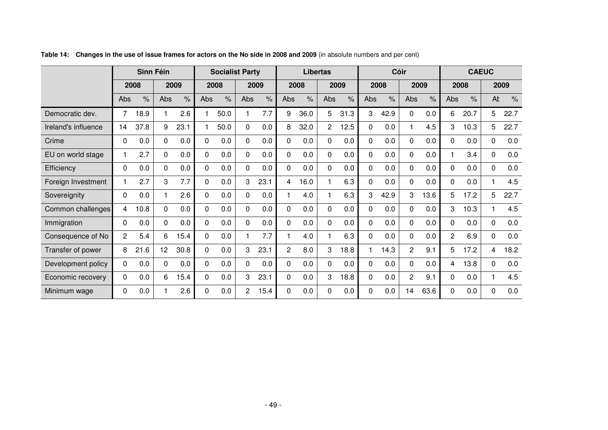|                     | Sinn Féin      |               |          | <b>Socialist Party</b> |          |      | <b>Libertas</b> |               |                | <b>Cóir</b>   |                |               |          | <b>CAEUC</b>  |                |                      |                |                      |             |      |
|---------------------|----------------|---------------|----------|------------------------|----------|------|-----------------|---------------|----------------|---------------|----------------|---------------|----------|---------------|----------------|----------------------|----------------|----------------------|-------------|------|
|                     | 2008           |               |          | 2009                   |          | 2008 |                 | 2009          |                | 2008          |                | 2009          |          | 2008          |                | 2009                 |                | 2008                 |             | 2009 |
|                     | Abs            | $\frac{9}{6}$ | Abs      | $\%$                   | Abs      | $\%$ | Abs             | $\frac{9}{6}$ | Abs            | $\frac{9}{6}$ | Abs            | $\frac{9}{6}$ | Abs      | $\frac{9}{6}$ | Abs            | $\frac{1}{\sqrt{2}}$ | Abs            | $\frac{1}{\sqrt{2}}$ | AŁ          | $\%$ |
| Democratic dev.     | 7              | 18.9          |          | 2.6                    |          | 50.0 | 1               | 7.7           | 9              | 36.0          | 5              | 31.3          | 3        | 42.9          | 0              | 0.0                  | 6              | 20.7                 | 5           | 22.7 |
| Ireland's influence | 14             | 37.8          | 9        | 23.1                   |          | 50.0 | 0               | 0.0           | 8              | 32.0          | $\overline{2}$ | 12.5          | $\Omega$ | 0.0           |                | 4.5                  | 3              | 10.3                 | 5           | 22.7 |
| Crime               | 0              | 0.0           | 0        | 0.0                    | 0        | 0.0  | 0               | 0.0           | 0              | 0.0           | 0              | 0.0           | 0        | 0.0           | 0              | 0.0                  | 0              | 0.0                  | 0           | 0.0  |
| EU on world stage   |                | 2.7           | $\Omega$ | 0.0                    | 0        | 0.0  | 0               | 0.0           | $\mathbf 0$    | 0.0           | $\Omega$       | 0.0           | $\Omega$ | 0.0           | 0              | 0.0                  |                | 3.4                  | $\mathbf 0$ | 0.0  |
| Efficiency          | 0              | 0.0           | $\Omega$ | 0.0                    | $\Omega$ | 0.0  | 0               | 0.0           | $\Omega$       | 0.0           | $\Omega$       | 0.0           | $\Omega$ | 0.0           | 0              | 0.0                  | $\Omega$       | 0.0                  | 0           | 0.0  |
| Foreign Investment  |                | 2.7           | 3        | 7.7                    | $\Omega$ | 0.0  | 3               | 23.1          | 4              | 16.0          |                | 6.3           | 0        | 0.0           | 0              | 0.0                  | 0              | 0.0                  | 1           | 4.5  |
| Sovereignity        | $\Omega$       | 0.0           |          | 2.6                    | $\Omega$ | 0.0  | 0               | 0.0           |                | 4.0           |                | 6.3           | 3        | 42.9          | 3              | 13.6                 | 5              | 17.2                 | 5           | 22.7 |
| Common challenges   | 4              | 10.8          | $\Omega$ | 0.0                    | $\Omega$ | 0.0  | $\Omega$        | 0.0           | $\mathbf 0$    | 0.0           | $\Omega$       | 0.0           | $\Omega$ | 0.0           | 0              | 0.0                  | 3              | 10.3                 |             | 4.5  |
| Immigration         | 0              | 0.0           | $\Omega$ | 0.0                    | $\Omega$ | 0.0  | $\Omega$        | 0.0           | $\Omega$       | 0.0           | $\Omega$       | 0.0           | $\Omega$ | 0.0           | 0              | 0.0                  | 0              | 0.0                  | 0           | 0.0  |
| Consequence of No   | $\overline{2}$ | 5.4           | 6        | 15.4                   | $\Omega$ | 0.0  | 1               | 7.7           |                | 4.0           |                | 6.3           | $\Omega$ | 0.0           | 0              | 0.0                  | $\overline{c}$ | 6.9                  | $\Omega$    | 0.0  |
| Transfer of power   | 8              | 21.6          | 12       | 30.8                   | $\Omega$ | 0.0  | 3               | 23.1          | $\overline{2}$ | 8.0           | 3              | 18.8          |          | 14.3          | 2              | 9.1                  | 5              | 17.2                 | 4           | 18.2 |
| Development policy  | $\Omega$       | 0.0           | 0        | 0.0                    | $\Omega$ | 0.0  | 0               | 0.0           | $\mathbf 0$    | 0.0           | $\Omega$       | 0.0           | $\Omega$ | 0.0           | 0              | 0.0                  | 4              | 13.8                 | $\Omega$    | 0.0  |
| Economic recovery   | 0              | 0.0           | 6        | 15.4                   | $\Omega$ | 0.0  | 3               | 23.1          | $\Omega$       | 0.0           | 3              | 18.8          | 0        | 0.0           | $\overline{c}$ | 9.1                  | 0              | 0.0                  |             | 4.5  |
| Minimum wage        | 0              | 0.0           |          | 2.6                    | $\Omega$ | 0.0  | 2               | 15.4          | $\mathbf 0$    | 0.0           | 0              | 0.0           | $\Omega$ | 0.0           | 14             | 63.6                 | 0              | 0.0                  | 0           | 0.0  |

**Table 14: Changes in the use of issue frames for actors on the No side in 2008 and 2009** (in absolute numbers and per cent)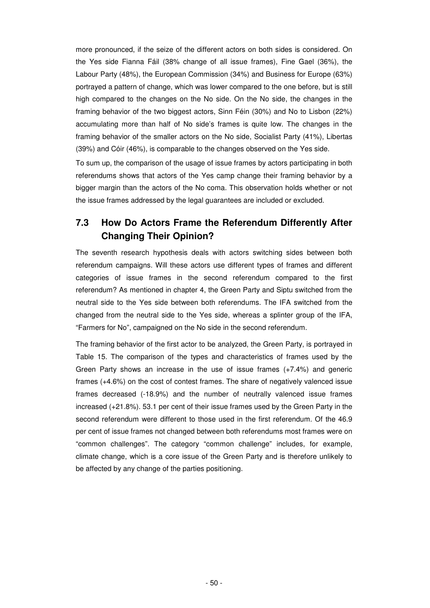more pronounced, if the seize of the different actors on both sides is considered. On the Yes side Fianna Fáil (38% change of all issue frames), Fine Gael (36%), the Labour Party (48%), the European Commission (34%) and Business for Europe (63%) portrayed a pattern of change, which was lower compared to the one before, but is still high compared to the changes on the No side. On the No side, the changes in the framing behavior of the two biggest actors, Sinn Féin (30%) and No to Lisbon (22%) accumulating more than half of No side's frames is quite low. The changes in the framing behavior of the smaller actors on the No side, Socialist Party (41%), Libertas (39%) and Cóir (46%), is comparable to the changes observed on the Yes side.

To sum up, the comparison of the usage of issue frames by actors participating in both referendums shows that actors of the Yes camp change their framing behavior by a bigger margin than the actors of the No coma. This observation holds whether or not the issue frames addressed by the legal guarantees are included or excluded.

## **7.3 How Do Actors Frame the Referendum Differently After Changing Their Opinion?**

The seventh research hypothesis deals with actors switching sides between both referendum campaigns. Will these actors use different types of frames and different categories of issue frames in the second referendum compared to the first referendum? As mentioned in chapter 4, the Green Party and Siptu switched from the neutral side to the Yes side between both referendums. The IFA switched from the changed from the neutral side to the Yes side, whereas a splinter group of the IFA, "Farmers for No", campaigned on the No side in the second referendum.

The framing behavior of the first actor to be analyzed, the Green Party, is portrayed in Table 15. The comparison of the types and characteristics of frames used by the Green Party shows an increase in the use of issue frames (+7.4%) and generic frames (+4.6%) on the cost of contest frames. The share of negatively valenced issue frames decreased (-18.9%) and the number of neutrally valenced issue frames increased (+21.8%). 53.1 per cent of their issue frames used by the Green Party in the second referendum were different to those used in the first referendum. Of the 46.9 per cent of issue frames not changed between both referendums most frames were on "common challenges". The category "common challenge" includes, for example, climate change, which is a core issue of the Green Party and is therefore unlikely to be affected by any change of the parties positioning.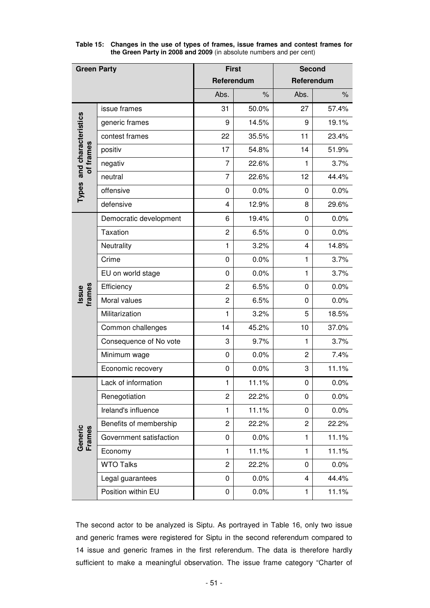| <b>Green Party</b>                     |                         |                | <b>First</b>         | <b>Second</b>  |       |  |  |  |
|----------------------------------------|-------------------------|----------------|----------------------|----------------|-------|--|--|--|
|                                        |                         |                | Referendum           | Referendum     |       |  |  |  |
|                                        |                         | Abs.           | $\frac{1}{\sqrt{2}}$ | Abs.           | $\%$  |  |  |  |
|                                        | issue frames            | 31             | 50.0%                | 27             | 57.4% |  |  |  |
|                                        | generic frames          | 9              | 14.5%                | 9              | 19.1% |  |  |  |
| Types and characteristics<br>of frames | contest frames          | 22             | 35.5%                | 11             | 23.4% |  |  |  |
|                                        | positiv                 | 17             | 54.8%                | 14             | 51.9% |  |  |  |
|                                        | negativ                 | $\overline{7}$ | 22.6%                | 1              | 3.7%  |  |  |  |
|                                        | neutral                 | $\overline{7}$ | 22.6%                | 12             | 44.4% |  |  |  |
|                                        | offensive               | 0              | 0.0%                 | 0              | 0.0%  |  |  |  |
|                                        | defensive               | 4              | 12.9%                | 8              | 29.6% |  |  |  |
|                                        | Democratic development  | 6              | 19.4%                | 0              | 0.0%  |  |  |  |
|                                        | Taxation                | $\overline{2}$ | 6.5%                 | 0              | 0.0%  |  |  |  |
|                                        | Neutrality              | $\mathbf{1}$   | 3.2%                 | 4              | 14.8% |  |  |  |
|                                        | Crime                   | $\mathbf 0$    | 0.0%                 | $\mathbf{1}$   | 3.7%  |  |  |  |
|                                        | EU on world stage       | 0              | 0.0%                 | $\mathbf{1}$   | 3.7%  |  |  |  |
|                                        | Efficiency              | 2              | 6.5%                 | 0              | 0.0%  |  |  |  |
| frames<br>Issue                        | Moral values            | $\overline{2}$ | 6.5%                 | 0              | 0.0%  |  |  |  |
|                                        | Militarization          | $\mathbf{1}$   | 3.2%                 | 5              | 18.5% |  |  |  |
|                                        | Common challenges       | 14             | 45.2%                | 10             | 37.0% |  |  |  |
|                                        | Consequence of No vote  | 3              | 9.7%                 | $\mathbf{1}$   | 3.7%  |  |  |  |
|                                        | Minimum wage            | 0              | 0.0%                 | $\overline{c}$ | 7.4%  |  |  |  |
|                                        | Economic recovery       | 0              | 0.0%                 | 3              | 11.1% |  |  |  |
|                                        | Lack of information     | 1              | 11.1%                | 0              | 0.0%  |  |  |  |
|                                        | Renegotiation           | $\overline{c}$ | 22.2%                | 0              | 0.0%  |  |  |  |
|                                        | Ireland's influence     | 1              | 11.1%                | 0              | 0.0%  |  |  |  |
|                                        | Benefits of membership  | $\overline{c}$ | 22.2%                | $\overline{c}$ | 22.2% |  |  |  |
| Generic<br>Frames                      | Government satisfaction | 0              | 0.0%                 | 1              | 11.1% |  |  |  |
|                                        | Economy                 | 1              | 11.1%                | 1              | 11.1% |  |  |  |
|                                        | <b>WTO Talks</b>        | $\overline{c}$ | 22.2%                | 0              | 0.0%  |  |  |  |
|                                        | Legal guarantees        | $\mathbf 0$    | 0.0%                 | 4              | 44.4% |  |  |  |
|                                        | Position within EU      | $\pmb{0}$      | 0.0%                 | 1              | 11.1% |  |  |  |

**Table 15: Changes in the use of types of frames, issue frames and contest frames for the Green Party in 2008 and 2009** (in absolute numbers and per cent)

The second actor to be analyzed is Siptu. As portrayed in Table 16, only two issue and generic frames were registered for Siptu in the second referendum compared to 14 issue and generic frames in the first referendum. The data is therefore hardly sufficient to make a meaningful observation. The issue frame category "Charter of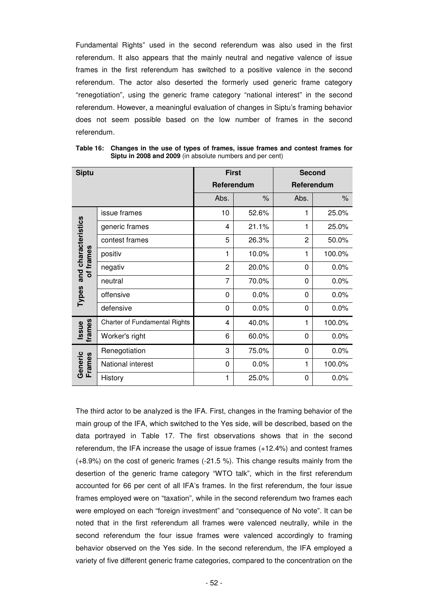Fundamental Rights" used in the second referendum was also used in the first referendum. It also appears that the mainly neutral and negative valence of issue frames in the first referendum has switched to a positive valence in the second referendum. The actor also deserted the formerly used generic frame category "renegotiation", using the generic frame category "national interest" in the second referendum. However, a meaningful evaluation of changes in Siptu's framing behavior does not seem possible based on the low number of frames in the second referendum.

| <b>Siptu</b>                                     |                               | <b>First</b>   |       | <b>Second</b> |        |
|--------------------------------------------------|-------------------------------|----------------|-------|---------------|--------|
|                                                  |                               | Referendum     |       | Referendum    |        |
|                                                  |                               | Abs.           | $\%$  | Abs.          | $\%$   |
| and characteristics<br>of frames<br><b>Types</b> | issue frames                  | 10             | 52.6% | 1             | 25.0%  |
|                                                  | generic frames                | 4              | 21.1% | 1             | 25.0%  |
|                                                  | contest frames                | 5              | 26.3% | 2             | 50.0%  |
|                                                  | positiv                       | 1              | 10.0% | 1             | 100.0% |
|                                                  | negativ                       | $\overline{2}$ | 20.0% | 0             | 0.0%   |
|                                                  | neutral                       | 7              | 70.0% | 0             | 0.0%   |
|                                                  | offensive                     | 0              | 0.0%  | 0             | 0.0%   |
|                                                  | defensive                     | 0              | 0.0%  | 0             | 0.0%   |
| frames<br><b>Issue</b>                           | Charter of Fundamental Rights | 4              | 40.0% | 1             | 100.0% |
|                                                  | Worker's right                | 6              | 60.0% | 0             | 0.0%   |
| Generic<br>Frames                                | Renegotiation                 | 3              | 75.0% | 0             | 0.0%   |
|                                                  | National interest             | 0              | 0.0%  | 1             | 100.0% |
|                                                  | History                       | 1              | 25.0% | 0             | 0.0%   |

**Table 16: Changes in the use of types of frames, issue frames and contest frames for Siptu in 2008 and 2009** (in absolute numbers and per cent)

The third actor to be analyzed is the IFA. First, changes in the framing behavior of the main group of the IFA, which switched to the Yes side, will be described, based on the data portrayed in Table 17. The first observations shows that in the second referendum, the IFA increase the usage of issue frames (+12.4%) and contest frames (+8.9%) on the cost of generic frames (-21.5 %). This change results mainly from the desertion of the generic frame category "WTO talk", which in the first referendum accounted for 66 per cent of all IFA's frames. In the first referendum, the four issue frames employed were on "taxation", while in the second referendum two frames each were employed on each "foreign investment" and "consequence of No vote". It can be noted that in the first referendum all frames were valenced neutrally, while in the second referendum the four issue frames were valenced accordingly to framing behavior observed on the Yes side. In the second referendum, the IFA employed a variety of five different generic frame categories, compared to the concentration on the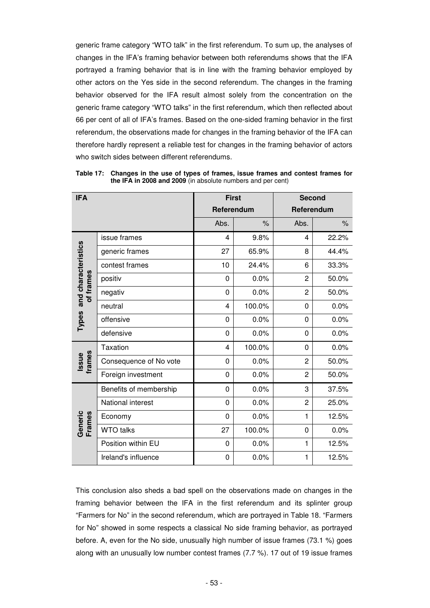generic frame category "WTO talk" in the first referendum. To sum up, the analyses of changes in the IFA's framing behavior between both referendums shows that the IFA portrayed a framing behavior that is in line with the framing behavior employed by other actors on the Yes side in the second referendum. The changes in the framing behavior observed for the IFA result almost solely from the concentration on the generic frame category "WTO talks" in the first referendum, which then reflected about 66 per cent of all of IFA's frames. Based on the one-sided framing behavior in the first referendum, the observations made for changes in the framing behavior of the IFA can therefore hardly represent a reliable test for changes in the framing behavior of actors who switch sides between different referendums.

| <b>IFA</b>                             |                        | <b>First</b>            |        | <b>Second</b>  |       |
|----------------------------------------|------------------------|-------------------------|--------|----------------|-------|
|                                        |                        | Referendum              |        | Referendum     |       |
|                                        |                        | Abs.                    | $\%$   | Abs.           | $\%$  |
| Types and characteristics<br>of frames | issue frames           | $\overline{\mathbf{4}}$ | 9.8%   | 4              | 22.2% |
|                                        | generic frames         | 27                      | 65.9%  | 8              | 44.4% |
|                                        | contest frames         | 10                      | 24.4%  | 6              | 33.3% |
|                                        | positiv                | $\mathbf 0$             | 0.0%   | $\overline{2}$ | 50.0% |
|                                        | negativ                | 0                       | 0.0%   | 2              | 50.0% |
|                                        | neutral                | 4                       | 100.0% | 0              | 0.0%  |
|                                        | offensive              | 0                       | 0.0%   | 0              | 0.0%  |
|                                        | defensive              | 0                       | 0.0%   | 0              | 0.0%  |
| Issue<br>frames                        | <b>Taxation</b>        | 4                       | 100.0% | 0              | 0.0%  |
|                                        | Consequence of No vote | 0                       | 0.0%   | 2              | 50.0% |
|                                        | Foreign investment     | 0                       | 0.0%   | 2              | 50.0% |
| Generic<br>Frames                      | Benefits of membership | $\Omega$                | 0.0%   | 3              | 37.5% |
|                                        | National interest      | $\mathbf 0$             | 0.0%   | $\overline{c}$ | 25.0% |
|                                        | Economy                | $\mathbf 0$             | 0.0%   | 1              | 12.5% |
|                                        | <b>WTO talks</b>       | 27                      | 100.0% | 0              | 0.0%  |
|                                        | Position within EU     | 0                       | 0.0%   | 1              | 12.5% |
|                                        | Ireland's influence    | 0                       | 0.0%   | 1              | 12.5% |

**Table 17: Changes in the use of types of frames, issue frames and contest frames for the IFA in 2008 and 2009** (in absolute numbers and per cent)

This conclusion also sheds a bad spell on the observations made on changes in the framing behavior between the IFA in the first referendum and its splinter group "Farmers for No" in the second referendum, which are portrayed in Table 18. "Farmers for No" showed in some respects a classical No side framing behavior, as portrayed before. A, even for the No side, unusually high number of issue frames (73.1 %) goes along with an unusually low number contest frames (7.7 %). 17 out of 19 issue frames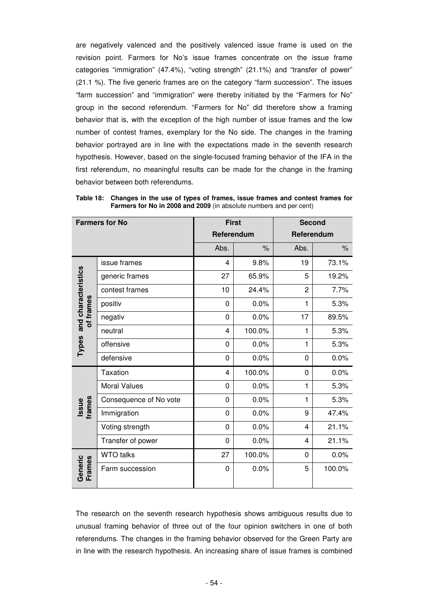are negatively valenced and the positively valenced issue frame is used on the revision point. Farmers for No's issue frames concentrate on the issue frame categories "immigration" (47.4%), "voting strength" (21.1%) and "transfer of power" (21.1 %). The five generic frames are on the category "farm succession". The issues "farm succession" and "immigration" were thereby initiated by the "Farmers for No" group in the second referendum. "Farmers for No" did therefore show a framing behavior that is, with the exception of the high number of issue frames and the low number of contest frames, exemplary for the No side. The changes in the framing behavior portrayed are in line with the expectations made in the seventh research hypothesis. However, based on the single-focused framing behavior of the IFA in the first referendum, no meaningful results can be made for the change in the framing behavior between both referendums.

| <b>Farmers for No</b>                  |                        | <b>First</b> |        | <b>Second</b>  |        |
|----------------------------------------|------------------------|--------------|--------|----------------|--------|
|                                        |                        | Referendum   |        | Referendum     |        |
|                                        |                        | Abs.         | $\%$   | Abs.           | $\%$   |
| Types and characteristics<br>of frames | issue frames           | 4            | 9.8%   | 19             | 73.1%  |
|                                        | generic frames         | 27           | 65.9%  | 5              | 19.2%  |
|                                        | contest frames         | 10           | 24.4%  | $\overline{2}$ | 7.7%   |
|                                        | positiv                | 0            | 0.0%   | 1              | 5.3%   |
|                                        | negativ                | 0            | 0.0%   | 17             | 89.5%  |
|                                        | neutral                | 4            | 100.0% | 1              | 5.3%   |
|                                        | offensive              | 0            | 0.0%   | 1              | 5.3%   |
|                                        | defensive              | 0            | 0.0%   | 0              | 0.0%   |
| Issue<br>frames                        | <b>Taxation</b>        | 4            | 100.0% | 0              | 0.0%   |
|                                        | <b>Moral Values</b>    | 0            | 0.0%   | $\mathbf{1}$   | 5.3%   |
|                                        | Consequence of No vote | 0            | 0.0%   | 1              | 5.3%   |
|                                        | Immigration            | 0            | 0.0%   | 9              | 47.4%  |
|                                        | Voting strength        | 0            | 0.0%   | 4              | 21.1%  |
|                                        | Transfer of power      | 0            | 0.0%   | 4              | 21.1%  |
| Generic<br>Frames                      | <b>WTO talks</b>       | 27           | 100.0% | 0              | 0.0%   |
|                                        | Farm succession        | 0            | 0.0%   | 5              | 100.0% |

**Table 18: Changes in the use of types of frames, issue frames and contest frames for Farmers for No in 2008 and 2009** (in absolute numbers and per cent)

The research on the seventh research hypothesis shows ambiguous results due to unusual framing behavior of three out of the four opinion switchers in one of both referendums. The changes in the framing behavior observed for the Green Party are in line with the research hypothesis. An increasing share of issue frames is combined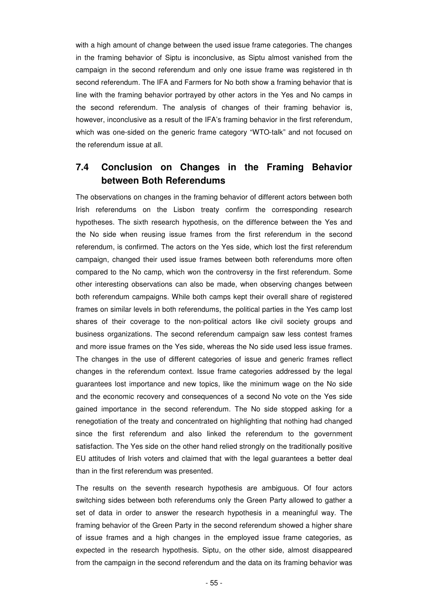with a high amount of change between the used issue frame categories. The changes in the framing behavior of Siptu is inconclusive, as Siptu almost vanished from the campaign in the second referendum and only one issue frame was registered in th second referendum. The IFA and Farmers for No both show a framing behavior that is line with the framing behavior portrayed by other actors in the Yes and No camps in the second referendum. The analysis of changes of their framing behavior is, however, inconclusive as a result of the IFA's framing behavior in the first referendum, which was one-sided on the generic frame category "WTO-talk" and not focused on the referendum issue at all.

## **7.4 Conclusion on Changes in the Framing Behavior between Both Referendums**

The observations on changes in the framing behavior of different actors between both Irish referendums on the Lisbon treaty confirm the corresponding research hypotheses. The sixth research hypothesis, on the difference between the Yes and the No side when reusing issue frames from the first referendum in the second referendum, is confirmed. The actors on the Yes side, which lost the first referendum campaign, changed their used issue frames between both referendums more often compared to the No camp, which won the controversy in the first referendum. Some other interesting observations can also be made, when observing changes between both referendum campaigns. While both camps kept their overall share of registered frames on similar levels in both referendums, the political parties in the Yes camp lost shares of their coverage to the non-political actors like civil society groups and business organizations. The second referendum campaign saw less contest frames and more issue frames on the Yes side, whereas the No side used less issue frames. The changes in the use of different categories of issue and generic frames reflect changes in the referendum context. Issue frame categories addressed by the legal guarantees lost importance and new topics, like the minimum wage on the No side and the economic recovery and consequences of a second No vote on the Yes side gained importance in the second referendum. The No side stopped asking for a renegotiation of the treaty and concentrated on highlighting that nothing had changed since the first referendum and also linked the referendum to the government satisfaction. The Yes side on the other hand relied strongly on the traditionally positive EU attitudes of Irish voters and claimed that with the legal guarantees a better deal than in the first referendum was presented.

The results on the seventh research hypothesis are ambiguous. Of four actors switching sides between both referendums only the Green Party allowed to gather a set of data in order to answer the research hypothesis in a meaningful way. The framing behavior of the Green Party in the second referendum showed a higher share of issue frames and a high changes in the employed issue frame categories, as expected in the research hypothesis. Siptu, on the other side, almost disappeared from the campaign in the second referendum and the data on its framing behavior was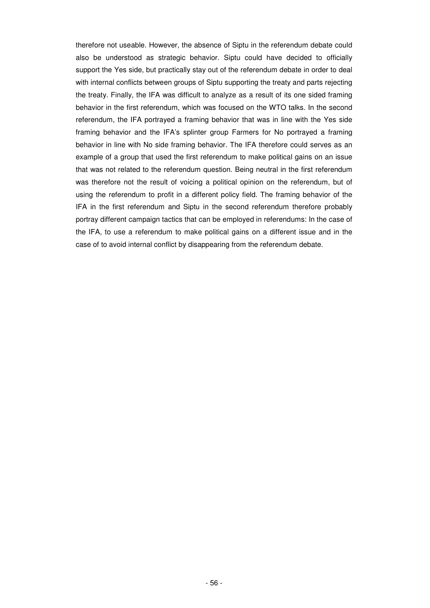therefore not useable. However, the absence of Siptu in the referendum debate could also be understood as strategic behavior. Siptu could have decided to officially support the Yes side, but practically stay out of the referendum debate in order to deal with internal conflicts between groups of Siptu supporting the treaty and parts rejecting the treaty. Finally, the IFA was difficult to analyze as a result of its one sided framing behavior in the first referendum, which was focused on the WTO talks. In the second referendum, the IFA portrayed a framing behavior that was in line with the Yes side framing behavior and the IFA's splinter group Farmers for No portrayed a framing behavior in line with No side framing behavior. The IFA therefore could serves as an example of a group that used the first referendum to make political gains on an issue that was not related to the referendum question. Being neutral in the first referendum was therefore not the result of voicing a political opinion on the referendum, but of using the referendum to profit in a different policy field. The framing behavior of the IFA in the first referendum and Siptu in the second referendum therefore probably portray different campaign tactics that can be employed in referendums: In the case of the IFA, to use a referendum to make political gains on a different issue and in the case of to avoid internal conflict by disappearing from the referendum debate.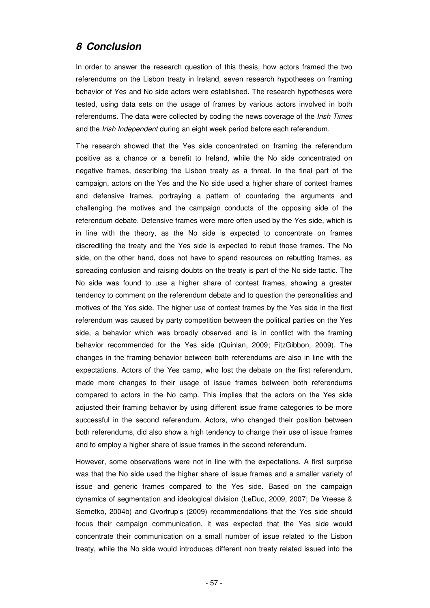### **8 Conclusion**

In order to answer the research question of this thesis, how actors framed the two referendums on the Lisbon treaty in Ireland, seven research hypotheses on framing behavior of Yes and No side actors were established. The research hypotheses were tested, using data sets on the usage of frames by various actors involved in both referendums. The data were collected by coding the news coverage of the Irish Times and the Irish Independent during an eight week period before each referendum.

The research showed that the Yes side concentrated on framing the referendum positive as a chance or a benefit to Ireland, while the No side concentrated on negative frames, describing the Lisbon treaty as a threat. In the final part of the campaign, actors on the Yes and the No side used a higher share of contest frames and defensive frames, portraying a pattern of countering the arguments and challenging the motives and the campaign conducts of the opposing side of the referendum debate. Defensive frames were more often used by the Yes side, which is in line with the theory, as the No side is expected to concentrate on frames discrediting the treaty and the Yes side is expected to rebut those frames. The No side, on the other hand, does not have to spend resources on rebutting frames, as spreading confusion and raising doubts on the treaty is part of the No side tactic. The No side was found to use a higher share of contest frames, showing a greater tendency to comment on the referendum debate and to question the personalities and motives of the Yes side. The higher use of contest frames by the Yes side in the first referendum was caused by party competition between the political parties on the Yes side, a behavior which was broadly observed and is in conflict with the framing behavior recommended for the Yes side (Quinlan, 2009; FitzGibbon, 2009). The changes in the framing behavior between both referendums are also in line with the expectations. Actors of the Yes camp, who lost the debate on the first referendum, made more changes to their usage of issue frames between both referendums compared to actors in the No camp. This implies that the actors on the Yes side adjusted their framing behavior by using different issue frame categories to be more successful in the second referendum. Actors, who changed their position between both referendums, did also show a high tendency to change their use of issue frames and to employ a higher share of issue frames in the second referendum.

However, some observations were not in line with the expectations. A first surprise was that the No side used the higher share of issue frames and a smaller variety of issue and generic frames compared to the Yes side. Based on the campaign dynamics of segmentation and ideological division (LeDuc, 2009, 2007; De Vreese & Semetko, 2004b) and Qvortrup's (2009) recommendations that the Yes side should focus their campaign communication, it was expected that the Yes side would concentrate their communication on a small number of issue related to the Lisbon treaty, while the No side would introduces different non treaty related issued into the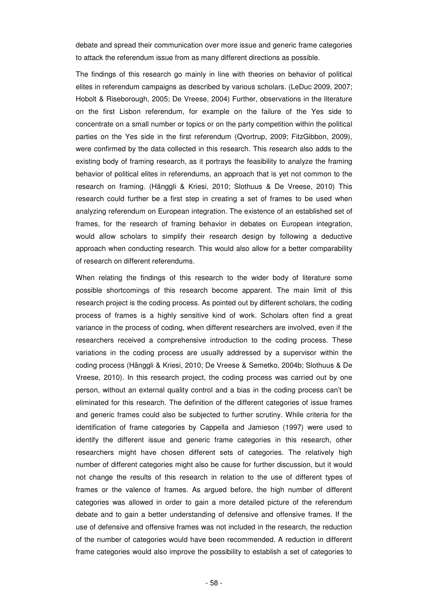debate and spread their communication over more issue and generic frame categories to attack the referendum issue from as many different directions as possible.

The findings of this research go mainly in line with theories on behavior of political elites in referendum campaigns as described by various scholars. (LeDuc 2009, 2007; Hobolt & Riseborough, 2005; De Vreese, 2004) Further, observations in the literature on the first Lisbon referendum, for example on the failure of the Yes side to concentrate on a small number or topics or on the party competition within the political parties on the Yes side in the first referendum (Qvortrup, 2009; FitzGibbon, 2009), were confirmed by the data collected in this research. This research also adds to the existing body of framing research, as it portrays the feasibility to analyze the framing behavior of political elites in referendums, an approach that is yet not common to the research on framing. (Hänggli & Kriesi, 2010; Slothuus & De Vreese, 2010) This research could further be a first step in creating a set of frames to be used when analyzing referendum on European integration. The existence of an established set of frames, for the research of framing behavior in debates on European integration, would allow scholars to simplify their research design by following a deductive approach when conducting research. This would also allow for a better comparability of research on different referendums.

When relating the findings of this research to the wider body of literature some possible shortcomings of this research become apparent. The main limit of this research project is the coding process. As pointed out by different scholars, the coding process of frames is a highly sensitive kind of work. Scholars often find a great variance in the process of coding, when different researchers are involved, even if the researchers received a comprehensive introduction to the coding process. These variations in the coding process are usually addressed by a supervisor within the coding process (Hänggli & Kriesi, 2010; De Vreese & Semetko, 2004b; Slothuus & De Vreese, 2010). In this research project, the coding process was carried out by one person, without an external quality control and a bias in the coding process can't be eliminated for this research. The definition of the different categories of issue frames and generic frames could also be subjected to further scrutiny. While criteria for the identification of frame categories by Cappella and Jamieson (1997) were used to identify the different issue and generic frame categories in this research, other researchers might have chosen different sets of categories. The relatively high number of different categories might also be cause for further discussion, but it would not change the results of this research in relation to the use of different types of frames or the valence of frames. As argued before, the high number of different categories was allowed in order to gain a more detailed picture of the referendum debate and to gain a better understanding of defensive and offensive frames. If the use of defensive and offensive frames was not included in the research, the reduction of the number of categories would have been recommended. A reduction in different frame categories would also improve the possibility to establish a set of categories to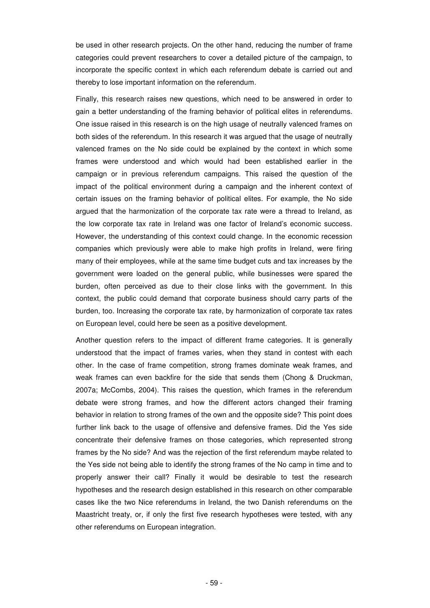be used in other research projects. On the other hand, reducing the number of frame categories could prevent researchers to cover a detailed picture of the campaign, to incorporate the specific context in which each referendum debate is carried out and thereby to lose important information on the referendum.

Finally, this research raises new questions, which need to be answered in order to gain a better understanding of the framing behavior of political elites in referendums. One issue raised in this research is on the high usage of neutrally valenced frames on both sides of the referendum. In this research it was argued that the usage of neutrally valenced frames on the No side could be explained by the context in which some frames were understood and which would had been established earlier in the campaign or in previous referendum campaigns. This raised the question of the impact of the political environment during a campaign and the inherent context of certain issues on the framing behavior of political elites. For example, the No side argued that the harmonization of the corporate tax rate were a thread to Ireland, as the low corporate tax rate in Ireland was one factor of Ireland's economic success. However, the understanding of this context could change. In the economic recession companies which previously were able to make high profits in Ireland, were firing many of their employees, while at the same time budget cuts and tax increases by the government were loaded on the general public, while businesses were spared the burden, often perceived as due to their close links with the government. In this context, the public could demand that corporate business should carry parts of the burden, too. Increasing the corporate tax rate, by harmonization of corporate tax rates on European level, could here be seen as a positive development.

Another question refers to the impact of different frame categories. It is generally understood that the impact of frames varies, when they stand in contest with each other. In the case of frame competition, strong frames dominate weak frames, and weak frames can even backfire for the side that sends them (Chong & Druckman, 2007a; McCombs, 2004). This raises the question, which frames in the referendum debate were strong frames, and how the different actors changed their framing behavior in relation to strong frames of the own and the opposite side? This point does further link back to the usage of offensive and defensive frames. Did the Yes side concentrate their defensive frames on those categories, which represented strong frames by the No side? And was the rejection of the first referendum maybe related to the Yes side not being able to identify the strong frames of the No camp in time and to properly answer their call? Finally it would be desirable to test the research hypotheses and the research design established in this research on other comparable cases like the two Nice referendums in Ireland, the two Danish referendums on the Maastricht treaty, or, if only the first five research hypotheses were tested, with any other referendums on European integration.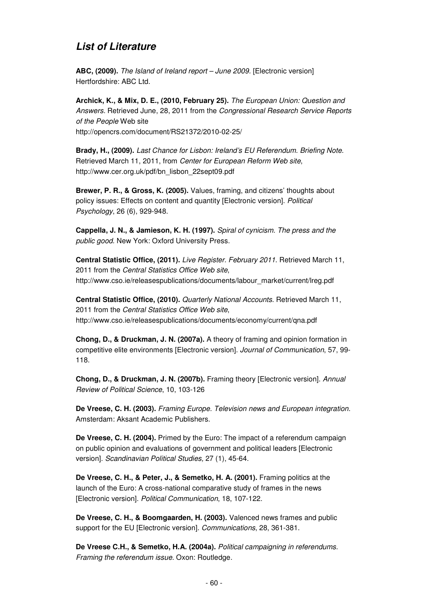## **List of Literature**

**ABC, (2009).** The Island of Ireland report – June 2009. [Electronic version] Hertfordshire: ABC Ltd.

**Archick, K., & Mix, D. E., (2010, February 25).** The European Union: Question and Answers. Retrieved June, 28, 2011 from the Congressional Research Service Reports of the People Web site http://opencrs.com/document/RS21372/2010-02-25/

**Brady, H., (2009).** Last Chance for Lisbon: Ireland's EU Referendum. Briefing Note. Retrieved March 11, 2011, from Center for European Reform Web site, http://www.cer.org.uk/pdf/bn\_lisbon\_22sept09.pdf

**Brewer, P. R., & Gross, K. (2005).** Values, framing, and citizens' thoughts about policy issues: Effects on content and quantity [Electronic version]. Political Psychology, 26 (6), 929-948.

**Cappella, J. N., & Jamieson, K. H. (1997).** Spiral of cynicism. The press and the public good. New York: Oxford University Press.

**Central Statistic Office, (2011).** Live Register. February 2011. Retrieved March 11, 2011 from the Central Statistics Office Web site, http://www.cso.ie/releasespublications/documents/labour\_market/current/lreg.pdf

**Central Statistic Office, (2010).** Quarterly National Accounts. Retrieved March 11, 2011 from the Central Statistics Office Web site, http://www.cso.ie/releasespublications/documents/economy/current/qna.pdf

**Chong, D., & Druckman, J. N. (2007a).** A theory of framing and opinion formation in competitive elite environments [Electronic version]. Journal of Communication, 57, 99- 118.

**Chong, D., & Druckman, J. N. (2007b).** Framing theory [Electronic version]. Annual Review of Political Science, 10, 103-126

**De Vreese, C. H. (2003).** Framing Europe. Television news and European integration. Amsterdam: Aksant Academic Publishers.

**De Vreese, C. H. (2004).** Primed by the Euro: The impact of a referendum campaign on public opinion and evaluations of government and political leaders [Electronic version]. Scandinavian Political Studies, 27 (1), 45-64.

**De Vreese, C. H., & Peter, J., & Semetko, H. A. (2001).** Framing politics at the launch of the Euro: A cross-national comparative study of frames in the news [Electronic version]. Political Communication, 18, 107-122.

**De Vreese, C. H., & Boomgaarden, H. (2003).** Valenced news frames and public support for the EU [Electronic version]. Communications, 28, 361-381.

**De Vreese C.H., & Semetko, H.A. (2004a).** Political campaigning in referendums. Framing the referendum issue. Oxon: Routledge.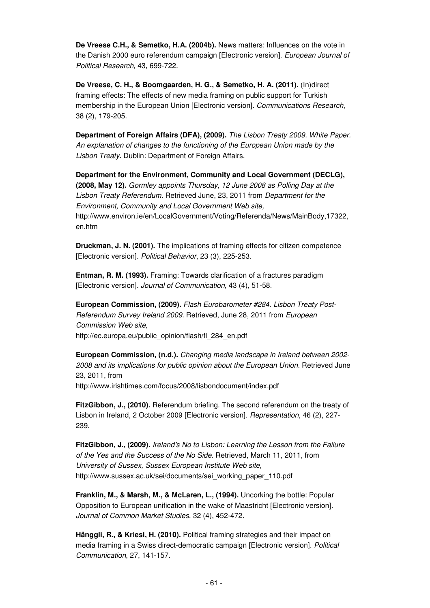**De Vreese C.H., & Semetko, H.A. (2004b).** News matters: Influences on the vote in the Danish 2000 euro referendum campaign [Electronic version]. European Journal of Political Research, 43, 699-722.

**De Vreese, C. H., & Boomgaarden, H. G., & Semetko, H. A. (2011).** (In)direct framing effects: The effects of new media framing on public support for Turkish membership in the European Union [Electronic version]. Communications Research, 38 (2), 179-205.

**Department of Foreign Affairs (DFA), (2009).** The Lisbon Treaty 2009. White Paper. An explanation of changes to the functioning of the European Union made by the Lisbon Treaty. Dublin: Department of Foreign Affairs.

**Department for the Environment, Community and Local Government (DECLG), (2008, May 12).** Gormley appoints Thursday, 12 June 2008 as Polling Day at the Lisbon Treaty Referendum. Retrieved June, 23, 2011 from Department for the Environment, Community and Local Government Web site, http://www.environ.ie/en/LocalGovernment/Voting/Referenda/News/MainBody,17322, en.htm

**Druckman, J. N. (2001).** The implications of framing effects for citizen competence [Electronic version]. Political Behavior, 23 (3), 225-253.

**Entman, R. M. (1993).** Framing: Towards clarification of a fractures paradigm [Electronic version]. Journal of Communication, 43 (4), 51-58.

**European Commission, (2009).** Flash Eurobarometer #284. Lisbon Treaty Post-Referendum Survey Ireland 2009. Retrieved, June 28, 2011 from European Commission Web site, http://ec.europa.eu/public\_opinion/flash/fl\_284\_en.pdf

**European Commission, (n.d.).** Changing media landscape in Ireland between 2002- 2008 and its implications for public opinion about the European Union. Retrieved June 23, 2011, from

http://www.irishtimes.com/focus/2008/lisbondocument/index.pdf

**FitzGibbon, J., (2010).** Referendum briefing. The second referendum on the treaty of Lisbon in Ireland, 2 October 2009 [Electronic version]. Representation, 46 (2), 227- 239.

**FitzGibbon, J., (2009).** Ireland's No to Lisbon: Learning the Lesson from the Failure of the Yes and the Success of the No Side. Retrieved, March 11, 2011, from University of Sussex, Sussex European Institute Web site, http://www.sussex.ac.uk/sei/documents/sei\_working\_paper\_110.pdf

**Franklin, M., & Marsh, M., & McLaren, L., (1994).** Uncorking the bottle: Popular Opposition to European unification in the wake of Maastricht [Electronic version]. Journal of Common Market Studies, 32 (4), 452-472.

**Hänggli, R., & Kriesi, H. (2010).** Political framing strategies and their impact on media framing in a Swiss direct-democratic campaign [Electronic version]. Political Communication, 27, 141-157.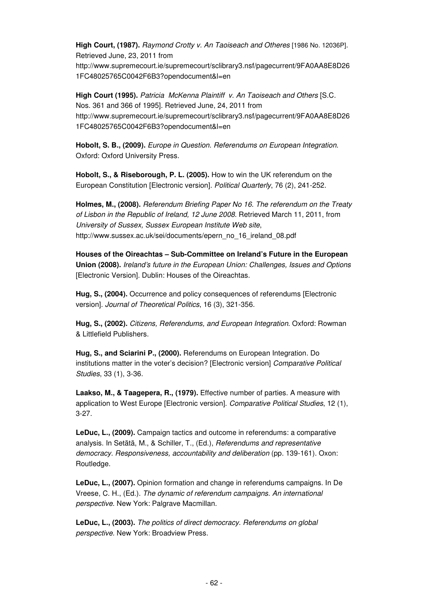**High Court, (1987).** Raymond Crotty v. An Taoiseach and Otheres [1986 No. 12036P]. Retrieved June, 23, 2011 from http://www.supremecourt.ie/supremecourt/sclibrary3.nsf/pagecurrent/9FA0AA8E8D26 1FC48025765C0042F6B3?opendocument&l=en

**High Court (1995).** Patricia McKenna Plaintiff v. An Taoiseach and Others [S.C. Nos. 361 and 366 of 1995]. Retrieved June, 24, 2011 from http://www.supremecourt.ie/supremecourt/sclibrary3.nsf/pagecurrent/9FA0AA8E8D26 1FC48025765C0042F6B3?opendocument&l=en

**Hobolt, S. B., (2009).** Europe in Question. Referendums on European Integration. Oxford: Oxford University Press.

**Hobolt, S., & Riseborough, P. L. (2005).** How to win the UK referendum on the European Constitution [Electronic version]. Political Quarterly, 76 (2), 241-252.

**Holmes, M., (2008).** Referendum Briefing Paper No 16. The referendum on the Treaty of Lisbon in the Republic of Ireland, 12 June 2008. Retrieved March 11, 2011, from University of Sussex, Sussex European Institute Web site, http://www.sussex.ac.uk/sei/documents/epern\_no\_16\_ireland\_08.pdf

**Houses of the Oireachtas – Sub-Committee on Ireland's Future in the European Union (2008).** Ireland's future in the European Union: Challenges, Issues and Options [Electronic Version]. Dublin: Houses of the Oireachtas.

**Hug, S., (2004).** Occurrence and policy consequences of referendums [Electronic version]. Journal of Theoretical Politics, 16 (3), 321-356.

**Hug, S., (2002).** Citizens, Referendums, and European Integration. Oxford: Rowman & Littlefield Publishers.

**Hug, S., and Sciarini P., (2000).** Referendums on European Integration. Do institutions matter in the voter's decision? [Electronic version] Comparative Political Studies, 33 (1), 3-36.

**Laakso, M., & Taagepera, R., (1979).** Effective number of parties. A measure with application to West Europe [Electronic version]. Comparative Political Studies, 12 (1), 3-27.

**LeDuc, L., (2009).** Campaign tactics and outcome in referendums: a comparative analysis. In Setätä, M., & Schiller, T., (Ed.), Referendums and representative democracy. Responsiveness, accountability and deliberation (pp. 139-161). Oxon: Routledge.

**LeDuc, L., (2007).** Opinion formation and change in referendums campaigns. In De Vreese, C. H., (Ed.). The dynamic of referendum campaigns. An international perspective. New York: Palgrave Macmillan.

**LeDuc, L., (2003).** The politics of direct democracy. Referendums on global perspective. New York: Broadview Press.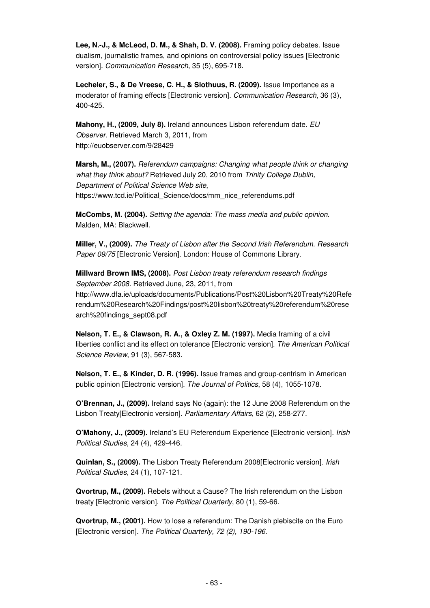**Lee, N.-J., & McLeod, D. M., & Shah, D. V. (2008).** Framing policy debates. Issue dualism, journalistic frames, and opinions on controversial policy issues [Electronic version]. Communication Research, 35 (5), 695-718.

**Lecheler, S., & De Vreese, C. H., & Slothuus, R. (2009).** Issue Importance as a moderator of framing effects [Electronic version]. Communication Research, 36 (3), 400-425.

**Mahony, H., (2009, July 8).** Ireland announces Lisbon referendum date. EU Observer. Retrieved March 3, 2011, from http://euobserver.com/9/28429

**Marsh, M., (2007).** Referendum campaigns: Changing what people think or changing what they think about? Retrieved July 20, 2010 from Trinity College Dublin, Department of Political Science Web site, https://www.tcd.ie/Political\_Science/docs/mm\_nice\_referendums.pdf

**McCombs, M. (2004).** Setting the agenda: The mass media and public opinion. Malden, MA: Blackwell.

**Miller, V., (2009).** The Treaty of Lisbon after the Second Irish Referendum. Research Paper 09/75 [Electronic Version]. London: House of Commons Library.

**Millward Brown IMS, (2008).** Post Lisbon treaty referendum research findings September 2008. Retrieved June, 23, 2011, from http://www.dfa.ie/uploads/documents/Publications/Post%20Lisbon%20Treaty%20Refe rendum%20Research%20Findings/post%20lisbon%20treaty%20referendum%20rese arch%20findings\_sept08.pdf

**Nelson, T. E., & Clawson, R. A., & Oxley Z. M. (1997).** Media framing of a civil liberties conflict and its effect on tolerance [Electronic version]. The American Political Science Review, 91 (3), 567-583.

**Nelson, T. E., & Kinder, D. R. (1996).** Issue frames and group-centrism in American public opinion [Electronic version]. The Journal of Politics, 58 (4), 1055-1078.

**O'Brennan, J., (2009).** Ireland says No (again): the 12 June 2008 Referendum on the Lisbon Treaty[Electronic version]. Parliamentary Affairs, 62 (2), 258-277.

**O'Mahony, J., (2009).** Ireland's EU Referendum Experience [Electronic version]. Irish Political Studies, 24 (4), 429-446.

**Quinlan, S., (2009).** The Lisbon Treaty Referendum 2008[Electronic version]. Irish Political Studies, 24 (1), 107-121.

**Qvortrup, M., (2009).** Rebels without a Cause? The Irish referendum on the Lisbon treaty [Electronic version]. The Political Quarterly, 80 (1), 59-66.

**Qvortrup, M., (2001).** How to lose a referendum: The Danish plebiscite on the Euro [Electronic version]. The Political Quarterly, 72 (2), 190-196.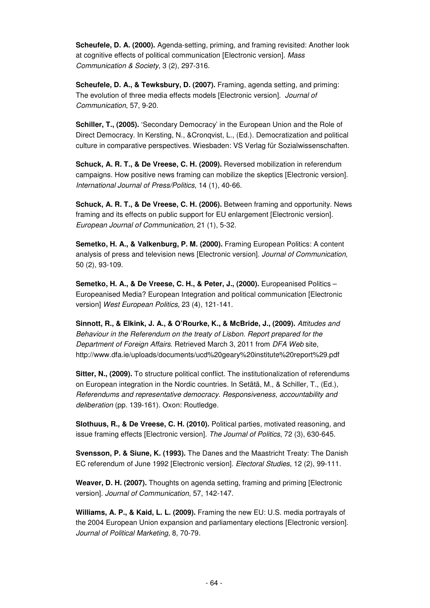**Scheufele, D. A. (2000).** Agenda-setting, priming, and framing revisited: Another look at cognitive effects of political communication [Electronic version]. Mass Communication & Society, 3 (2), 297-316.

**Scheufele, D. A., & Tewksbury, D. (2007).** Framing, agenda setting, and priming: The evolution of three media effects models [Electronic version]. Journal of Communication, 57, 9-20.

**Schiller, T., (2005).** 'Secondary Democracy' in the European Union and the Role of Direct Democracy. In Kersting, N., &Cronqvist, L., (Ed.). Democratization and political culture in comparative perspectives. Wiesbaden: VS Verlag für Sozialwissenschaften.

**Schuck, A. R. T., & De Vreese, C. H. (2009).** Reversed mobilization in referendum campaigns. How positive news framing can mobilize the skeptics [Electronic version]. International Journal of Press/Politics, 14 (1), 40-66.

**Schuck, A. R. T., & De Vreese, C. H. (2006).** Between framing and opportunity. News framing and its effects on public support for EU enlargement [Electronic version]. European Journal of Communication, 21 (1), 5-32.

**Semetko, H. A., & Valkenburg, P. M. (2000).** Framing European Politics: A content analysis of press and television news [Electronic version]. Journal of Communication, 50 (2), 93-109.

**Semetko, H. A., & De Vreese, C. H., & Peter, J., (2000).** Europeanised Politics – Europeanised Media? European Integration and political communication [Electronic version] West European Politics, 23 (4), 121-141.

**Sinnott, R., & Elkink, J. A., & O'Rourke, K., & McBride, J., (2009).** Attitudes and Behaviour in the Referendum on the treaty of Lisbon. Report prepared for the Department of Foreign Affairs. Retrieved March 3, 2011 from DFA Web site, http://www.dfa.ie/uploads/documents/ucd%20geary%20institute%20report%29.pdf

**Sitter, N., (2009).** To structure political conflict. The institutionalization of referendums on European integration in the Nordic countries. In Setätä, M., & Schiller, T., (Ed.), Referendums and representative democracy. Responsiveness, accountability and deliberation (pp. 139-161). Oxon: Routledge.

**Slothuus, R., & De Vreese, C. H. (2010).** Political parties, motivated reasoning, and issue framing effects [Electronic version]. The Journal of Politics, 72 (3), 630-645.

**Svensson, P. & Siune, K. (1993).** The Danes and the Maastricht Treaty: The Danish EC referendum of June 1992 [Electronic version]. Electoral Studies, 12 (2), 99-111.

**Weaver, D. H. (2007).** Thoughts on agenda setting, framing and priming [Electronic version]. Journal of Communication, 57, 142-147.

**Williams, A. P., & Kaid, L. L. (2009).** Framing the new EU: U.S. media portrayals of the 2004 European Union expansion and parliamentary elections [Electronic version]. Journal of Political Marketing, 8, 70-79.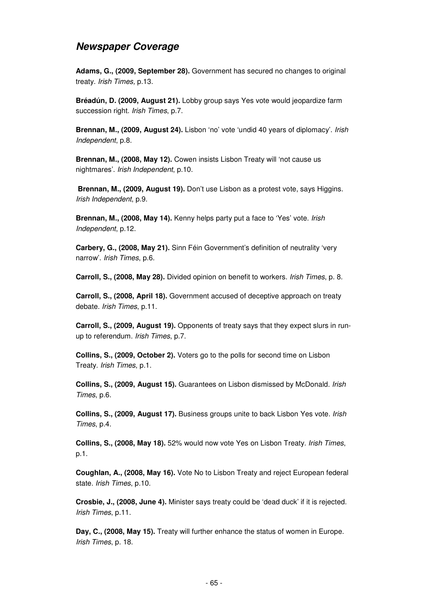### **Newspaper Coverage**

**Adams, G., (2009, September 28).** Government has secured no changes to original treaty. Irish Times, p.13.

**Bréadún, D. (2009, August 21).** Lobby group says Yes vote would jeopardize farm succession right. Irish Times, p.7.

**Brennan, M., (2009, August 24).** Lisbon 'no' vote 'undid 40 years of diplomacy'. Irish Independent, p.8.

**Brennan, M., (2008, May 12).** Cowen insists Lisbon Treaty will 'not cause us nightmares'. Irish Independent, p.10.

**Brennan, M., (2009, August 19).** Don't use Lisbon as a protest vote, says Higgins. Irish Independent, p.9.

**Brennan, M., (2008, May 14).** Kenny helps party put a face to 'Yes' vote. Irish Independent, p.12.

**Carbery, G., (2008, May 21).** Sinn Féin Government's definition of neutrality 'very narrow'. Irish Times, p.6.

**Carroll, S., (2008, May 28).** Divided opinion on benefit to workers. Irish Times, p. 8.

**Carroll, S., (2008, April 18).** Government accused of deceptive approach on treaty debate. Irish Times, p.11.

**Carroll, S., (2009, August 19).** Opponents of treaty says that they expect slurs in runup to referendum. Irish Times, p.7.

**Collins, S., (2009, October 2).** Voters go to the polls for second time on Lisbon Treaty. Irish Times, p.1.

**Collins, S., (2009, August 15).** Guarantees on Lisbon dismissed by McDonald. Irish Times, p.6.

**Collins, S., (2009, August 17).** Business groups unite to back Lisbon Yes vote. Irish Times, p.4.

**Collins, S., (2008, May 18).** 52% would now vote Yes on Lisbon Treaty. Irish Times, p.1.

**Coughlan, A., (2008, May 16).** Vote No to Lisbon Treaty and reject European federal state. Irish Times, p.10.

**Crosbie, J., (2008, June 4).** Minister says treaty could be 'dead duck' if it is rejected. Irish Times, p.11.

**Day, C., (2008, May 15).** Treaty will further enhance the status of women in Europe. Irish Times, p. 18.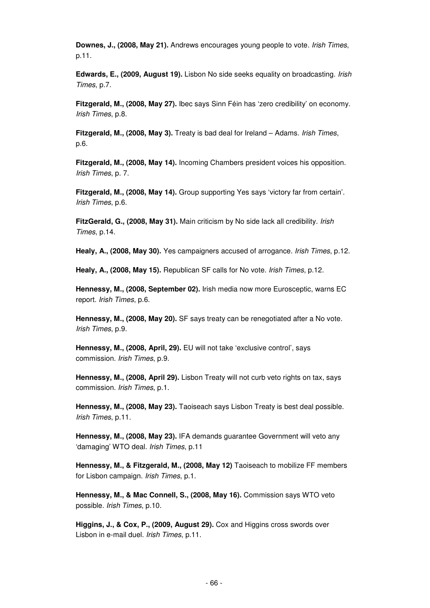**Downes, J., (2008, May 21).** Andrews encourages young people to vote. Irish Times, p.11.

**Edwards, E., (2009, August 19).** Lisbon No side seeks equality on broadcasting. Irish Times, p.7.

**Fitzgerald, M., (2008, May 27).** Ibec says Sinn Féin has 'zero credibility' on economy. Irish Times, p.8.

**Fitzgerald, M., (2008, May 3).** Treaty is bad deal for Ireland – Adams. Irish Times, p.6.

**Fitzgerald, M., (2008, May 14).** Incoming Chambers president voices his opposition. Irish Times, p. 7.

**Fitzgerald, M., (2008, May 14).** Group supporting Yes says 'victory far from certain'. Irish Times, p.6.

**FitzGerald, G., (2008, May 31).** Main criticism by No side lack all credibility. Irish Times, p.14.

**Healy, A., (2008, May 30).** Yes campaigners accused of arrogance. Irish Times, p.12.

**Healy, A., (2008, May 15).** Republican SF calls for No vote. Irish Times, p.12.

**Hennessy, M., (2008, September 02).** Irish media now more Eurosceptic, warns EC report. Irish Times, p.6.

**Hennessy, M., (2008, May 20).** SF says treaty can be renegotiated after a No vote. Irish Times, p.9.

**Hennessy, M., (2008, April, 29).** EU will not take 'exclusive control', says commission. Irish Times, p.9.

**Hennessy, M., (2008, April 29).** Lisbon Treaty will not curb veto rights on tax, says commission. Irish Times, p.1.

**Hennessy, M., (2008, May 23).** Taoiseach says Lisbon Treaty is best deal possible. Irish Times, p.11.

**Hennessy, M., (2008, May 23).** IFA demands guarantee Government will veto any 'damaging' WTO deal. Irish Times, p.11

**Hennessy, M., & Fitzgerald, M., (2008, May 12)** Taoiseach to mobilize FF members for Lisbon campaign. Irish Times, p.1.

**Hennessy, M., & Mac Connell, S., (2008, May 16).** Commission says WTO veto possible. Irish Times, p.10.

**Higgins, J., & Cox, P., (2009, August 29).** Cox and Higgins cross swords over Lisbon in e-mail duel. Irish Times, p.11.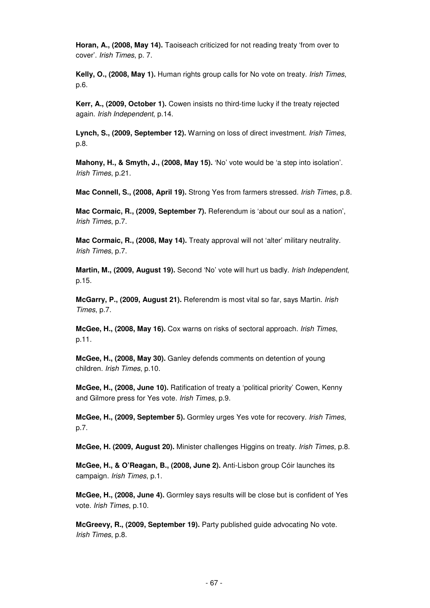**Horan, A., (2008, May 14).** Taoiseach criticized for not reading treaty 'from over to cover'. Irish Times, p. 7.

**Kelly, O., (2008, May 1).** Human rights group calls for No vote on treaty. Irish Times, p.6.

**Kerr, A., (2009, October 1).** Cowen insists no third-time lucky if the treaty rejected again. Irish Independent, p.14.

**Lynch, S., (2009, September 12).** Warning on loss of direct investment. Irish Times, p.8.

**Mahony, H., & Smyth, J., (2008, May 15).** 'No' vote would be 'a step into isolation'. Irish Times, p.21.

**Mac Connell, S., (2008, April 19).** Strong Yes from farmers stressed. Irish Times, p.8.

**Mac Cormaic, R., (2009, September 7).** Referendum is 'about our soul as a nation', Irish Times, p.7.

**Mac Cormaic, R., (2008, May 14).** Treaty approval will not 'alter' military neutrality. Irish Times, p.7.

**Martin, M., (2009, August 19).** Second 'No' vote will hurt us badly. Irish Independent, p.15.

**McGarry, P., (2009, August 21).** Referendm is most vital so far, says Martin. Irish Times, p.7.

**McGee, H., (2008, May 16).** Cox warns on risks of sectoral approach. Irish Times, p.11.

**McGee, H., (2008, May 30).** Ganley defends comments on detention of young children. Irish Times, p.10.

**McGee, H., (2008, June 10).** Ratification of treaty a 'political priority' Cowen, Kenny and Gilmore press for Yes vote. Irish Times, p.9.

**McGee, H., (2009, September 5).** Gormley urges Yes vote for recovery. Irish Times, p.7.

**McGee, H. (2009, August 20).** Minister challenges Higgins on treaty. Irish Times, p.8.

**McGee, H., & O'Reagan, B., (2008, June 2).** Anti-Lisbon group Cóir launches its campaign. Irish Times, p.1.

**McGee, H., (2008, June 4).** Gormley says results will be close but is confident of Yes vote. Irish Times, p.10.

**McGreevy, R., (2009, September 19).** Party published guide advocating No vote. Irish Times, p.8.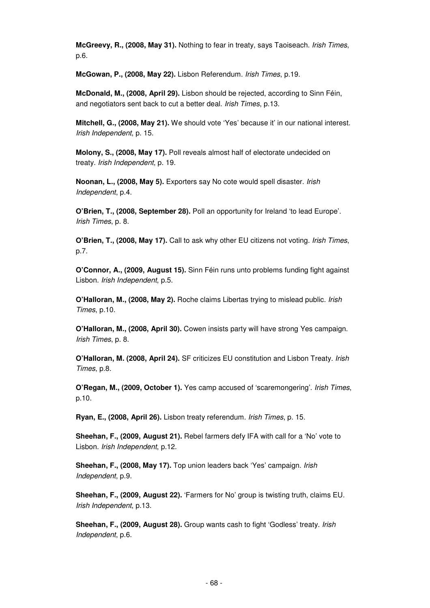**McGreevy, R., (2008, May 31).** Nothing to fear in treaty, says Taoiseach. Irish Times, p.6.

**McGowan, P., (2008, May 22).** Lisbon Referendum. Irish Times, p.19.

**McDonald, M., (2008, April 29).** Lisbon should be rejected, according to Sinn Féin, and negotiators sent back to cut a better deal. Irish Times, p.13.

**Mitchell, G., (2008, May 21).** We should vote 'Yes' because it' in our national interest. Irish Independent, p. 15.

**Molony, S., (2008, May 17).** Poll reveals almost half of electorate undecided on treaty. Irish Independent, p. 19.

**Noonan, L., (2008, May 5).** Exporters say No cote would spell disaster. Irish Independent, p.4.

**O'Brien, T., (2008, September 28).** Poll an opportunity for Ireland 'to lead Europe'. Irish Times, p. 8.

**O'Brien, T., (2008, May 17).** Call to ask why other EU citizens not voting. Irish Times, p.7.

**O'Connor, A., (2009, August 15).** Sinn Féin runs unto problems funding fight against Lisbon. Irish Independent, p.5.

**O'Halloran, M., (2008, May 2).** Roche claims Libertas trying to mislead public. Irish Times, p.10.

**O'Halloran, M., (2008, April 30).** Cowen insists party will have strong Yes campaign. Irish Times, p. 8.

**O'Halloran, M. (2008, April 24).** SF criticizes EU constitution and Lisbon Treaty. Irish Times, p.8.

**O'Regan, M., (2009, October 1).** Yes camp accused of 'scaremongering'. Irish Times, p.10.

**Ryan, E., (2008, April 26).** Lisbon treaty referendum. Irish Times, p. 15.

**Sheehan, F., (2009, August 21).** Rebel farmers defy IFA with call for a 'No' vote to Lisbon. Irish Independent, p.12.

**Sheehan, F., (2008, May 17).** Top union leaders back 'Yes' campaign. Irish Independent, p.9.

**Sheehan, F., (2009, August 22).** 'Farmers for No' group is twisting truth, claims EU. Irish Independent, p.13.

**Sheehan, F., (2009, August 28).** Group wants cash to fight 'Godless' treaty. Irish Independent, p.6.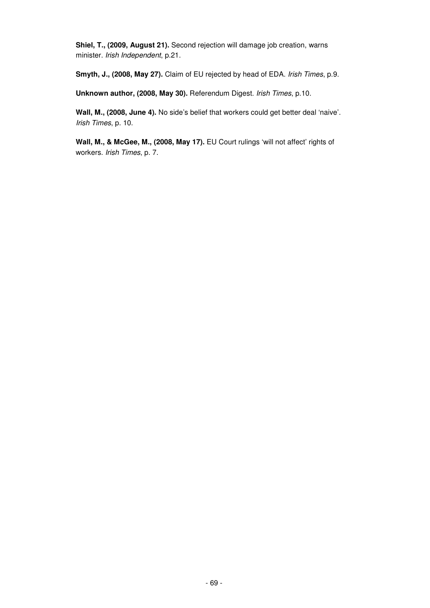**Shiel, T., (2009, August 21).** Second rejection will damage job creation, warns minister. Irish Independent, p.21.

**Smyth, J., (2008, May 27).** Claim of EU rejected by head of EDA. Irish Times, p.9.

**Unknown author, (2008, May 30).** Referendum Digest. Irish Times, p.10.

**Wall, M., (2008, June 4).** No side's belief that workers could get better deal 'naive'. Irish Times, p. 10.

**Wall, M., & McGee, M., (2008, May 17).** EU Court rulings 'will not affect' rights of workers. Irish Times, p. 7.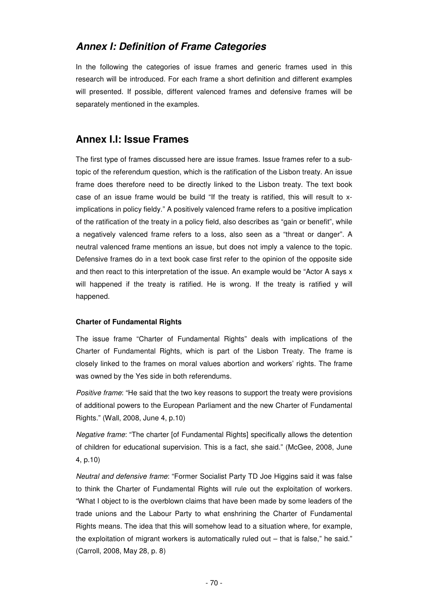# **Annex I: Definition of Frame Categories**

In the following the categories of issue frames and generic frames used in this research will be introduced. For each frame a short definition and different examples will presented. If possible, different valenced frames and defensive frames will be separately mentioned in the examples.

# **Annex I.I: Issue Frames**

The first type of frames discussed here are issue frames. Issue frames refer to a subtopic of the referendum question, which is the ratification of the Lisbon treaty. An issue frame does therefore need to be directly linked to the Lisbon treaty. The text book case of an issue frame would be build "If the treaty is ratified, this will result to ximplications in policy fieldy." A positively valenced frame refers to a positive implication of the ratification of the treaty in a policy field, also describes as "gain or benefit", while a negatively valenced frame refers to a loss, also seen as a "threat or danger". A neutral valenced frame mentions an issue, but does not imply a valence to the topic. Defensive frames do in a text book case first refer to the opinion of the opposite side and then react to this interpretation of the issue. An example would be "Actor A says x will happened if the treaty is ratified. He is wrong. If the treaty is ratified y will happened.

# **Charter of Fundamental Rights**

The issue frame "Charter of Fundamental Rights" deals with implications of the Charter of Fundamental Rights, which is part of the Lisbon Treaty. The frame is closely linked to the frames on moral values abortion and workers' rights. The frame was owned by the Yes side in both referendums.

Positive frame: "He said that the two key reasons to support the treaty were provisions of additional powers to the European Parliament and the new Charter of Fundamental Rights." (Wall, 2008, June 4, p.10)

Negative frame: "The charter [of Fundamental Rights] specifically allows the detention of children for educational supervision. This is a fact, she said." (McGee, 2008, June 4, p.10)

Neutral and defensive frame: "Former Socialist Party TD Joe Higgins said it was false to think the Charter of Fundamental Rights will rule out the exploitation of workers. "What I object to is the overblown claims that have been made by some leaders of the trade unions and the Labour Party to what enshrining the Charter of Fundamental Rights means. The idea that this will somehow lead to a situation where, for example, the exploitation of migrant workers is automatically ruled out  $-$  that is false," he said." (Carroll, 2008, May 28, p. 8)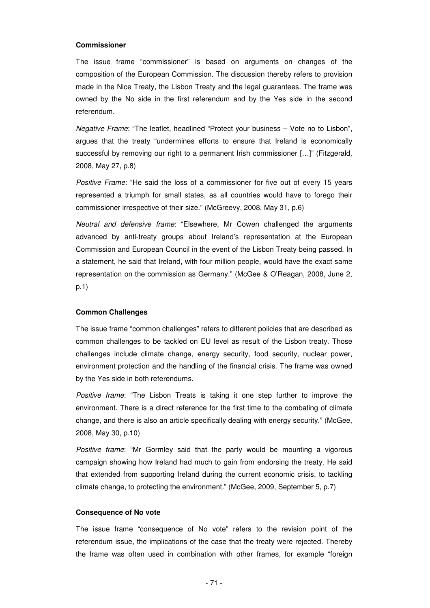#### **Commissioner**

The issue frame "commissioner" is based on arguments on changes of the composition of the European Commission. The discussion thereby refers to provision made in the Nice Treaty, the Lisbon Treaty and the legal guarantees. The frame was owned by the No side in the first referendum and by the Yes side in the second referendum.

Negative Frame: "The leaflet, headlined "Protect your business – Vote no to Lisbon", argues that the treaty "undermines efforts to ensure that Ireland is economically successful by removing our right to a permanent Irish commissioner […]" (Fitzgerald, 2008, May 27, p.8)

Positive Frame: "He said the loss of a commissioner for five out of every 15 years represented a triumph for small states, as all countries would have to forego their commissioner irrespective of their size." (McGreevy, 2008, May 31, p.6)

Neutral and defensive frame: "Elsewhere, Mr Cowen challenged the arguments advanced by anti-treaty groups about Ireland's representation at the European Commission and European Council in the event of the Lisbon Treaty being passed. In a statement, he said that Ireland, with four million people, would have the exact same representation on the commission as Germany." (McGee & O'Reagan, 2008, June 2, p.1)

#### **Common Challenges**

The issue frame "common challenges" refers to different policies that are described as common challenges to be tackled on EU level as result of the Lisbon treaty. Those challenges include climate change, energy security, food security, nuclear power, environment protection and the handling of the financial crisis. The frame was owned by the Yes side in both referendums.

Positive frame: "The Lisbon Treats is taking it one step further to improve the environment. There is a direct reference for the first time to the combating of climate change, and there is also an article specifically dealing with energy security." (McGee, 2008, May 30, p.10)

Positive frame: "Mr Gormley said that the party would be mounting a vigorous campaign showing how Ireland had much to gain from endorsing the treaty. He said that extended from supporting Ireland during the current economic crisis, to tackling climate change, to protecting the environment." (McGee, 2009, September 5, p.7)

#### **Consequence of No vote**

The issue frame "consequence of No vote" refers to the revision point of the referendum issue, the implications of the case that the treaty were rejected. Thereby the frame was often used in combination with other frames, for example "foreign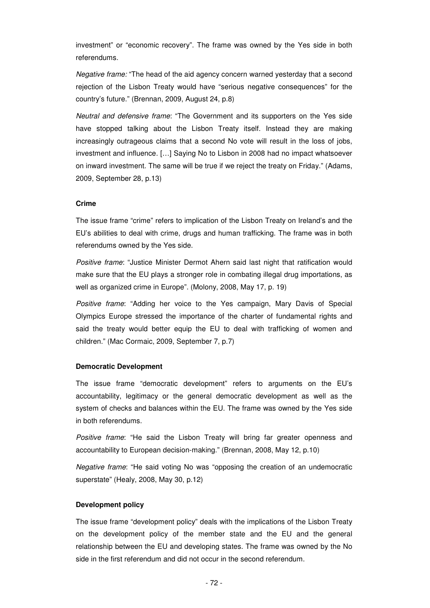investment" or "economic recovery". The frame was owned by the Yes side in both referendums.

Negative frame: "The head of the aid agency concern warned yesterday that a second rejection of the Lisbon Treaty would have "serious negative consequences" for the country's future." (Brennan, 2009, August 24, p.8)

Neutral and defensive frame: "The Government and its supporters on the Yes side have stopped talking about the Lisbon Treaty itself. Instead they are making increasingly outrageous claims that a second No vote will result in the loss of jobs, investment and influence. […] Saying No to Lisbon in 2008 had no impact whatsoever on inward investment. The same will be true if we reject the treaty on Friday." (Adams, 2009, September 28, p.13)

# **Crime**

The issue frame "crime" refers to implication of the Lisbon Treaty on Ireland's and the EU's abilities to deal with crime, drugs and human trafficking. The frame was in both referendums owned by the Yes side.

Positive frame: "Justice Minister Dermot Ahern said last night that ratification would make sure that the EU plays a stronger role in combating illegal drug importations, as well as organized crime in Europe". (Molony, 2008, May 17, p. 19)

Positive frame: "Adding her voice to the Yes campaign, Mary Davis of Special Olympics Europe stressed the importance of the charter of fundamental rights and said the treaty would better equip the EU to deal with trafficking of women and children." (Mac Cormaic, 2009, September 7, p.7)

#### **Democratic Development**

The issue frame "democratic development" refers to arguments on the EU's accountability, legitimacy or the general democratic development as well as the system of checks and balances within the EU. The frame was owned by the Yes side in both referendums.

Positive frame: "He said the Lisbon Treaty will bring far greater openness and accountability to European decision-making." (Brennan, 2008, May 12, p.10)

Negative frame: "He said voting No was "opposing the creation of an undemocratic superstate" (Healy, 2008, May 30, p.12)

# **Development policy**

The issue frame "development policy" deals with the implications of the Lisbon Treaty on the development policy of the member state and the EU and the general relationship between the EU and developing states. The frame was owned by the No side in the first referendum and did not occur in the second referendum.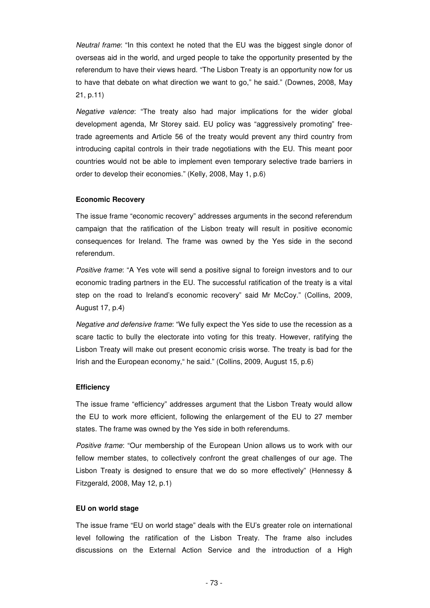Neutral frame: "In this context he noted that the EU was the biggest single donor of overseas aid in the world, and urged people to take the opportunity presented by the referendum to have their views heard. "The Lisbon Treaty is an opportunity now for us to have that debate on what direction we want to go," he said." (Downes, 2008, May 21, p.11)

Negative valence: "The treaty also had major implications for the wider global development agenda, Mr Storey said. EU policy was "aggressively promoting" freetrade agreements and Article 56 of the treaty would prevent any third country from introducing capital controls in their trade negotiations with the EU. This meant poor countries would not be able to implement even temporary selective trade barriers in order to develop their economies." (Kelly, 2008, May 1, p.6)

#### **Economic Recovery**

The issue frame "economic recovery" addresses arguments in the second referendum campaign that the ratification of the Lisbon treaty will result in positive economic consequences for Ireland. The frame was owned by the Yes side in the second referendum.

Positive frame: "A Yes vote will send a positive signal to foreign investors and to our economic trading partners in the EU. The successful ratification of the treaty is a vital step on the road to Ireland's economic recovery" said Mr McCoy." (Collins, 2009, August 17, p.4)

Negative and defensive frame: "We fully expect the Yes side to use the recession as a scare tactic to bully the electorate into voting for this treaty. However, ratifying the Lisbon Treaty will make out present economic crisis worse. The treaty is bad for the Irish and the European economy," he said." (Collins, 2009, August 15, p.6)

#### **Efficiency**

The issue frame "efficiency" addresses argument that the Lisbon Treaty would allow the EU to work more efficient, following the enlargement of the EU to 27 member states. The frame was owned by the Yes side in both referendums.

Positive frame: "Our membership of the European Union allows us to work with our fellow member states, to collectively confront the great challenges of our age. The Lisbon Treaty is designed to ensure that we do so more effectively" (Hennessy & Fitzgerald, 2008, May 12, p.1)

#### **EU on world stage**

The issue frame "EU on world stage" deals with the EU's greater role on international level following the ratification of the Lisbon Treaty. The frame also includes discussions on the External Action Service and the introduction of a High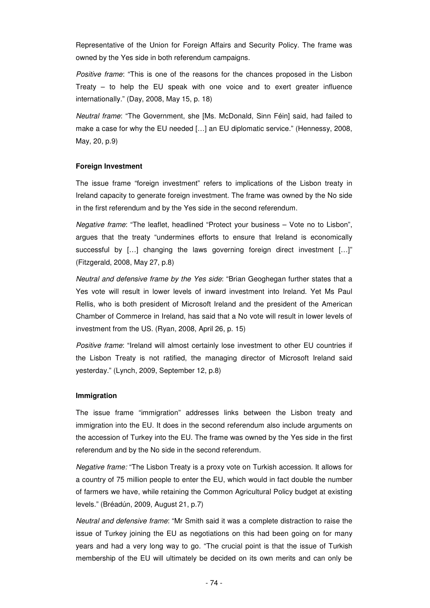Representative of the Union for Foreign Affairs and Security Policy. The frame was owned by the Yes side in both referendum campaigns.

Positive frame: "This is one of the reasons for the chances proposed in the Lisbon Treaty – to help the EU speak with one voice and to exert greater influence internationally." (Day, 2008, May 15, p. 18)

Neutral frame: "The Government, she [Ms. McDonald, Sinn Féin] said, had failed to make a case for why the EU needed […] an EU diplomatic service." (Hennessy, 2008, May, 20, p.9)

## **Foreign Investment**

The issue frame "foreign investment" refers to implications of the Lisbon treaty in Ireland capacity to generate foreign investment. The frame was owned by the No side in the first referendum and by the Yes side in the second referendum.

Negative frame: "The leaflet, headlined "Protect your business – Vote no to Lisbon", argues that the treaty "undermines efforts to ensure that Ireland is economically successful by […] changing the laws governing foreign direct investment […]" (Fitzgerald, 2008, May 27, p.8)

Neutral and defensive frame by the Yes side: "Brian Geoghegan further states that a Yes vote will result in lower levels of inward investment into Ireland. Yet Ms Paul Rellis, who is both president of Microsoft Ireland and the president of the American Chamber of Commerce in Ireland, has said that a No vote will result in lower levels of investment from the US. (Ryan, 2008, April 26, p. 15)

Positive frame: "Ireland will almost certainly lose investment to other EU countries if the Lisbon Treaty is not ratified, the managing director of Microsoft Ireland said yesterday." (Lynch, 2009, September 12, p.8)

#### **Immigration**

The issue frame "immigration" addresses links between the Lisbon treaty and immigration into the EU. It does in the second referendum also include arguments on the accession of Turkey into the EU. The frame was owned by the Yes side in the first referendum and by the No side in the second referendum.

Negative frame: "The Lisbon Treaty is a proxy vote on Turkish accession. It allows for a country of 75 million people to enter the EU, which would in fact double the number of farmers we have, while retaining the Common Agricultural Policy budget at existing levels." (Bréadún, 2009, August 21, p.7)

Neutral and defensive frame: "Mr Smith said it was a complete distraction to raise the issue of Turkey joining the EU as negotiations on this had been going on for many years and had a very long way to go. "The crucial point is that the issue of Turkish membership of the EU will ultimately be decided on its own merits and can only be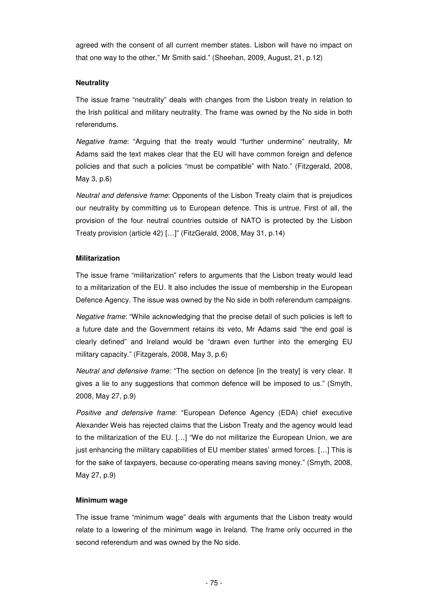agreed with the consent of all current member states. Lisbon will have no impact on that one way to the other," Mr Smith said." (Sheehan, 2009, August, 21, p.12)

# **Neutrality**

The issue frame "neutrality" deals with changes from the Lisbon treaty in relation to the Irish political and military neutrality. The frame was owned by the No side in both referendums.

Negative frame: "Arguing that the treaty would "further undermine" neutrality, Mr Adams said the text makes clear that the EU will have common foreign and defence policies and that such a policies "must be compatible" with Nato." (Fitzgerald, 2008, May 3, p.6)

Neutral and defensive frame: Opponents of the Lisbon Treaty claim that is prejudices our neutrality by committing us to European defence. This is untrue. First of all, the provision of the four neutral countries outside of NATO is protected by the Lisbon Treaty provision (article 42) […]" (FitzGerald, 2008, May 31, p.14)

#### **Militarization**

The issue frame "militarization" refers to arguments that the Lisbon treaty would lead to a militarization of the EU. It also includes the issue of membership in the European Defence Agency. The issue was owned by the No side in both referendum campaigns.

Negative frame: "While acknowledging that the precise detail of such policies is left to a future date and the Government retains its veto, Mr Adams said "the end goal is clearly defined" and Ireland would be "drawn even further into the emerging EU military capacity." (Fitzgerals, 2008, May 3, p.6)

Neutral and defensive frame: "The section on defence [in the treaty] is very clear. It gives a lie to any suggestions that common defence will be imposed to us." (Smyth, 2008, May 27, p.9)

Positive and defensive frame: "European Defence Agency (EDA) chief executive Alexander Weis has rejected claims that the Lisbon Treaty and the agency would lead to the militarization of the EU. […] "We do not militarize the European Union, we are just enhancing the military capabilities of EU member states' armed forces. […] This is for the sake of taxpayers, because co-operating means saving money." (Smyth, 2008, May 27, p.9)

#### **Minimum wage**

The issue frame "minimum wage" deals with arguments that the Lisbon treaty would relate to a lowering of the minimum wage in Ireland. The frame only occurred in the second referendum and was owned by the No side.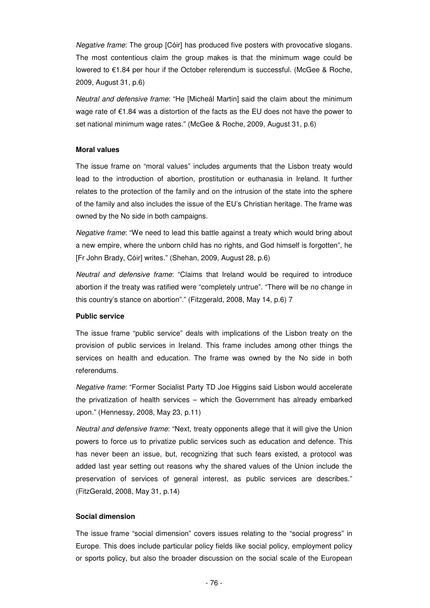Negative frame: The group [Cóir] has produced five posters with provocative slogans. The most contentious claim the group makes is that the minimum wage could be lowered to €1.84 per hour if the October referendum is successful. (McGee & Roche, 2009, August 31, p.6)

Neutral and defensive frame: "He [Micheál Martin] said the claim about the minimum wage rate of €1.84 was a distortion of the facts as the EU does not have the power to set national minimum wage rates." (McGee & Roche, 2009, August 31, p.6)

# **Moral values**

The issue frame on "moral values" includes arguments that the Lisbon treaty would lead to the introduction of abortion, prostitution or euthanasia in Ireland. It further relates to the protection of the family and on the intrusion of the state into the sphere of the family and also includes the issue of the EU's Christian heritage. The frame was owned by the No side in both campaigns.

Negative frame: "We need to lead this battle against a treaty which would bring about a new empire, where the unborn child has no rights, and God himself is forgotten", he [Fr John Brady, Cóir] writes." (Shehan, 2009, August 28, p.6)

Neutral and defensive frame: "Claims that Ireland would be required to introduce abortion if the treaty was ratified were "completely untrue". "There will be no change in this country's stance on abortion"." (Fitzgerald, 2008, May 14, p.6) 7

#### **Public service**

The issue frame "public service" deals with implications of the Lisbon treaty on the provision of public services in Ireland. This frame includes among other things the services on health and education. The frame was owned by the No side in both referendums.

Negative frame: "Former Socialist Party TD Joe Higgins said Lisbon would accelerate the privatization of health services – which the Government has already embarked upon." (Hennessy, 2008, May 23, p.11)

Neutral and defensive frame: "Next, treaty opponents allege that it will give the Union powers to force us to privatize public services such as education and defence. This has never been an issue, but, recognizing that such fears existed, a protocol was added last year setting out reasons why the shared values of the Union include the preservation of services of general interest, as public services are describes." (FitzGerald, 2008, May 31, p.14)

#### **Social dimension**

The issue frame "social dimension" covers issues relating to the "social progress" in Europe. This does include particular policy fields like social policy, employment policy or sports policy, but also the broader discussion on the social scale of the European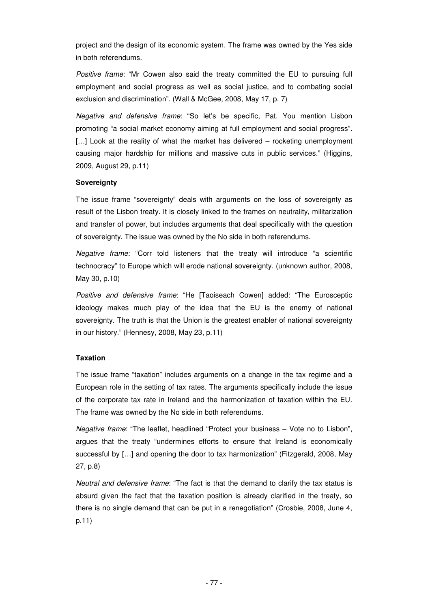project and the design of its economic system. The frame was owned by the Yes side in both referendums.

Positive frame: "Mr Cowen also said the treaty committed the EU to pursuing full employment and social progress as well as social justice, and to combating social exclusion and discrimination". (Wall & McGee, 2008, May 17, p. 7)

Negative and defensive frame: "So let's be specific, Pat. You mention Lisbon promoting "a social market economy aiming at full employment and social progress". [...] Look at the reality of what the market has delivered – rocketing unemployment causing major hardship for millions and massive cuts in public services." (Higgins, 2009, August 29, p.11)

# **Sovereignty**

The issue frame "sovereignty" deals with arguments on the loss of sovereignty as result of the Lisbon treaty. It is closely linked to the frames on neutrality, militarization and transfer of power, but includes arguments that deal specifically with the question of sovereignty. The issue was owned by the No side in both referendums.

Negative frame: "Corr told listeners that the treaty will introduce "a scientific technocracy" to Europe which will erode national sovereignty. (unknown author, 2008, May 30, p.10)

Positive and defensive frame: "He [Taoiseach Cowen] added: "The Eurosceptic ideology makes much play of the idea that the EU is the enemy of national sovereignty. The truth is that the Union is the greatest enabler of national sovereignty in our history." (Hennesy, 2008, May 23, p.11)

# **Taxation**

The issue frame "taxation" includes arguments on a change in the tax regime and a European role in the setting of tax rates. The arguments specifically include the issue of the corporate tax rate in Ireland and the harmonization of taxation within the EU. The frame was owned by the No side in both referendums.

Negative frame: "The leaflet, headlined "Protect your business – Vote no to Lisbon", argues that the treaty "undermines efforts to ensure that Ireland is economically successful by […] and opening the door to tax harmonization" (Fitzgerald, 2008, May 27, p.8)

Neutral and defensive frame: "The fact is that the demand to clarify the tax status is absurd given the fact that the taxation position is already clarified in the treaty, so there is no single demand that can be put in a renegotiation" (Crosbie, 2008, June 4, p.11)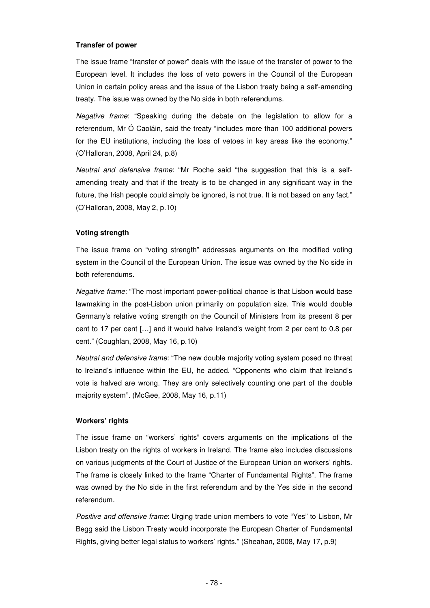# **Transfer of power**

The issue frame "transfer of power" deals with the issue of the transfer of power to the European level. It includes the loss of veto powers in the Council of the European Union in certain policy areas and the issue of the Lisbon treaty being a self-amending treaty. The issue was owned by the No side in both referendums.

Negative frame: "Speaking during the debate on the legislation to allow for a referendum, Mr Ó Caoláin, said the treaty "includes more than 100 additional powers for the EU institutions, including the loss of vetoes in key areas like the economy." (O'Halloran, 2008, April 24, p.8)

Neutral and defensive frame: "Mr Roche said "the suggestion that this is a selfamending treaty and that if the treaty is to be changed in any significant way in the future, the Irish people could simply be ignored, is not true. It is not based on any fact." (O'Halloran, 2008, May 2, p.10)

# **Voting strength**

The issue frame on "voting strength" addresses arguments on the modified voting system in the Council of the European Union. The issue was owned by the No side in both referendums.

Negative frame: "The most important power-political chance is that Lisbon would base lawmaking in the post-Lisbon union primarily on population size. This would double Germany's relative voting strength on the Council of Ministers from its present 8 per cent to 17 per cent […] and it would halve Ireland's weight from 2 per cent to 0.8 per cent." (Coughlan, 2008, May 16, p.10)

Neutral and defensive frame: "The new double majority voting system posed no threat to Ireland's influence within the EU, he added. "Opponents who claim that Ireland's vote is halved are wrong. They are only selectively counting one part of the double majority system". (McGee, 2008, May 16, p.11)

# **Workers' rights**

The issue frame on "workers' rights" covers arguments on the implications of the Lisbon treaty on the rights of workers in Ireland. The frame also includes discussions on various judgments of the Court of Justice of the European Union on workers' rights. The frame is closely linked to the frame "Charter of Fundamental Rights". The frame was owned by the No side in the first referendum and by the Yes side in the second referendum.

Positive and offensive frame: Urging trade union members to vote "Yes" to Lisbon, Mr Begg said the Lisbon Treaty would incorporate the European Charter of Fundamental Rights, giving better legal status to workers' rights." (Sheahan, 2008, May 17, p.9)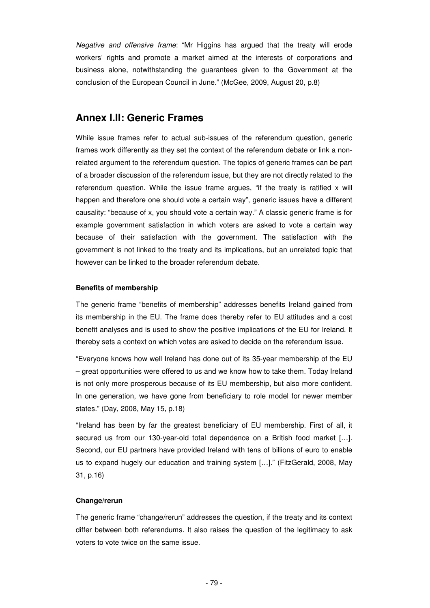Negative and offensive frame: "Mr Higgins has argued that the treaty will erode workers' rights and promote a market aimed at the interests of corporations and business alone, notwithstanding the guarantees given to the Government at the conclusion of the European Council in June." (McGee, 2009, August 20, p.8)

# **Annex I.II: Generic Frames**

While issue frames refer to actual sub-issues of the referendum question, generic frames work differently as they set the context of the referendum debate or link a nonrelated argument to the referendum question. The topics of generic frames can be part of a broader discussion of the referendum issue, but they are not directly related to the referendum question. While the issue frame argues, "if the treaty is ratified  $x$  will happen and therefore one should vote a certain way", generic issues have a different causality: "because of x, you should vote a certain way." A classic generic frame is for example government satisfaction in which voters are asked to vote a certain way because of their satisfaction with the government. The satisfaction with the government is not linked to the treaty and its implications, but an unrelated topic that however can be linked to the broader referendum debate.

#### **Benefits of membership**

The generic frame "benefits of membership" addresses benefits Ireland gained from its membership in the EU. The frame does thereby refer to EU attitudes and a cost benefit analyses and is used to show the positive implications of the EU for Ireland. It thereby sets a context on which votes are asked to decide on the referendum issue.

"Everyone knows how well Ireland has done out of its 35-year membership of the EU – great opportunities were offered to us and we know how to take them. Today Ireland is not only more prosperous because of its EU membership, but also more confident. In one generation, we have gone from beneficiary to role model for newer member states." (Day, 2008, May 15, p.18)

"Ireland has been by far the greatest beneficiary of EU membership. First of all, it secured us from our 130-year-old total dependence on a British food market […]. Second, our EU partners have provided Ireland with tens of billions of euro to enable us to expand hugely our education and training system […]." (FitzGerald, 2008, May 31, p.16)

#### **Change/rerun**

The generic frame "change/rerun" addresses the question, if the treaty and its context differ between both referendums. It also raises the question of the legitimacy to ask voters to vote twice on the same issue.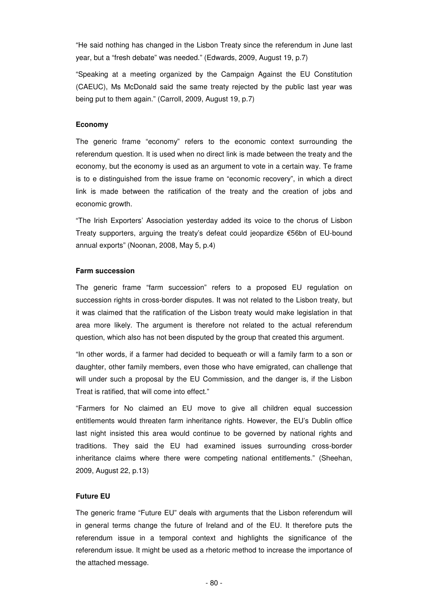"He said nothing has changed in the Lisbon Treaty since the referendum in June last year, but a "fresh debate" was needed." (Edwards, 2009, August 19, p.7)

"Speaking at a meeting organized by the Campaign Against the EU Constitution (CAEUC), Ms McDonald said the same treaty rejected by the public last year was being put to them again." (Carroll, 2009, August 19, p.7)

#### **Economy**

The generic frame "economy" refers to the economic context surrounding the referendum question. It is used when no direct link is made between the treaty and the economy, but the economy is used as an argument to vote in a certain way. Te frame is to e distinguished from the issue frame on "economic recovery", in which a direct link is made between the ratification of the treaty and the creation of jobs and economic growth.

"The Irish Exporters' Association yesterday added its voice to the chorus of Lisbon Treaty supporters, arguing the treaty's defeat could jeopardize €56bn of EU-bound annual exports" (Noonan, 2008, May 5, p.4)

#### **Farm succession**

The generic frame "farm succession" refers to a proposed EU regulation on succession rights in cross-border disputes. It was not related to the Lisbon treaty, but it was claimed that the ratification of the Lisbon treaty would make legislation in that area more likely. The argument is therefore not related to the actual referendum question, which also has not been disputed by the group that created this argument.

"In other words, if a farmer had decided to bequeath or will a family farm to a son or daughter, other family members, even those who have emigrated, can challenge that will under such a proposal by the EU Commission, and the danger is, if the Lisbon Treat is ratified, that will come into effect."

"Farmers for No claimed an EU move to give all children equal succession entitlements would threaten farm inheritance rights. However, the EU's Dublin office last night insisted this area would continue to be governed by national rights and traditions. They said the EU had examined issues surrounding cross-border inheritance claims where there were competing national entitlements." (Sheehan, 2009, August 22, p.13)

# **Future EU**

The generic frame "Future EU" deals with arguments that the Lisbon referendum will in general terms change the future of Ireland and of the EU. It therefore puts the referendum issue in a temporal context and highlights the significance of the referendum issue. It might be used as a rhetoric method to increase the importance of the attached message.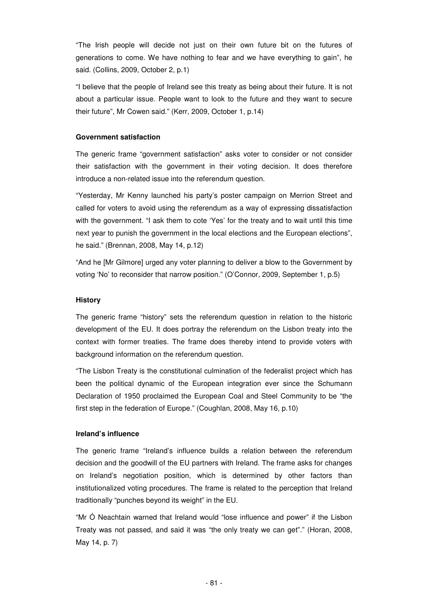"The Irish people will decide not just on their own future bit on the futures of generations to come. We have nothing to fear and we have everything to gain", he said. (Collins, 2009, October 2, p.1)

"I believe that the people of Ireland see this treaty as being about their future. It is not about a particular issue. People want to look to the future and they want to secure their future", Mr Cowen said." (Kerr, 2009, October 1, p.14)

#### **Government satisfaction**

The generic frame "government satisfaction" asks voter to consider or not consider their satisfaction with the government in their voting decision. It does therefore introduce a non-related issue into the referendum question.

"Yesterday, Mr Kenny launched his party's poster campaign on Merrion Street and called for voters to avoid using the referendum as a way of expressing dissatisfaction with the government. "I ask them to cote 'Yes' for the treaty and to wait until this time next year to punish the government in the local elections and the European elections", he said." (Brennan, 2008, May 14, p.12)

"And he [Mr Gilmore] urged any voter planning to deliver a blow to the Government by voting 'No' to reconsider that narrow position." (O'Connor, 2009, September 1, p.5)

## **History**

The generic frame "history" sets the referendum question in relation to the historic development of the EU. It does portray the referendum on the Lisbon treaty into the context with former treaties. The frame does thereby intend to provide voters with background information on the referendum question.

"The Lisbon Treaty is the constitutional culmination of the federalist project which has been the political dynamic of the European integration ever since the Schumann Declaration of 1950 proclaimed the European Coal and Steel Community to be "the first step in the federation of Europe." (Coughlan, 2008, May 16, p.10)

# **Ireland's influence**

The generic frame "Ireland's influence builds a relation between the referendum decision and the goodwill of the EU partners with Ireland. The frame asks for changes on Ireland's negotiation position, which is determined by other factors than institutionalized voting procedures. The frame is related to the perception that Ireland traditionally "punches beyond its weight" in the EU.

"Mr Ó Neachtain warned that Ireland would "lose influence and power" if the Lisbon Treaty was not passed, and said it was "the only treaty we can get"." (Horan, 2008, May 14, p. 7)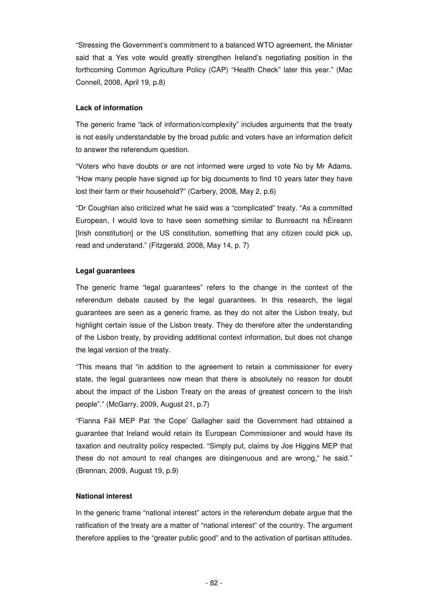"Stressing the Government's commitment to a balanced WTO agreement, the Minister said that a Yes vote would greatly strengthen Ireland's negotiating position in the forthcoming Common Agriculture Policy (CAP) "Health Check" later this year." (Mac Connell, 2008, April 19, p.8)

# **Lack of information**

The generic frame "lack of information/complexity" includes arguments that the treaty is not easily understandable by the broad public and voters have an information deficit to answer the referendum question.

"Voters who have doubts or are not informed were urged to vote No by Mr Adams. "How many people have signed up for big documents to find 10 years later they have lost their farm or their household?" (Carbery, 2008, May 2, p.6)

"Dr Coughlan also criticized what he said was a "complicated" treaty. "As a committed European, I would love to have seen something similar to Bunreacht na hÈireann [Irish constitution] or the US constitution, something that any citizen could pick up, read and understand." (Fitzgerald, 2008, May 14, p. 7)

## **Legal guarantees**

The generic frame "legal guarantees" refers to the change in the context of the referendum debate caused by the legal guarantees. In this research, the legal guarantees are seen as a generic frame, as they do not alter the Lisbon treaty, but highlight certain issue of the Lisbon treaty. They do therefore alter the understanding of the Lisbon treaty, by providing additional context information, but does not change the legal version of the treaty.

"This means that "in addition to the agreement to retain a commissioner for every state, the legal guarantees now mean that there is absolutely no reason for doubt about the impact of the Lisbon Treaty on the areas of greatest concern to the Irish people"." (McGarry, 2009, August 21, p.7)

"Fianna Fáil MEP Pat 'the Cope' Gallagher said the Government had obtained a guarantee that Ireland would retain its European Commissioner and would have its taxation and neutrality policy respected. "Simply put, claims by Joe Higgins MEP that these do not amount to real changes are disingenuous and are wrong," he said." (Brennan, 2009, August 19, p.9)

# **National interest**

In the generic frame "national interest" actors in the referendum debate argue that the ratification of the treaty are a matter of "national interest" of the country. The argument therefore applies to the "greater public good" and to the activation of partisan attitudes.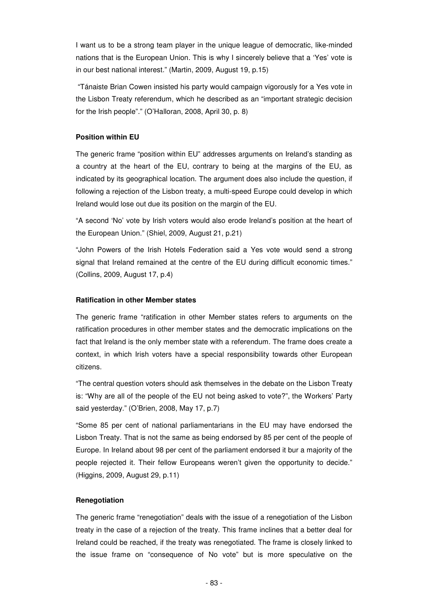I want us to be a strong team player in the unique league of democratic, like-minded nations that is the European Union. This is why I sincerely believe that a 'Yes' vote is in our best national interest." (Martin, 2009, August 19, p.15)

 "Tánaiste Brian Cowen insisted his party would campaign vigorously for a Yes vote in the Lisbon Treaty referendum, which he described as an "important strategic decision for the Irish people"." (O'Halloran, 2008, April 30, p. 8)

## **Position within EU**

The generic frame "position within EU" addresses arguments on Ireland's standing as a country at the heart of the EU, contrary to being at the margins of the EU, as indicated by its geographical location. The argument does also include the question, if following a rejection of the Lisbon treaty, a multi-speed Europe could develop in which Ireland would lose out due its position on the margin of the EU.

"A second 'No' vote by Irish voters would also erode Ireland's position at the heart of the European Union." (Shiel, 2009, August 21, p.21)

"John Powers of the Irish Hotels Federation said a Yes vote would send a strong signal that Ireland remained at the centre of the EU during difficult economic times." (Collins, 2009, August 17, p.4)

#### **Ratification in other Member states**

The generic frame "ratification in other Member states refers to arguments on the ratification procedures in other member states and the democratic implications on the fact that Ireland is the only member state with a referendum. The frame does create a context, in which Irish voters have a special responsibility towards other European citizens.

"The central question voters should ask themselves in the debate on the Lisbon Treaty is: "Why are all of the people of the EU not being asked to vote?", the Workers' Party said yesterday." (O'Brien, 2008, May 17, p.7)

"Some 85 per cent of national parliamentarians in the EU may have endorsed the Lisbon Treaty. That is not the same as being endorsed by 85 per cent of the people of Europe. In Ireland about 98 per cent of the parliament endorsed it bur a majority of the people rejected it. Their fellow Europeans weren't given the opportunity to decide." (Higgins, 2009, August 29, p.11)

#### **Renegotiation**

The generic frame "renegotiation" deals with the issue of a renegotiation of the Lisbon treaty in the case of a rejection of the treaty. This frame inclines that a better deal for Ireland could be reached, if the treaty was renegotiated. The frame is closely linked to the issue frame on "consequence of No vote" but is more speculative on the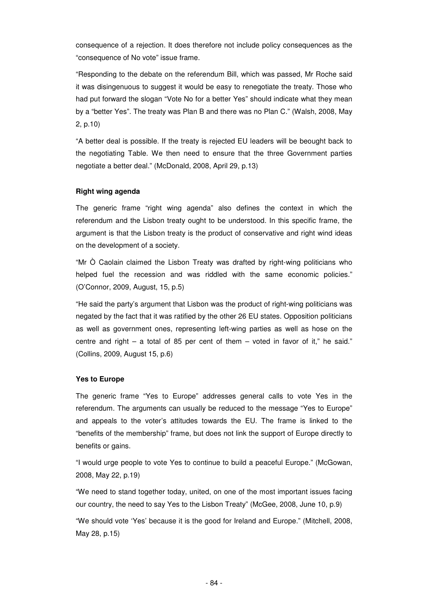consequence of a rejection. It does therefore not include policy consequences as the "consequence of No vote" issue frame.

"Responding to the debate on the referendum Bill, which was passed, Mr Roche said it was disingenuous to suggest it would be easy to renegotiate the treaty. Those who had put forward the slogan "Vote No for a better Yes" should indicate what they mean by a "better Yes". The treaty was Plan B and there was no Plan C." (Walsh, 2008, May 2, p.10)

"A better deal is possible. If the treaty is rejected EU leaders will be beought back to the negotiating Table. We then need to ensure that the three Government parties negotiate a better deal." (McDonald, 2008, April 29, p.13)

## **Right wing agenda**

The generic frame "right wing agenda" also defines the context in which the referendum and the Lisbon treaty ought to be understood. In this specific frame, the argument is that the Lisbon treaty is the product of conservative and right wind ideas on the development of a society.

"Mr Ò Caolain claimed the Lisbon Treaty was drafted by right-wing politicians who helped fuel the recession and was riddled with the same economic policies." (O'Connor, 2009, August, 15, p.5)

"He said the party's argument that Lisbon was the product of right-wing politicians was negated by the fact that it was ratified by the other 26 EU states. Opposition politicians as well as government ones, representing left-wing parties as well as hose on the centre and right – a total of 85 per cent of them – voted in favor of it," he said." (Collins, 2009, August 15, p.6)

#### **Yes to Europe**

The generic frame "Yes to Europe" addresses general calls to vote Yes in the referendum. The arguments can usually be reduced to the message "Yes to Europe" and appeals to the voter's attitudes towards the EU. The frame is linked to the "benefits of the membership" frame, but does not link the support of Europe directly to benefits or gains.

"I would urge people to vote Yes to continue to build a peaceful Europe." (McGowan, 2008, May 22, p.19)

"We need to stand together today, united, on one of the most important issues facing our country, the need to say Yes to the Lisbon Treaty" (McGee, 2008, June 10, p.9)

"We should vote 'Yes' because it is the good for Ireland and Europe." (Mitchell, 2008, May 28, p.15)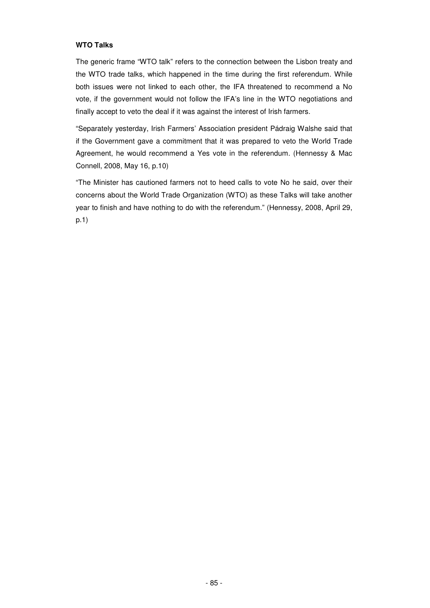# **WTO Talks**

The generic frame "WTO talk" refers to the connection between the Lisbon treaty and the WTO trade talks, which happened in the time during the first referendum. While both issues were not linked to each other, the IFA threatened to recommend a No vote, if the government would not follow the IFA's line in the WTO negotiations and finally accept to veto the deal if it was against the interest of Irish farmers.

"Separately yesterday, Irish Farmers' Association president Pádraig Walshe said that if the Government gave a commitment that it was prepared to veto the World Trade Agreement, he would recommend a Yes vote in the referendum. (Hennessy & Mac Connell, 2008, May 16, p.10)

"The Minister has cautioned farmers not to heed calls to vote No he said, over their concerns about the World Trade Organization (WTO) as these Talks will take another year to finish and have nothing to do with the referendum." (Hennessy, 2008, April 29, p.1)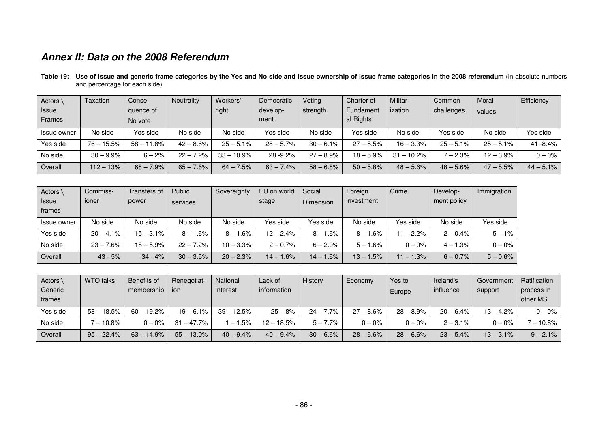# **Annex II: Data on the 2008 Referendum**

**Table 19: Use of issue and generic frame categories by the Yes and No side and issue ownership of issue frame categories in the 2008 referendum** (in absolute numbers and percentage for each side)

| Actors      | Taxation     | Conse-       | <b>Neutrality</b> | Workers'     | Democratic   | Voting       | Charter of   | Militar-     | Common      | Moral       | Efficiency   |
|-------------|--------------|--------------|-------------------|--------------|--------------|--------------|--------------|--------------|-------------|-------------|--------------|
| Issue       |              | quence of    |                   | right        | develop-     | strength     | Fundament    | ization      | challenges  | values      |              |
| Frames      |              | No vote      |                   |              | ment         |              | al Rights    |              |             |             |              |
| Issue owner | No side      | Yes side     | No side           | No side      | Yes side     | No side      | Yes side     | No side      | Yes side    | No side     | Yes side     |
| Yes side    | $76 - 15.5%$ | $58 - 11.8%$ | $42 - 8.6%$       | $25 - 5.1\%$ | $28 - 5.7\%$ | $30 - 6.1\%$ | $27 - 5.5%$  | $16 - 3.3\%$ | $25 - 5.1%$ | $25 - 5.1%$ | $41 - 8.4%$  |
| No side     | $30 - 9.9%$  | $6 - 2%$     | $22 - 7.2%$       | $33 - 10.9%$ | 28-9.2%      | $27 - 8.9%$  | $18 - 5.9\%$ | $31 - 10.2%$ | $-2.3%$     | $12 - 3.9%$ | $0 - 0\%$    |
| Overall     | $112 - 13%$  | $68 - 7.9%$  | $65 - 7.6%$       | $64 - 7.5%$  | $63 - 7.4%$  | $58 - 6.8%$  | $50 - 5.8\%$ | $48 - 5.6\%$ | $48 - 5.6%$ | $47 - 5.5%$ | $44 - 5.1\%$ |

| Actors       | Commiss-     | Transfers of | Public      | Sovereignty  | EU on world | Social      | Foreign     | Crime        | Develop-    | Immigration |
|--------------|--------------|--------------|-------------|--------------|-------------|-------------|-------------|--------------|-------------|-------------|
| <b>Issue</b> | ioner        | power        | services    |              | stage       | Dimension   | investment  |              | ment policy |             |
| frames       |              |              |             |              |             |             |             |              |             |             |
| Issue owner  | No side      | No side      | No side     | No side      | Yes side    | Yes side    | No side     | Yes side     | No side     | Yes side    |
| Yes side     | $20 - 4.1\%$ | $15 - 3.1\%$ | $8 - 1.6\%$ | $8 - 1.6%$   | $12 - 2.4%$ | $8 - 1.6\%$ | $8 - 1.6%$  | $11 - 2.2%$  | $2 - 0.4\%$ | $5 - 1%$    |
| No side      | $23 - 7.6%$  | $18 - 5.9\%$ | $22 - 7.2%$ | $10 - 3.3\%$ | $2 - 0.7\%$ | $6 - 2.0\%$ | $5 - 1.6%$  | $0 - 0\%$    | $4 - 1.3%$  | $0 - 0\%$   |
| Overall      | $43 - 5%$    | $34 - 4%$    | $30 - 3.5%$ | $20 - 2.3%$  | $14 - 1.6%$ | $14 - 1.6%$ | $13 - 1.5%$ | $11 - 1.3\%$ | $6 - 0.7\%$ | $5 - 0.6%$  |

| Actors   | <b>WTO talks</b> | Benefits of  | Renegotiat-   | <b>National</b> | Lack of      | History      | Economy      | Yes to      | Ireland's    | Government   | Ratification                      |
|----------|------------------|--------------|---------------|-----------------|--------------|--------------|--------------|-------------|--------------|--------------|-----------------------------------|
| Generic  |                  | membership   | ion           | interest        | information  |              |              | Europe      | influence    | support      | process in                        |
| frames   |                  |              |               |                 |              |              |              |             |              |              | other MS                          |
| Yes side | $58 - 18.5%$     | $60 - 19.2%$ | $19 - 6.1%$   | $39 - 12.5%$    | $25 - 8%$    | $24 - 7.7\%$ | $27 - 8.6\%$ | $28 - 8.9%$ | $20 - 6.4%$  | $13 - 4.2%$  | $0 - 0\%$                         |
| No side  | $-10.8%$         | $0 - 0\%$    | $31 - 47.7\%$ | $-1.5%$         | $12 - 18.5%$ | $5 - 7.7%$   | $0 - 0\%$    | $0 - 0\%$   | $2 - 3.1\%$  | $0 - 0\%$    | $^{\prime}$ $-$ 10.8% $^{\prime}$ |
| Overall  | $95 - 22.4%$     | $63 - 14.9%$ | $55 - 13.0\%$ | $40 - 9.4\%$    | $40 - 9.4\%$ | $30 - 6.6%$  | $28 - 6.6%$  | $28 - 6.6%$ | $23 - 5.4\%$ | $13 - 3.1\%$ | $9 - 2.1\%$                       |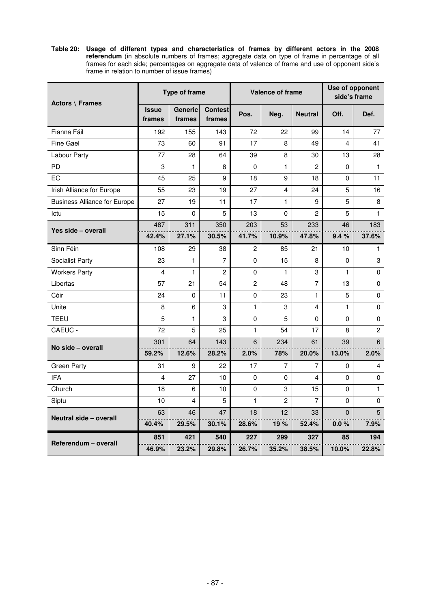**Table 20: Usage of different types and characteristics of frames by different actors in the 2008 referendum** (in absolute numbers of frames; aggregate data on type of frame in percentage of all frames for each side; percentages on aggregate data of valence of frame and use of opponent side's frame in relation to number of issue frames)

| <b>Actors \ Frames</b>              |                        | <b>Type of frame</b>     |                          |                | <b>Valence of frame</b> |                | Use of opponent<br>side's frame |                |  |
|-------------------------------------|------------------------|--------------------------|--------------------------|----------------|-------------------------|----------------|---------------------------------|----------------|--|
|                                     | <b>Issue</b><br>frames | <b>Generic</b><br>frames | <b>Contest</b><br>frames | Pos.           | Neg.                    | <b>Neutral</b> | Off.                            | Def.           |  |
| Fianna Fáil                         | 192                    | 155                      | 143                      | 72             | 22                      | 99             | 14                              | 77             |  |
| Fine Gael                           | 73                     | 60                       | 91                       | 17             | 8                       | 49             | 4                               | 41             |  |
| Labour Party                        | 77                     | 28                       | 64                       | 39             | 8                       | 30             | 13                              | 28             |  |
| PD                                  | 3                      | 1                        | 8                        | 0              | 1                       | $\mathfrak{p}$ | 0                               | $\mathbf{1}$   |  |
| ЕC                                  | 45                     | 25                       | 9                        | 18             | 9                       | 18             | 0                               | 11             |  |
| Irish Alliance for Europe           | 55                     | 23                       | 19                       | 27             | $\overline{4}$          | 24             | 5                               | 16             |  |
| <b>Business Alliance for Europe</b> | 27                     | 19                       | 11                       | 17             | 1                       | 9              | 5                               | 8              |  |
| Ictu                                | 15                     | 0                        | 5                        | 13             | 0                       | 2              | 5                               | $\mathbf{1}$   |  |
| Yes side - overall                  | 487                    | 311                      | 350                      | 203            | 53                      | 233            | 46                              | 183            |  |
|                                     | 42.4%                  | 27.1%                    | 30.5%                    | 41.7%          | 10.9%                   | 47.8%          | 9.4%                            | 37.6%          |  |
| Sinn Féin                           | 108                    | 29                       | 38                       | 2              | 85                      | 21             | 10                              | 1.             |  |
| <b>Socialist Party</b>              | 23                     | 1                        | $\overline{7}$           | 0              | 15                      | 8              | 0                               | 3              |  |
| <b>Workers Party</b>                | 4                      | 1                        | $\overline{c}$           | 0              | $\mathbf{1}$            | 3              | $\mathbf{1}$                    | $\mathbf 0$    |  |
| Libertas                            | 57                     | 21                       | 54                       | $\overline{c}$ | 48                      | 7              | 13                              | 0              |  |
| Cóir                                | 24                     | 0                        | 11                       | $\Omega$       | 23                      | 1              | 5                               | 0              |  |
| Unite                               | 8                      | 6                        | 3                        | $\mathbf{1}$   | 3                       | 4              | $\mathbf{1}$                    | 0              |  |
| <b>TEEU</b>                         | 5                      | 1                        | 3                        | 0              | 5                       | 0              | 0                               | 0              |  |
| CAEUC -                             | 72                     | 5                        | 25                       | $\mathbf{1}$   | 54                      | 17             | 8                               | $\overline{2}$ |  |
| No side - overall                   | 301                    | 64                       | 143                      | 6              | 234                     | 61             | 39                              | 6              |  |
|                                     | 59.2%                  | 12.6%                    | 28.2%                    | 2.0%           | 78%                     | 20.0%          | 13.0%                           | 2.0%           |  |
| <b>Green Party</b>                  | 31                     | 9                        | 22                       | 17             | 7                       | 7              | $\Omega$                        | 4              |  |
| <b>IFA</b>                          | 4                      | 27                       | 10                       | 0              | 0                       | 4              | 0                               | 0              |  |
| Church                              | 18                     | 6                        | 10                       | $\Omega$       | 3                       | 15             | $\Omega$                        | $\mathbf{1}$   |  |
| Siptu                               | 10                     | 4                        | 5                        | 1              | $\overline{2}$          | 7              | $\Omega$                        | 0              |  |
| Neutral side - overall              | 63                     | 46                       | 47                       | 18             | 12                      | 33             | $\Omega$                        | 5              |  |
|                                     | 40.4%                  | 29.5%                    | 30.1%                    | 28.6%          | 19%                     | 52.4%          | 0.0%                            | 7.9%           |  |
|                                     | 851                    | 421                      | 540                      | 227            | 299                     | 327            | 85                              | 194            |  |
| Referendum - overall                | 46.9%                  | 23.2%                    | 29.8%                    | 26.7%          | 35.2%                   | 38.5%          | 10.0%                           | 22.8%          |  |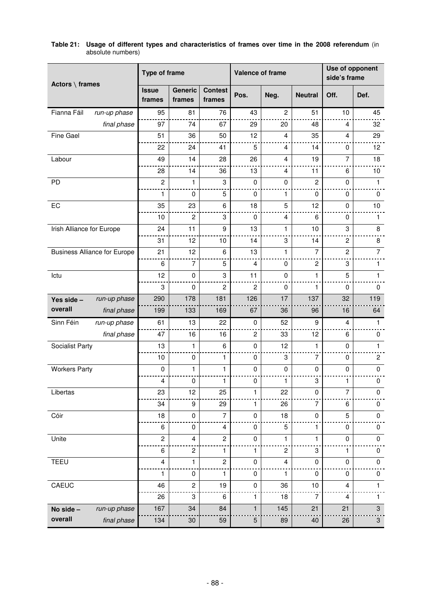| Actors $\setminus$ frames           | <b>Type of frame</b>   |                          |                          | Valence of frame |                |                           | Use of opponent<br>side's frame |                           |  |
|-------------------------------------|------------------------|--------------------------|--------------------------|------------------|----------------|---------------------------|---------------------------------|---------------------------|--|
|                                     | <b>Issue</b><br>frames | <b>Generic</b><br>frames | <b>Contest</b><br>frames | Pos.             | Neg.           | <b>Neutral</b>            | Off.                            | Def.                      |  |
| Fianna Fáil<br>run-up phase         | 95                     | 81                       | 76                       | 43               | $\overline{c}$ | 51                        | 10                              | 45                        |  |
| final phase                         | 97                     | 74                       | 67                       | 29               | 20             | 48                        | 4                               | 32                        |  |
| Fine Gael                           | 51                     | 36                       | 50                       | 12               | 4              | 35                        | $\overline{4}$                  | 29                        |  |
|                                     | 22                     | 24                       | 41                       | 5                | $\overline{4}$ | 14                        | 0                               | 12                        |  |
| Labour                              | 49                     | 14                       | 28                       | 26               | $\overline{4}$ | 19                        | $\overline{7}$                  | 18                        |  |
|                                     | 28                     | 14                       | 36                       | 13               | 4              | 11                        | 6                               | 10                        |  |
| PD                                  | $\overline{c}$         | $\mathbf{1}$             | 3                        | $\mathbf 0$      | 0              | $\mathbf{2}$              | $\mathbf 0$                     | $\mathbf{1}$              |  |
|                                     | 1                      | $\mathbf 0$              | 5                        | 0                | 1              | 0                         | 0                               | 0                         |  |
| EC                                  | 35                     | 23                       | 6                        | 18               | 5              | 12                        | $\mathbf 0$                     | 10                        |  |
|                                     | 10                     | $\overline{c}$           | 3                        | $\mathbf 0$      | $\overline{4}$ | 6                         | 0                               | 1                         |  |
| Irish Alliance for Europe           | 24                     | 11                       | 9                        | 13               | $\mathbf{1}$   | 10                        | 3                               | 8                         |  |
|                                     | 31                     | 12                       | 10                       | 14               | 3              | 14                        | $\overline{c}$                  | 8                         |  |
| <b>Business Alliance for Europe</b> | 21                     | 12                       | 6                        | 13               | 1              | $\overline{7}$            | $\overline{c}$                  | $\overline{7}$            |  |
|                                     | 6                      | $\overline{7}$           | 5                        | $\overline{4}$   | $\mathbf 0$    | $\overline{c}$            | 3                               | 1                         |  |
| Ictu                                | 12                     | $\pmb{0}$                | 3                        | 11               | $\mathbf 0$    | 1                         | 5                               | 1                         |  |
|                                     | 3                      | $\mathbf 0$              | $\overline{c}$           | $\overline{c}$   | $\mathbf 0$    | 1                         | $\mathbf 0$                     | 0                         |  |
| run-up phase<br>Yes side -          | 290                    | 178                      | 181                      | 126              | 17             | 137                       | 32                              | 119                       |  |
| overall<br>final phase              | 199                    | 133                      | 169                      | 67               | 36             | 96                        | 16                              | 64                        |  |
| Sinn Féin<br>run-up phase           | 61                     | 13                       | 22                       | 0                | 52             | 9                         | $\overline{4}$                  | $\mathbf{1}$              |  |
| final phase                         | 47                     | 16                       | 16                       | $\overline{c}$   | 33             | 12                        | 6                               | 0                         |  |
| Socialist Party                     | 13                     | 1                        | 6                        | $\pmb{0}$        | 12             | 1                         | $\mathbf 0$                     | $\mathbf{1}$              |  |
|                                     | 10                     | 0                        | 1                        | 0                | 3              | 7                         | 0                               | 2                         |  |
| <b>Workers Party</b>                | $\mathbf 0$            | 1                        | 1                        | $\pmb{0}$        | $\mathbf 0$    | $\mathbf 0$               | $\mathbf 0$                     | $\mathbf 0$               |  |
|                                     | $\overline{4}$         | $\pmb{0}$                | 1                        | 0                | 1              | 3                         | 1                               | 0                         |  |
| Libertas                            | 23                     | 12                       | 25                       | 1                | 22             | 0                         | $\overline{7}$                  | 0                         |  |
|                                     | 34                     | $\boldsymbol{9}$         | 29                       | $\mathbf{1}$     | 26             | $\overline{7}$            | 6                               | $\pmb{0}$                 |  |
| Cóir                                | 18                     | $\mathbf 0$              | $\overline{7}$           | $\pmb{0}$        | 18             | $\pmb{0}$                 | 5                               | $\pmb{0}$                 |  |
|                                     | 6                      | $\pmb{0}$                | 4                        | 0                | 5              | 1                         | 0                               | 0                         |  |
| Unite                               | $\overline{c}$         | $\overline{\mathbf{4}}$  | $\boldsymbol{2}$         | $\pmb{0}$        | 1              | $\mathbf{1}$              | $\pmb{0}$                       | $\pmb{0}$                 |  |
|                                     | 6                      | $\boldsymbol{2}$         | 1                        | 1                | $\overline{c}$ | $\ensuremath{\mathsf{3}}$ | $\mathbf{1}$                    | 0                         |  |
| TEEU                                | 4                      | 1                        | $\sqrt{2}$               | $\pmb{0}$        | 4              | 0                         | 0                               | $\pmb{0}$                 |  |
|                                     | 1                      | $\pmb{0}$                | 1                        | $\pmb{0}$        | 1              | $\pmb{0}$                 | $\pmb{0}$                       | 0                         |  |
| CAEUC                               | 46                     | $\boldsymbol{2}$         | 19                       | $\pmb{0}$        | 36             | 10                        | $\overline{\mathbf{4}}$         | $\mathbf{1}$              |  |
|                                     | 26                     | 3                        | 6                        | 1                | 18             | 7                         | $\overline{4}$                  | 1                         |  |
| run-up phase<br>No side -           | 167                    | 34                       | 84                       | $\mathbf{1}$     | 145            | 21                        | 21                              | $\ensuremath{\mathsf{3}}$ |  |
| overall<br>final phase              | 134                    | 30                       | 59                       | $\mathbf 5$      | 89             | 40                        | 26                              | $\ensuremath{\mathsf{3}}$ |  |

### **Table 21: Usage of different types and characteristics of frames over time in the 2008 referendum** (in absolute numbers)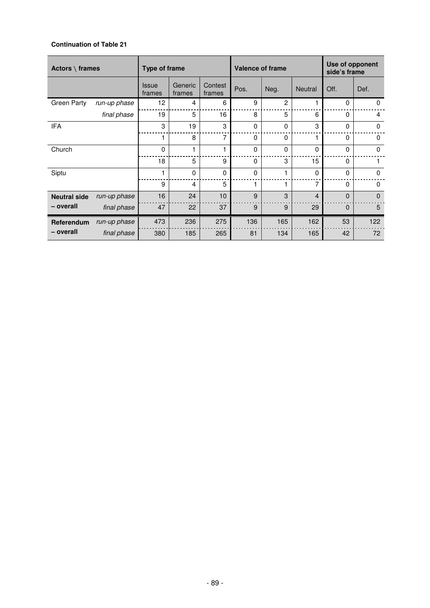# **Continuation of Table 21**

| Actors $\setminus$ frames |              | Type of frame          |                   |                   | <b>Valence of frame</b> |                |                | Use of opponent<br>side's frame |                |
|---------------------------|--------------|------------------------|-------------------|-------------------|-------------------------|----------------|----------------|---------------------------------|----------------|
|                           |              | <b>Issue</b><br>frames | Generic<br>frames | Contest<br>frames | Pos.                    | Neg.           | <b>Neutral</b> | Off.                            | Def.           |
| <b>Green Party</b>        | run-up phase | 12                     | 4                 | 6                 | 9                       | $\overline{c}$ |                | $\Omega$                        | 0              |
|                           | final phase  | 19                     | 5                 | 16                | 8                       | 5              | 6              | $\Omega$                        | $\overline{4}$ |
| <b>IFA</b>                |              | 3                      | 19                | 3                 | $\Omega$                | $\Omega$       | 3              | $\Omega$                        | $\Omega$       |
|                           |              | 1                      | 8                 | 7                 | 0                       | $\mathbf{0}$   | 1              | $\Omega$                        | 0              |
| Church                    |              | $\Omega$               | 1                 |                   | 0                       | $\Omega$       | $\mathbf{0}$   | $\mathbf{0}$                    | $\mathbf 0$    |
|                           |              | 18                     | 5                 | 9                 | 0                       | 3              | 15             | $\Omega$                        |                |
| Siptu                     |              | 1                      | $\mathbf{0}$      | $\Omega$          | 0                       |                | $\Omega$       | $\Omega$                        | $\Omega$       |
|                           |              | 9                      | 4                 | 5                 | 1                       |                | 7              | $\Omega$                        | $\Omega$       |
| <b>Neutral side</b>       | run-up phase | 16                     | 24                | 10                | 9                       | 3              | $\overline{4}$ | $\Omega$                        | $\mathbf{0}$   |
| - overall                 | final phase  | 47                     | 22                | 37                | 9                       | 9              | 29             | $\mathbf 0$                     | 5              |
| Referendum                | run-up phase | 473                    | 236               | 275               | 136                     | 165            | 162            | 53                              | 122            |
| - overall                 | final phase  | 380                    | 185               | 265               | 81                      | 134            | 165            | 42                              | 72             |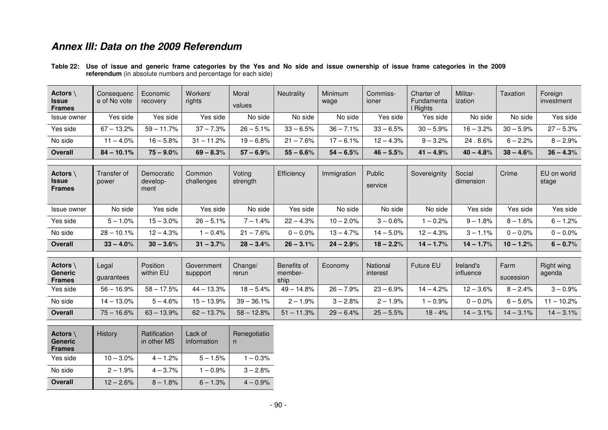# **Annex III: Data on the 2009 Referendum**

| Actors<br><b>Issue</b><br><b>Frames</b> | Consequenc<br>e of No vote | Economic<br>recovery | Workers'<br>rights | Moral<br>values | Neutrality   | Minimum<br>wage | Commiss-<br>ioner | Charter of<br>Fundamenta<br>I Rights | Militar-<br>ization | Taxation    | Foreign<br>investment |
|-----------------------------------------|----------------------------|----------------------|--------------------|-----------------|--------------|-----------------|-------------------|--------------------------------------|---------------------|-------------|-----------------------|
| Issue owner                             | Yes side                   | Yes side             | Yes side           | No side         | No side      | No side         | Yes side          | Yes side                             | No side             | No side     | Yes side              |
| Yes side                                | $67 - 13.2%$               | $59 - 11.7%$         | $37 - 7.3\%$       | $26 - 5.1\%$    | $33 - 6.5%$  | $36 - 7.1%$     | $33 - 6.5%$       | $30 - 5.9%$                          | $16 - 3.2%$         | $30 - 5.9%$ | $27 - 5.3%$           |
| No side                                 | $-4.0%$                    | $16 - 5.8\%$         | $31 - 11.2%$       | $19 - 6.8%$     | $21 - 7.6%$  | $17 - 6.1\%$    | $12 - 4.3%$       | $9 - 3.2%$                           | 24.8.6%             | $6 - 2.2%$  | $8 - 2.9%$            |
| Overall                                 | $84 - 10.1%$               | $75 - 9.0\%$         | $69 - 8.3\%$       | $57 - 6.9\%$    | $55 - 6.6\%$ | $54 - 6.5%$     | $46 - 5.5%$       | $41 - 4.9\%$                         | $40 - 4.8%$         | $38 - 4.6%$ | $36 - 4.3%$           |

**Table 22: Use of issue and generic frame categories by the Yes and No side and issue ownership of issue frame categories in the 2009 referendum** (in absolute numbers and percentage for each side)

| Actors \<br><b>Issue</b><br><b>Frames</b> | Transfer of<br>power | Democratic<br>develop-<br>ment | Common<br>challenges | Voting<br>strength | Efficiency   | Immigration  | Public<br>service | Sovereignity | Social<br>dimension | Crime        | EU on world<br>stage |
|-------------------------------------------|----------------------|--------------------------------|----------------------|--------------------|--------------|--------------|-------------------|--------------|---------------------|--------------|----------------------|
| Issue owner                               | No side              | Yes side                       | Yes side             | No side            | Yes side     | No side      | No side           | No side      | Yes side            | Yes side     | Yes side             |
| Yes side                                  | $5 - 1.0\%$          | $15 - 3.0\%$                   | $26 - 5.1\%$         | 4%،<br>$7 - 1$     | $22 - 4.3%$  | $10 - 2.0\%$ | $3 - 0.6%$        | $-0.2%$      | $9 - 1.8%$          | $8 - 1.6%$   | $6 - 1.2%$           |
| No side                                   | $28 - 10.1\%$        | $12 - 4.3\%$                   | $-0.4%$              | $21 - 7.6%$        | $0 - 0.0\%$  | $13 - 4.7%$  | $14 - 5.0\%$      | $12 - 4.3%$  | $3 - 1.1\%$         | $0 - 0.0\%$  | $0 - 0.0\%$          |
| <b>Overall</b>                            | $33 - 4.0\%$         | $30 - 3.6\%$                   | $31 - 3.7\%$         | $28 - 3.4\%$       | $26 - 3.1\%$ | $24 - 2.9%$  | $18 - 2.2%$       | $14 - 1.7\%$ | $14 - 1.7\%$        | $10 - 1.2\%$ | $6 - 0.7\%$          |

| <b>Actors</b><br><b>Generic</b><br><b>Frames</b> | Legal<br>quarantees | Position<br>within EU | Government<br>suppport | Change/<br>rerun | Benefits of<br>member-<br>ship | Economv     | National<br>interest | <b>Future EU</b> | Ireland's<br>influence | Farm<br>sucession | Right wing<br>agenda |
|--------------------------------------------------|---------------------|-----------------------|------------------------|------------------|--------------------------------|-------------|----------------------|------------------|------------------------|-------------------|----------------------|
| Yes side                                         | $56 - 16.9%$        | 17.5%<br>$58 - 1$     | $44 - 13.3%$           | $18 - 5.4\%$     | $49 - 14.8%$                   | $26 - 7.9%$ | $23 - 6.9%$          | $14 - 4.2\%$     | $12 - 3.6\%$           | $8 - 2.4\%$       | $3 - 0.9\%$          |
| No side                                          | $14 - 13.0\%$       | $5 - 4.6%$            | $15 - 13.9%$           | $39 - 36.1%$     | $2 - 1.9%$                     | $3 - 2.8%$  | $.9\%$<br>$2 - 3$    | $-0.9%$          | $0 - 0.0\%$            | $6 - 5.6%$        | $-10.2%$             |
| <b>Overall</b>                                   | $75 - 16.6%$        | $63 - 13.9%$          | $62 - 13.7\%$          | $58 - 12.8%$     | $51 - 11.3%$                   | $29 - 6.4%$ | $25 - 5.5%$          | $18 - 4%$        | $14 - 3.1\%$           | $14 - 3.1\%$      | $14 - 3.1\%$         |

| Actors<br><b>Generic</b><br><b>Frames</b> | <b>History</b> | Ratification<br>in other MS | Lack of<br>information | Renegotiatio<br>n |
|-------------------------------------------|----------------|-----------------------------|------------------------|-------------------|
| Yes side                                  | $10 - 3.0\%$   | $4 - 1.2%$                  | $5 - 1.5%$             | $1 - 0.3\%$       |
| No side                                   | $2 - 1.9%$     | $4 - 3.7\%$                 | $1 - 0.9\%$            | $3 - 2.8%$        |
| <b>Overall</b>                            | $12 - 2.6%$    | $8 - 1.8\%$                 | $6 - 1.3%$             | $4 - 0.9\%$       |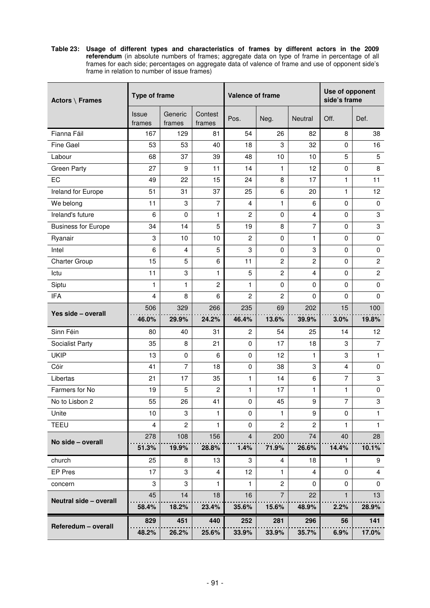**Table 23: Usage of different types and characteristics of frames by different actors in the 2009 referendum** (in absolute numbers of frames; aggregate data on type of frame in percentage of all frames for each side; percentages on aggregate data of valence of frame and use of opponent side's frame in relation to number of issue frames)

| Actors $\setminus$ Frames  | <b>Type of frame</b>   |                   |                   | <b>Valence of frame</b> |                |                         | Use of opponent<br>side's frame |                 |  |
|----------------------------|------------------------|-------------------|-------------------|-------------------------|----------------|-------------------------|---------------------------------|-----------------|--|
|                            | <b>Issue</b><br>frames | Generic<br>frames | Contest<br>frames | Pos.                    | Neg.           | Neutral                 | Off.                            | Def.            |  |
| Fianna Fáil                | 167                    | 129               | 81                | 54                      | 26             | 82                      | 8                               | 38              |  |
| <b>Fine Gael</b>           | 53                     | 53                | 40                | 18                      | 3              | 32                      | $\mathbf 0$                     | 16              |  |
| Labour                     | 68                     | 37                | 39                | 48                      | 10             | 10                      | 5                               | $\overline{5}$  |  |
| <b>Green Party</b>         | 27                     | 9                 | 11                | 14                      | 1              | 12                      | 0                               | 8               |  |
| EC                         | 49                     | 22                | 15                | 24                      | 8              | 17                      | 1                               | 11              |  |
| Ireland for Europe         | 51                     | 31                | 37                | 25                      | 6              | 20                      | 1                               | 12 <sup>2</sup> |  |
| We belong                  | 11                     | 3                 | 7                 | $\overline{4}$          | 1              | 6                       | $\mathbf 0$                     | $\mathbf 0$     |  |
| Ireland's future           | 6                      | 0                 | 1                 | $\overline{c}$          | $\pmb{0}$      | $\overline{\mathbf{4}}$ | $\mathbf 0$                     | 3               |  |
| <b>Business for Europe</b> | 34                     | 14                | 5                 | 19                      | 8              | $\overline{7}$          | $\Omega$                        | 3               |  |
| Ryanair                    | 3                      | 10                | 10                | $\overline{2}$          | 0              | 1                       | 0                               | 0               |  |
| Intel                      | 6                      | 4                 | 5                 | 3                       | $\mathbf 0$    | 3                       | $\mathbf 0$                     | $\mathbf 0$     |  |
| <b>Charter Group</b>       | 15                     | 5                 | 6                 | 11                      | $\overline{c}$ | $\overline{c}$          | $\mathbf 0$                     | $\overline{c}$  |  |
| Ictu                       | 11                     | 3                 | 1                 | 5                       | $\overline{c}$ | $\overline{4}$          | $\mathbf 0$                     | $\overline{c}$  |  |
| Siptu                      | 1                      | 1                 | 2                 | 1                       | 0              | 0                       | $\mathbf 0$                     | $\mathbf 0$     |  |
| <b>IFA</b>                 | 4                      | 8                 | 6                 | $\overline{2}$          | 2              | 0                       | $\mathbf 0$                     | $\mathbf 0$     |  |
| Yes side - overall         | 506                    | 329               | 266               | 235                     | 69             | 202                     | 15                              | 100             |  |
|                            | 46.0%                  | 29.9%             | 24.2%             | 46.4%                   | 13.6%          | 39.9%                   | 3.0%                            | 19.8%           |  |
| Sinn Féin                  | 80                     | 40                | 31                | $\overline{2}$          | 54             | 25                      | 14                              | 12 <sub>2</sub> |  |
| Socialist Party            | 35                     | 8                 | 21                | $\Omega$                | 17             | 18                      | 3                               | $\overline{7}$  |  |
| <b>UKIP</b>                | 13                     | $\mathbf 0$       | 6                 | $\mathbf 0$             | 12             | 1                       | 3                               | 1               |  |
| Cóir                       | 41                     | 7                 | 18                | $\mathbf 0$             | 38             | 3                       | $\overline{4}$                  | 0               |  |
| Libertas                   | 21                     | 17                | 35                | 1                       | 14             | 6                       | 7                               | 3               |  |
| Farmers for No             | 19                     | 5                 | $\overline{c}$    | 1                       | 17             | 1                       | $\mathbf{1}$                    | $\mathbf 0$     |  |
| No to Lisbon 2             | 55                     | 26                | 41                | $\mathbf 0$             | 45             | 9                       | $\overline{7}$                  | 3               |  |
| Unite                      | 10                     | 3                 | 1                 | $\mathbf 0$             | 1              | 9                       | 0                               | 1               |  |
| <b>TEEU</b>                | $\overline{4}$         | $\overline{c}$    | 1                 | $\mathbf 0$             | $\overline{c}$ | $\overline{c}$          | 1                               | $\mathbf{1}$    |  |
| No side - overall          | 278                    | 108               | 156               | $\overline{4}$          | 200            | 74                      | 40                              | 28              |  |
|                            | 51.3%                  | 19.9%             | 28.8%             | 1.4%                    | 71.9%          | 26.6%                   | 14.4%                           | 10.1%           |  |
| church                     | 25                     | 8                 | 13                | 3                       | 4              | 18                      | 1                               | 9               |  |
| <b>EP Pres</b>             | 17                     | 3                 | 4                 | 12                      | 1              | 4                       | 0                               | 4               |  |
| concern                    | 3                      | 3                 | 1.                | 1                       | $\overline{c}$ | 0                       | 0                               | 0               |  |
| Neutral side - overall     | 45                     | 14                | 18                | 16                      | $\overline{7}$ | 22                      | $\mathbf{1}$                    | 13              |  |
|                            | 58.4%                  | 18.2%             | 23.4%             | 35.6%                   | 15.6%          | 48.9%                   | 2.2%                            | 28.9%           |  |
|                            | 829                    | 451               | 440               | 252                     | 281            | 296                     | 56                              | 141             |  |
| Referedum - overall        | 48.2%                  | 26.2%             | 25.6%             | 33.9%                   | 33.9%          | 35.7%                   | 6.9%                            | 17.0%           |  |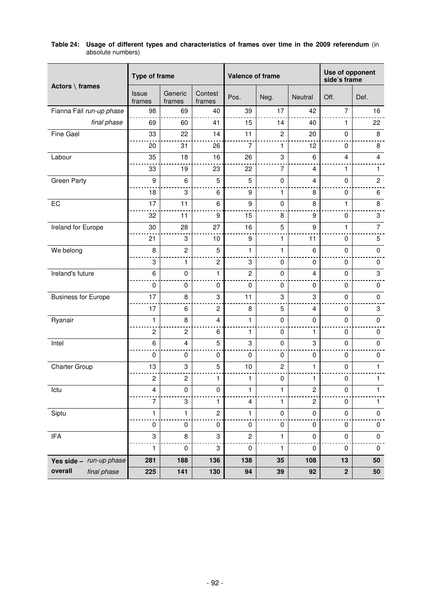|                             | <b>Type of frame</b>    |                           |                           | Valence of frame |                |                         | Use of opponent<br>side's frame |                |  |
|-----------------------------|-------------------------|---------------------------|---------------------------|------------------|----------------|-------------------------|---------------------------------|----------------|--|
| Actors $\setminus$ frames   | Issue<br>frames         | Generic<br>frames         | Contest<br>frames         | Pos.             | Neg.           | Neutral                 | Off.                            | Def.           |  |
| Fianna Fáil run-up phase    | 98                      | 69                        | 40                        | 39               | 17             | 42                      | $\overline{7}$                  | 16             |  |
| final phase                 | 69                      | 60                        | 41                        | 15               | 14             | 40                      | 1                               | 22             |  |
| Fine Gael                   | 33                      | 22                        | 14                        | 11               | $\overline{c}$ | 20                      | 0                               | 8              |  |
|                             | 20                      | 31                        | 26                        | $\overline{7}$   | 1              | 12                      | 0                               | 8              |  |
| Labour                      | 35                      | 18                        | 16                        | 26               | 3              | 6                       | $\overline{4}$                  | $\overline{4}$ |  |
|                             | 33                      | 19                        | 23                        | 22               | $\overline{7}$ | $\overline{\mathbf{4}}$ | $\mathbf{1}$                    | 1              |  |
| <b>Green Party</b>          | 9                       | 6                         | 5                         | $\overline{5}$   | $\pmb{0}$      | 4                       | $\mathbf 0$                     | $\overline{c}$ |  |
|                             | 18                      | 3                         | 6                         | 9                | 1              | 8                       | 0                               | 6              |  |
| EC                          | 17                      | 11                        | 6                         | 9                | $\pmb{0}$      | 8                       | $\mathbf{1}$                    | 8              |  |
|                             | 32                      | 11                        | 9                         | 15               | 8              | 9                       | $\mathbf 0$                     | 3              |  |
| Ireland for Europe          | 30                      | 28                        | 27                        | 16               | 5              | 9                       | $\mathbf{1}$                    | $\overline{7}$ |  |
|                             | 21                      | 3                         | 10                        | 9                | 1              | 11                      | 0                               | 5              |  |
| We belong                   | 8                       | $\overline{c}$            | 5                         | 1                | 1              | 6                       | $\mathbf 0$                     | $\pmb{0}$      |  |
|                             | 3                       | 1                         | 2                         | 3                | 0              | $\mathbf 0$             | 0                               | 0              |  |
| Ireland's future            | 6                       | $\pmb{0}$                 | 1                         | $\overline{c}$   | $\pmb{0}$      | $\overline{\mathbf{4}}$ | $\pmb{0}$                       | 3              |  |
|                             | $\mathbf 0$             | $\mathbf 0$               | $\mathbf 0$               | $\mathbf 0$      | $\mathbf 0$    | $\mathbf 0$             | $\mathbf 0$                     | 0              |  |
| <b>Business for Europe</b>  | 17                      | 8                         | 3                         | 11               | 3              | 3                       | $\mathbf 0$                     | $\mathbf 0$    |  |
|                             | 17                      | 6                         | $\boldsymbol{2}$          | 8                | 5              | $\overline{4}$          | 0                               | 3              |  |
| Ryanair                     | $\mathbf{1}$            | 8                         | 4                         | 1                | $\pmb{0}$      | $\mathbf 0$             | $\pmb{0}$                       | $\pmb{0}$      |  |
|                             | $\overline{c}$          | $\overline{c}$            | 6                         | 1                | 0              | 1                       | 0                               | 0              |  |
| Intel                       | 6                       | 4                         | 5                         | 3                | $\pmb{0}$      | 3                       | 0                               | 0              |  |
|                             | $\mathbf 0$             | 0                         | $\mathbf 0$               | 0                | 0              | $\pmb{0}$               | 0                               | 0              |  |
| Charter Group               | 13                      | 3                         | 5                         | 10               | $\overline{c}$ | 1                       | $\pmb{0}$                       | $\mathbf{1}$   |  |
|                             | $\overline{c}$          | $\boldsymbol{2}$          | 1                         | 1                | 0              | 1                       | 0                               | 1.             |  |
| Ictu                        | $\overline{\mathbf{4}}$ | $\pmb{0}$                 | $\pmb{0}$                 | 1                | 1              | $\overline{c}$          | $\pmb{0}$                       | 1              |  |
|                             | 7                       | $\ensuremath{\mathsf{3}}$ | 1                         | 4                | 1              | $\overline{c}$          | $\pmb{0}$                       | 1              |  |
| Siptu                       | 1                       | 1                         | $\boldsymbol{2}$          | 1                | 0              | $\pmb{0}$               | $\pmb{0}$                       | $\pmb{0}$      |  |
|                             | $\pmb{0}$               | $\pmb{0}$                 | $\pmb{0}$                 | $\pmb{0}$        | $\pmb{0}$      | 0                       | $\pmb{0}$                       | $\pmb{0}$      |  |
| $\ensuremath{\mathsf{IFA}}$ | 3                       | 8                         | $\ensuremath{\mathsf{3}}$ | $\overline{c}$   | 1              | $\pmb{0}$               | $\pmb{0}$                       | $\pmb{0}$      |  |
|                             | 1                       | $\pmb{0}$                 | 3                         | 0                | 1              | 0                       | $\pmb{0}$                       | $\pmb{0}$      |  |
| Yes side - run-up phase     | 281                     | 188                       | 136                       | 138              | 35             | 108                     | 13                              | 50             |  |
| overall<br>final phase      | 225                     | 141                       | 130                       | 94               | 39             | 92                      | $\mathbf 2$                     | 50             |  |

# **Table 24: Usage of different types and characteristics of frames over time in the 2009 referendum** (in absolute numbers)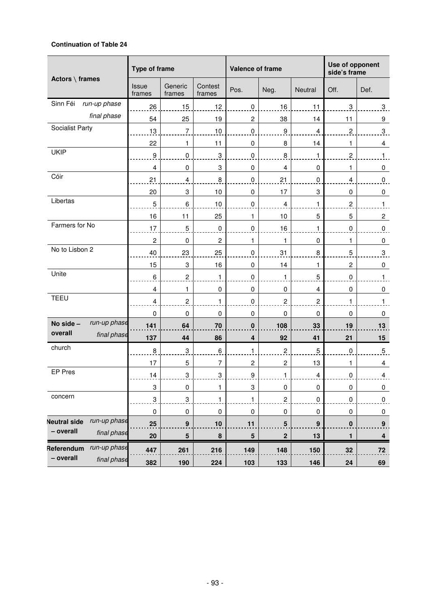# **Continuation of Table 24**

|                                     | Type of frame          |                           |                           | Valence of frame          |                         | Use of opponent<br>side's frame |                         |                         |
|-------------------------------------|------------------------|---------------------------|---------------------------|---------------------------|-------------------------|---------------------------------|-------------------------|-------------------------|
| Actors $\setminus$ frames           | <b>Issue</b><br>frames | Generic<br>frames         | Contest<br>frames         | Pos.                      | Neg.                    | Neutral                         | Off.                    | Def.                    |
| Sinn Féi<br>run-up phase            | 26                     | 15                        | 12                        | 0                         | 16                      | 11                              | 3                       | $\overline{3}$ .        |
| final phase                         | 54                     | 25                        | 19                        | $\overline{c}$            | 38                      | 14                              | 11                      | $\boldsymbol{9}$        |
| Socialist Party                     | 13                     | $\boldsymbol{7}$          | 10                        | $\pmb{0}$                 | $\boldsymbol{9}$        | $\overline{4}$                  | $\overline{c}$          | $\overline{3}$          |
|                                     | 22                     | 1                         | 11                        | 0                         | 8                       | 14                              | 1                       | $\overline{4}$          |
| <b>UKIP</b>                         | $\boldsymbol{9}$       | $\pmb{0}$                 | $\ensuremath{\mathsf{3}}$ | 0                         | $\bf 8$                 | 1                               | $\overline{2}$          | $\mathbf{1}$            |
|                                     | 4                      | $\mathbf 0$               | 3                         | $\mathbf 0$               | $\overline{\mathbf{4}}$ | $\mathbf 0$                     | 1                       | 0                       |
| Cóir                                | 21                     | 4                         | $\,8\,$                   | 0                         | 21                      | 0                               | 4                       | $\pmb{0}$               |
|                                     | 20                     | 3                         | 10                        | 0                         | 17                      | 3                               | 0                       | $\pmb{0}$               |
| Libertas                            | 5                      | 6                         | 10                        | $\pmb{0}$                 | $\overline{4}$          | 1                               | $\overline{\mathbf{c}}$ | $\mathbf{1}$            |
|                                     | 16                     | 11                        | 25                        | 1                         | 10                      | 5                               | 5                       | $\overline{c}$          |
| Farmers for No                      | 17                     | 5                         | $\pmb{0}$                 | $\pmb{0}$                 | 16                      | 1                               | $\overline{0}$          | $_{0}^{0}$              |
|                                     | $\overline{c}$         | $\pmb{0}$                 | $\overline{c}$            | 1                         | 1                       | 0                               | 1                       | 0                       |
| No to Lisbon 2                      | 40                     | 23                        | 25                        | $\pmb{0}$                 | 31                      | $\bf8$                          | 5                       | $\overline{3}$          |
|                                     | 15                     | 3                         | 16                        | $\mathbf 0$               | 14                      | 1                               | $\overline{c}$          | 0                       |
| Unite                               | 6                      | $\overline{2}$            | 1                         | $\pmb{0}$                 | 1                       | $\overline{5}$                  | $\overline{0}$          | $\mathbf{1}$            |
|                                     | $\overline{4}$         | 1                         | 0                         | $\pmb{0}$                 | 0                       | $\overline{4}$                  | 0                       | $\pmb{0}$               |
| <b>TEEU</b>                         | 4                      | $\overline{2}$            | 1                         | $\pmb{0}$                 | $\overline{2}$          | $\overline{\mathbf{c}}$         | 1                       | $\mathbf{1}$            |
|                                     | $\pmb{0}$              | $\mathbf 0$               | $\mathbf 0$               | $\pmb{0}$                 | 0                       | 0                               | 0                       | $\pmb{0}$               |
| run-up phase<br>No side -           | 141                    | 64                        | 70                        | $\pmb{0}$                 | 108                     | 33                              | 19                      | 13                      |
| overall<br>final phase              | 137                    | 44                        | 86                        | $\overline{\mathbf{4}}$   | 92                      | 41                              | 21                      | 15                      |
| church                              | 8                      | 3                         | $\,6\,$                   | 1                         | $\boldsymbol{2}$        | $\mathbf 5$                     | $\pmb{0}$               | $\overline{5}$          |
|                                     | 17                     | 5                         | $\overline{7}$            | 2                         | $\boldsymbol{2}$        | 13                              | 1                       | $\overline{4}$          |
| EP Pres                             | 14                     | 3                         | 3                         | 9                         | 1                       | $\overline{4}$                  | 0                       | 4                       |
|                                     | 3                      | $\pmb{0}$                 | 1                         | $\ensuremath{\mathsf{3}}$ | $\pmb{0}$               | $\pmb{0}$                       | $\pmb{0}$               | $\overline{0}$          |
| concern                             | 3                      | $\ensuremath{\mathsf{3}}$ | $\mathbf{1}$              | $\mathbf{1}$              | $\overline{c}$          | $\pmb{0}$                       | $\pmb{0}$               | $\overline{0}$          |
|                                     | $\pmb{0}$              | $\pmb{0}$                 | $\pmb{0}$                 | $\pmb{0}$                 | $\pmb{0}$               | $\pmb{0}$                       | $\mathbf 0$             | $\overline{0}$          |
| run-up phase<br><b>Neutral side</b> | 25                     | $\boldsymbol{9}$          | $10$                      | 11                        | $\overline{5}$          | 9                               | $\overline{\mathbf{0}}$ | 9                       |
| - overall<br>final phase            | 20                     | $\overline{\mathbf{5}}$   | 8                         | $\overline{\mathbf{5}}$   | $\overline{\mathbf{2}}$ | 13                              | $\mathbf{1}$            | $\overline{\mathbf{4}}$ |
| run-up phase<br>Referendum          | 447                    | 261                       | 216                       | 149                       | 148                     | 150                             | 32                      | 72                      |
| - overall<br>final phase            | 382                    | 190                       | 224                       | 103                       | 133                     | 146                             | ${\bf 24}$              | 69                      |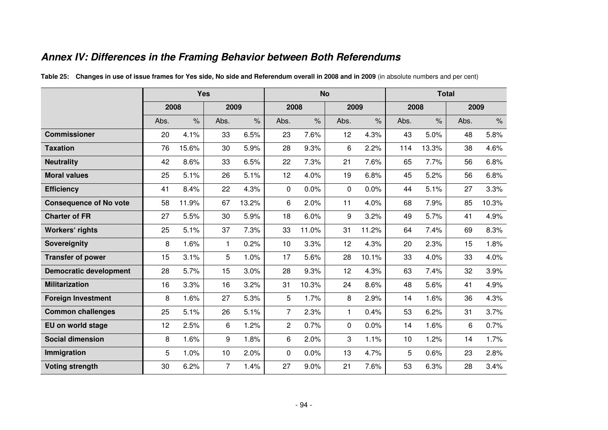# **Annex IV: Differences in the Framing Behavior between Both Referendums**

|                               | <b>Yes</b> |                      |                |               |                | <b>No</b>            |              |                      | <b>Total</b> |               |      |                      |
|-------------------------------|------------|----------------------|----------------|---------------|----------------|----------------------|--------------|----------------------|--------------|---------------|------|----------------------|
|                               | 2008       |                      | 2009           |               | 2008           |                      | 2009         |                      | 2008         |               | 2009 |                      |
|                               | Abs.       | $\frac{1}{\sqrt{2}}$ | Abs.           | $\frac{9}{6}$ | Abs.           | $\frac{1}{\sqrt{2}}$ | Abs.         | $\frac{1}{\sqrt{2}}$ | Abs.         | $\frac{9}{6}$ | Abs. | $\frac{1}{\sqrt{2}}$ |
| <b>Commissioner</b>           | 20         | 4.1%                 | 33             | 6.5%          | 23             | 7.6%                 | 12           | 4.3%                 | 43           | 5.0%          | 48   | 5.8%                 |
| <b>Taxation</b>               | 76         | 15.6%                | 30             | 5.9%          | 28             | 9.3%                 | 6            | 2.2%                 | 114          | 13.3%         | 38   | 4.6%                 |
| <b>Neutrality</b>             | 42         | 8.6%                 | 33             | 6.5%          | 22             | 7.3%                 | 21           | 7.6%                 | 65           | 7.7%          | 56   | 6.8%                 |
| <b>Moral values</b>           | 25         | 5.1%                 | 26             | 5.1%          | 12             | 4.0%                 | 19           | 6.8%                 | 45           | 5.2%          | 56   | 6.8%                 |
| <b>Efficiency</b>             | 41         | 8.4%                 | 22             | 4.3%          | 0              | 0.0%                 | $\mathbf{0}$ | 0.0%                 | 44           | 5.1%          | 27   | 3.3%                 |
| <b>Consequence of No vote</b> | 58         | 11.9%                | 67             | 13.2%         | 6              | 2.0%                 | 11           | 4.0%                 | 68           | 7.9%          | 85   | 10.3%                |
| <b>Charter of FR</b>          | 27         | 5.5%                 | 30             | 5.9%          | 18             | 6.0%                 | 9            | 3.2%                 | 49           | 5.7%          | 41   | 4.9%                 |
| <b>Workers' rights</b>        | 25         | 5.1%                 | 37             | 7.3%          | 33             | 11.0%                | 31           | 11.2%                | 64           | 7.4%          | 69   | 8.3%                 |
| Sovereignity                  | 8          | 1.6%                 | $\mathbf{1}$   | 0.2%          | 10             | 3.3%                 | 12           | 4.3%                 | 20           | 2.3%          | 15   | 1.8%                 |
| <b>Transfer of power</b>      | 15         | 3.1%                 | 5              | 1.0%          | 17             | 5.6%                 | 28           | 10.1%                | 33           | 4.0%          | 33   | 4.0%                 |
| <b>Democratic development</b> | 28         | 5.7%                 | 15             | 3.0%          | 28             | 9.3%                 | 12           | 4.3%                 | 63           | 7.4%          | 32   | 3.9%                 |
| <b>Militarization</b>         | 16         | 3.3%                 | 16             | 3.2%          | 31             | 10.3%                | 24           | 8.6%                 | 48           | 5.6%          | 41   | 4.9%                 |
| <b>Foreign Investment</b>     | 8          | 1.6%                 | 27             | 5.3%          | 5              | 1.7%                 | 8            | 2.9%                 | 14           | 1.6%          | 36   | 4.3%                 |
| <b>Common challenges</b>      | 25         | 5.1%                 | 26             | 5.1%          | $\overline{7}$ | 2.3%                 | 1            | 0.4%                 | 53           | 6.2%          | 31   | 3.7%                 |
| EU on world stage             | 12         | 2.5%                 | 6              | 1.2%          | $\overline{c}$ | 0.7%                 | $\Omega$     | 0.0%                 | 14           | 1.6%          | 6    | 0.7%                 |
| <b>Social dimension</b>       | 8          | 1.6%                 | 9              | 1.8%          | 6              | 2.0%                 | 3            | 1.1%                 | 10           | 1.2%          | 14   | 1.7%                 |
| Immigration                   | 5          | 1.0%                 | 10             | 2.0%          | 0              | 0.0%                 | 13           | 4.7%                 | 5            | 0.6%          | 23   | 2.8%                 |
| <b>Voting strength</b>        | 30         | 6.2%                 | $\overline{7}$ | 1.4%          | 27             | 9.0%                 | 21           | 7.6%                 | 53           | 6.3%          | 28   | 3.4%                 |

**Table 25: Changes in use of issue frames for Yes side, No side and Referendum overall in 2008 and in 2009** (in absolute numbers and per cent)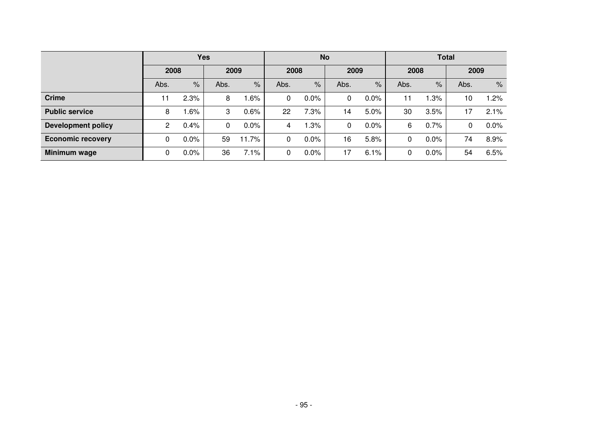|                           | Yes            |         |      |         |      | <b>No</b> |      |         | <b>Total</b> |         |      |         |
|---------------------------|----------------|---------|------|---------|------|-----------|------|---------|--------------|---------|------|---------|
|                           | 2008           |         | 2009 |         | 2008 |           | 2009 |         | 2008         |         | 2009 |         |
|                           | Abs.           | $\%$    | Abs. | $\%$    | Abs. | $\%$      | Abs. | $\%$    | Abs.         | $\%$    | Abs. | $\%$    |
| <b>Crime</b>              | 11             | 2.3%    | 8    | $.6\%$  | 0    | 0.0%      | 0    | 0.0%    | 11           | $.3\%$  | 10   | 1.2%    |
| <b>Public service</b>     | 8              | $.6\%$  | 3    | 0.6%    | 22   | 7.3%      | 14   | 5.0%    | 30           | 3.5%    | 17   | 2.1%    |
| <b>Development policy</b> | $\overline{2}$ | 0.4%    | 0    | $0.0\%$ | 4    | .3%       | 0    | $0.0\%$ | 6            | 0.7%    | 0    | $0.0\%$ |
| <b>Economic recovery</b>  | 0              | 0.0%    | 59   | 11.7%   | 0    | 0.0%      | 16   | 5.8%    | 0            | $0.0\%$ | 74   | 8.9%    |
| Minimum wage              | 0              | $0.0\%$ | 36   | 7.1%    | 0    | 0.0%      | 17   | 6.1%    | 0            | $0.0\%$ | 54   | 6.5%    |